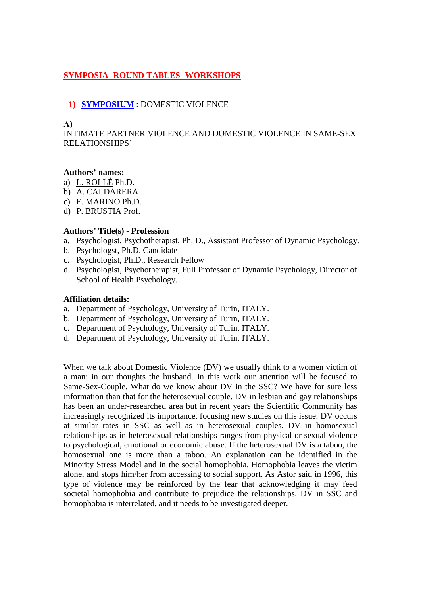### **SYMPOSIA- ROUND TABLES- WORKSHOPS**

### **1) SYMPOSIUM** : DOMESTIC VIOLENCE

#### **Α)**

INTIMATE PARTNER VIOLENCE AND DOMESTIC VIOLENCE IN SAME-SEX RELATIONSHIPS`

### **Authors' names:**

- a) L. ROLLÉ Ph.D.
- b) A. CALDARERA
- c) E. MARINO Ph.D.
- d) P. BRUSTIA Prof.

### **Authors' Title(s) - Profession**

- a. Psychologist, Psychotherapist, Ph. D., Assistant Professor of Dynamic Psychology.
- b. Psychologst, Ph.D. Candidate
- c. Psychologist, Ph.D., Research Fellow
- d. Psychologist, Psychotherapist, Full Professor of Dynamic Psychology, Director of School of Health Psychology.

#### **Affiliation details:**

- a. Department of Psychology, University of Turin, ITALY.
- b. Department of Psychology, University of Turin, ITALY.
- c. Department of Psychology, University of Turin, ITALY.
- d. Department of Psychology, University of Turin, ITALY.

When we talk about Domestic Violence (DV) we usually think to a women victim of a man: in our thoughts the husband. In this work our attention will be focused to Same-Sex-Couple. What do we know about DV in the SSC? We have for sure less information than that for the heterosexual couple. DV in lesbian and gay relationships has been an under-researched area but in recent years the Scientific Community has increasingly recognized its importance, focusing new studies on this issue. DV occurs at similar rates in SSC as well as in heterosexual couples. DV in homosexual relationships as in heterosexual relationships ranges from physical or sexual violence to psychological, emotional or economic abuse. If the heterosexual DV is a taboo, the homosexual one is more than a taboo. An explanation can be identified in the Minority Stress Model and in the social homophobia. Homophobia leaves the victim alone, and stops him/her from accessing to social support. As Astor said in 1996, this type of violence may be reinforced by the fear that acknowledging it may feed societal homophobia and contribute to prejudice the relationships. DV in SSC and homophobia is interrelated, and it needs to be investigated deeper.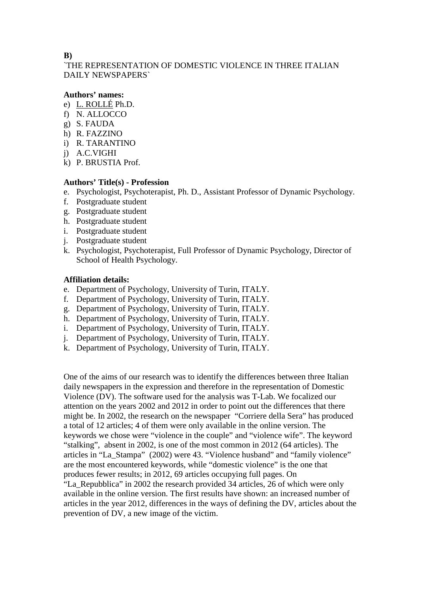### **Β)**

`THE REPRESENTATION OF DOMESTIC VIOLENCE IN THREE ITALIAN DAILY NEWSPAPERS`

### **Authors' names:**

- e) L. ROLLÉ Ph.D.
- f) N. ALLOCCO
- g) S. FAUDA
- h) R. FAZZINO
- i) R. TARANTINO
- j) A.C.VIGHI
- k) P. BRUSTIA Prof.

### **Authors' Title(s) - Profession**

- e. Psychologist, Psychoterapist, Ph. D., Assistant Professor of Dynamic Psychology.
- f. Postgraduate student
- g. Postgraduate student
- h. Postgraduate student
- i. Postgraduate student
- j. Postgraduate student
- k. Psychologist, Psychoterapist, Full Professor of Dynamic Psychology, Director of School of Health Psychology.

### **Affiliation details:**

- e. Department of Psychology, University of Turin, ITALY.
- f. Department of Psychology, University of Turin, ITALY.
- g. Department of Psychology, University of Turin, ITALY.
- h. Department of Psychology, University of Turin, ITALY.
- i. Department of Psychology, University of Turin, ITALY.
- j. Department of Psychology, University of Turin, ITALY.
- k. Department of Psychology, University of Turin, ITALY.

One of the aims of our research was to identify the differences between three Italian daily newspapers in the expression and therefore in the representation of Domestic Violence (DV). The software used for the analysis was T-Lab. We focalized our attention on the years 2002 and 2012 in order to point out the differences that there might be. In 2002, the research on the newspaper "Corriere della Sera" has produced a total of 12 articles; 4 of them were only available in the online version. The keywords we chose were "violence in the couple" and "violence wife". The keyword "stalking", absent in 2002, is one of the most common in 2012 (64 articles). The articles in "La\_Stampa" (2002) were 43. "Violence husband" and "family violence" are the most encountered keywords, while "domestic violence" is the one that produces fewer results; in 2012, 69 articles occupying full pages. On "La\_Repubblica" in 2002 the research provided 34 articles, 26 of which were only

available in the online version. The first results have shown: an increased number of articles in the year 2012, differences in the ways of defining the DV, articles about the prevention of DV, a new image of the victim.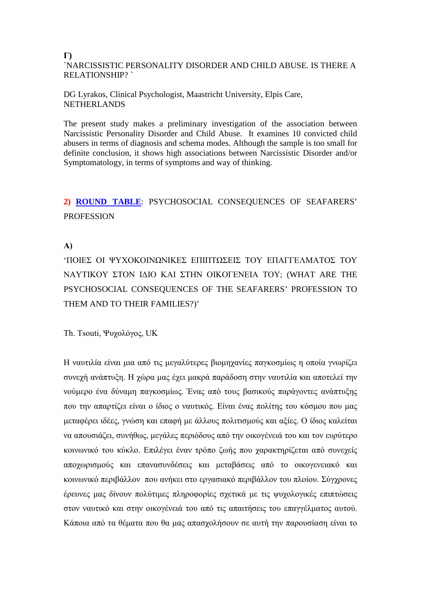#### **Γ)** `NARCISSISTIC PERSONALITY DISORDER AND CHILD ABUSE. IS THERE A RELATIONSHIP? `

DG Lyrakos, Clinical Psychologist, Maastricht University, Elpis Care, NETHERLANDS

The present study makes a preliminary investigation of the association between Narcissistic Personality Disorder and Child Abuse. It examines 10 convicted child abusers in terms of diagnosis and schema modes. Although the sample is too small for definite conclusion, it shows high associations between Narcissistic Disorder and/or Symptomatology, in terms of symptoms and way of thinking.

# **2) ROUND TABLE**: PSYCHOSOCIAL CONSEQUENCES OF SEAFARERS' **PROFESSION**

### **Α)**

'ΠΟΙΕΣ ΟΙ ΨΥΧΟΚΟΙΝΩΝΙΚΕΣ ΕΠΙΠΤΩΣΕΙΣ ΤΟΥ ΕΠΑΓΓΕΛΜΑΤΟΣ ΤΟΥ ΝΑΥΤΙΚΟΥ ΣΤΟΝ ΙΔΙΟ ΚΑΙ ΣΤΗΝ ΟΙΚΟΓΕΝΕΙΑ ΤΟΥ; (WHAT ARE THE PSYCHOSOCIAL CONSEQUENCES OF THE SEAFARERS' PROFESSION TO THEM AND TO THEIR FAMILIES?)'

Th. Tsouti, Ψυχολόγος, UK

Η ναυτιλία είναι μια από τις μεγαλύτερες βιομηχανίες παγκοσμίως η οποία γνωρίζει συνεχή ανάπτυξη. Η χώρα μας έχει μακρά παράδοση στην ναυτιλία και αποτελεί την νούμερο ένα δύναμη παγκοσμίως. Ένας από τους βασικούς παράγοντες ανάπτυξης που την απαρτίζει είναι ο ίδιος ο ναυτικός. Είναι ένας πολίτης του κόσμου που μας μεταφέρει ιδέες, γνώση και επαφή με άλλους πολιτισμούς και αξίες. Ο ίδιος καλείται να απουσιάζει, συνήθως, μεγάλες περιόδους από την οικογένειά του και τον ευρύτερο κοινωνικό του κύκλο. Επιλέγει έναν τρόπο ζωής που χαρακτηρίζεται από συνεχείς αποχωρισμούς και επανασυνδέσεις και μεταβάσεις από το οικογενειακό και κοινωνικό περιβάλλον που ανήκει στο εργασιακό περιβάλλον του πλοίου. Σύγχρονες έρευνες μας δίνουν πολύτιμες πληροφορίες σχετικά με τις ψυχολογικές επιπτώσεις στον ναυτικό και στην οικογένειά του από τις απαιτήσεις του επαγγέλματος αυτού. Κάποια από τα θέματα που θα μας απασχολήσουν σε αυτή την παρουσίαση είναι το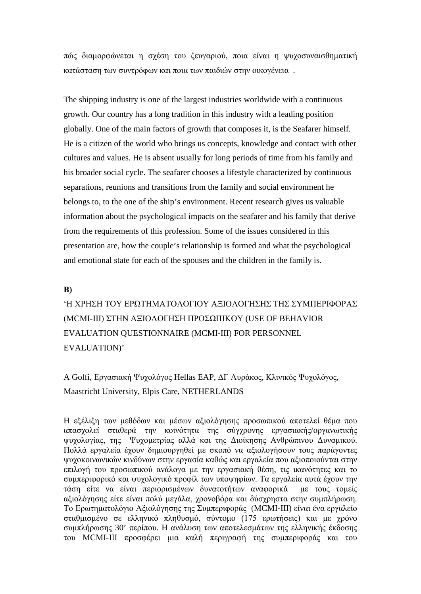πώς διαμορφώνεται η σχέση του ζευγαριού, ποια είναι η ψυχοσυναισθηματική κατάσταση των συντρόφων και ποια των παιδιών στην οικογένεια .

The shipping industry is one of the largest industries worldwide with a continuous growth. Our country has a long tradition in this industry with a leading position globally. One of the main factors of growth that composes it, is the Seafarer himself. He is a citizen of the world who brings us concepts, knowledge and contact with other cultures and values. He is absent usually for long periods of time from his family and his broader social cycle. The seafarer chooses a lifestyle characterized by continuous separations, reunions and transitions from the family and social environment he belongs to, to the one of the ship's environment. Recent research gives us valuable information about the psychological impacts on the seafarer and his family that derive from the requirements of this profession. Some of the issues considered in this presentation are, how the couple's relationship is formed and what the psychological and emotional state for each of the spouses and the children in the family is.

#### **Β)**

# 'Η ΧΡΗΣΗ ΤΟΥ ΕΡΩΤΗΜΑΤΟΛΟΓΙΟΥ ΑΞΙΟΛΟΓΗΣΗΣ ΤΗΣ ΣΥΜΠΕΡΙΦΟΡΑΣ (ΜCMI-III) ΣΤΗΝ ΑΞΙΟΛΟΓΗΣΗ ΠΡΟΣΩΠΙΚΟΥ (USE OF BEHAVIOR EVALUATION QUESTIONNAIRE (MCMI-III) FOR PERSONNEL EVALUATION)'

A Golfi, Εργασιακή Ψυχολόγος Hellas EAP, ΔΓ Λυράκος, Κλινικός Ψυχολόγος, Maastricht University, Elpis Care, NETHERLANDS

Η εξέλιξη των μεθόδων και μέσων αξιολόγησης προσωπικού αποτελεί θέμα που απασχολεί σταθερά την κοινότητα της σύγχρονης εργασιακής/οργανωτικής ψυχολογίας, της Ψυχομετρίας αλλά και της Διοίκησης Ανθρώπινου Δυναμικού. Πολλά εργαλεία έχουν δημιουργηθεί με σκοπό να αξιολογήσουν τους παράγοντες ψυχοκοινωνικών κινδύνων στην εργασία καθώς και εργαλεία που αξιοποιούνται στην επιλογή του προσωπικού ανάλογα με την εργασιακή θέση, τις ικανότητες και το συμπεριφορικό και ψυχολογικό προφίλ των υποψηφίων. Τα εργαλεία αυτά έχουν την τάση είτε να είναι περιορισμένων δυνατοτήτων αναφορικά με τους τομείς αξιολόγησης είτε είναι πολύ μεγάλα, χρονοβόρα και δύσχρηστα στην συμπλήρωση. Το Ερωτηματολόγιο Αξιολόγησης της Συμπεριφοράς (ΜCMI-III) είναι ένα εργαλείο σταθμισμένο σε ελληνικό πληθυσμό, σύντομο (175 ερωτήσεις) και με χρόνο συμπλήρωσης 30' περίπου. Η ανάλυση των αποτελεσμάτων της ελληνικής έκδοσης του ΜCMI-III προσφέρει μια καλή περιγραφή της συμπεριφοράς και του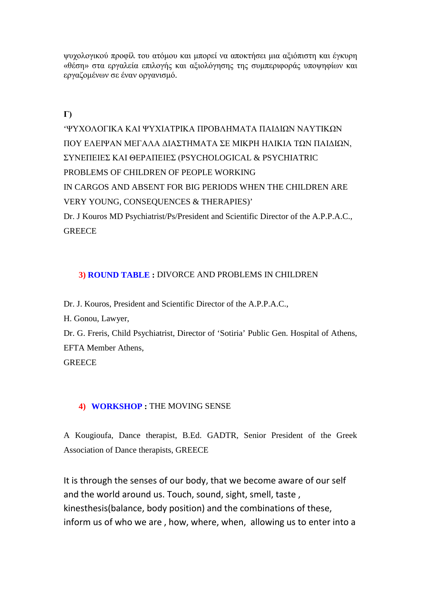ψυχολογικού προφίλ του ατόμου και μπορεί να αποκτήσει μια αξιόπιστη και έγκυρη «θέση» στα εργαλεία επιλογής και αξιολόγησης της συμπεριφοράς υποψηφίων και εργαζομένων σε έναν οργανισμό.

**Γ)**

'ΨΥΧΟΛΟΓΙΚΑ ΚΑΙ ΨΥΧΙΑΤΡΙΚΑ ΠΡΟΒΛΗΜΑΤΑ ΠΑΙΔΙΩΝ ΝΑΥΤΙΚΩΝ ΠΟΥ ΕΛΕΙΨΑΝ ΜΕΓΑΛΑ ΔΙΑΣΤΗΜΑΤΑ ΣΕ ΜΙΚΡΗ ΗΛΙΚΙΑ ΤΩΝ ΠΑΙΔΙΩΝ, ΣΥΝΕΠΕΙΕΣ ΚΑΙ ΘΕΡΑΠΕΙΕΣ (PSYCHOLOGICAL & PSYCHIATRIC PROBLEMS OF CHILDREN OF PEOPLE WORKING IN CARGOS AND ABSENT FOR BIG PERIODS WHEN THE CHILDREN ARE VERY YOUNG, CONSEQUENCES & THERAPIES)' Dr. J Kouros MD Psychiatrist/Ps/President and Scientific Director of the A.P.P.A.C., **GREECE** 

### **3) ROUND TABLE :** DIVORCE AND PROBLEMS IN CHILDREN

Dr. J. Kouros, President and Scientific Director of the A.P.P.A.C.,

H. Gonou, Lawyer,

Dr. G. Freris, Child Psychiatrist, Director of 'Sotiria' Public Gen. Hospital of Athens, EFTA Member Athens,

**GREECE** 

### **4) WORKSHOP :** THE MOVING SENSE

A Kougioufa, Dance therapist, B.Ed. GADTR, Senior President of the Greek Association of Dance therapists, GREECE

It is through the senses of our body, that we become aware of our self and the world around us. Touch, sound, sight, smell, taste , kinesthesis(balance, body position) and the combinations of these, inform us of who we are , how, where, when, allowing us to enter into a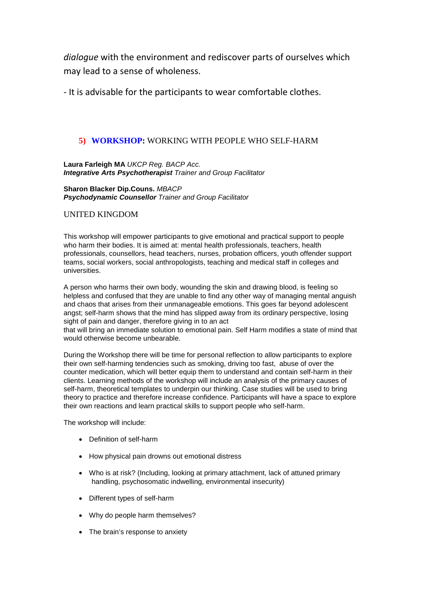*dialogue* with the environment and rediscover parts of ourselves which may lead to a sense of wholeness.

- It is advisable for the participants to wear comfortable clothes.

### **5) WORKSHOP:** WORKING WITH PEOPLE WHO SELF-HARM

**Laura Farleigh MA** *UKCP Reg. BACP Acc. Integrative Arts Psychotherapist Trainer and Group Facilitator*

**Sharon Blacker Dip.Couns.** *MBACP Psychodynamic Counsellor Trainer and Group Facilitator*

### UNITED KINGDOM

This workshop will empower participants to give emotional and practical support to people who harm their bodies. It is aimed at: mental health professionals, teachers, health professionals, counsellors, head teachers, nurses, probation officers, youth offender support teams, social workers, social anthropologists, teaching and medical staff in colleges and universities.

A person who harms their own body, wounding the skin and drawing blood, is feeling so helpless and confused that they are unable to find any other way of managing mental anguish and chaos that arises from their unmanageable emotions. This goes far beyond adolescent angst; self-harm shows that the mind has slipped away from its ordinary perspective, losing sight of pain and danger, therefore giving in to an act

that will bring an immediate solution to emotional pain. Self Harm modifies a state of mind that would otherwise become unbearable.

During the Workshop there will be time for personal reflection to allow participants to explore their own self-harming tendencies such as smoking, driving too fast, abuse of over the counter medication, which will better equip them to understand and contain self-harm in their clients. Learning methods of the workshop will include an analysis of the primary causes of self-harm, theoretical templates to underpin our thinking. Case studies will be used to bring theory to practice and therefore increase confidence. Participants will have a space to explore their own reactions and learn practical skills to support people who self-harm.

The workshop will include:

- Definition of self-harm
- How physical pain drowns out emotional distress
- Who is at risk? (Including, looking at primary attachment, lack of attuned primary handling, psychosomatic indwelling, environmental insecurity)
- Different types of self-harm
- Why do people harm themselves?
- The brain's response to anxiety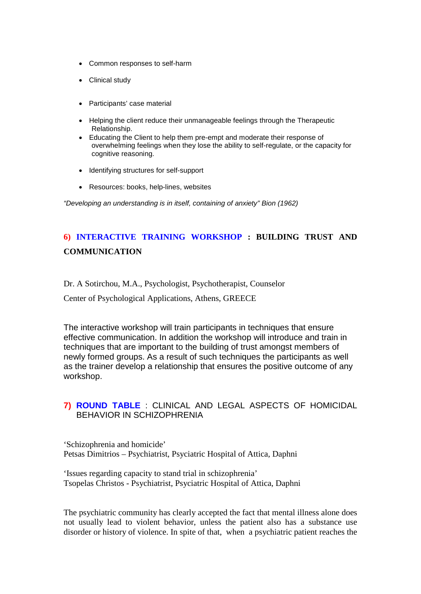- Common responses to self-harm
- Clinical study
- Participants' case material
- Helping the client reduce their unmanageable feelings through the Therapeutic Relationship.
- Educating the Client to help them pre-empt and moderate their response of overwhelming feelings when they lose the ability to self-regulate, or the capacity for cognitive reasoning.
- Identifying structures for self-support
- Resources: books, help-lines, websites

*"Developing an understanding is in itself, containing of anxiety" Bion (1962)*

# **6) INTERACTIVE TRAINING WORKSHOP : BUILDING TRUST AND COMMUNICATION**

Dr. A Sotirchou, M.A., Psychologist, Psychotherapist, Counselor

Center of Psychological Applications, Athens, GREECE

The interactive workshop will train participants in techniques that ensure effective communication. In addition the workshop will introduce and train in techniques that are important to the building of trust amongst members of newly formed groups. As a result of such techniques the participants as well as the trainer develop a relationship that ensures the positive outcome of any workshop.

### **7) ROUND TABLE** : CLINICAL AND LEGAL ASPECTS OF HOMICIDAL BEHAVIOR IN SCHIZOPHRENIA

'Schizophrenia and homicide' Petsas Dimitrios – Psychiatrist, Psyciatric Hospital of Attica, Daphni

'Ιssues regarding capacity to stand trial in schizophrenia' Tsopelas Christos - Psychiatrist, Psyciatric Hospital of Attica, Daphni

The psychiatric community has clearly accepted the fact that mental illness alone does not usually lead to violent behavior, unless the patient also has a substance use disorder or history of violence. In spite of that, when a psychiatric patient reaches the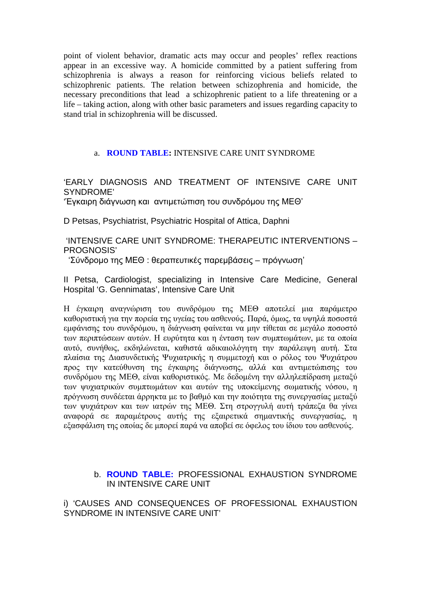point of violent behavior, dramatic acts may occur and peoples' reflex reactions appear in an excessive way. A homicide committed by a patient suffering from schizophrenia is always a reason for reinforcing vicious beliefs related to schizophrenic patients. The relation between schizophrenia and homicide, the necessary preconditions that lead a schizophrenic patient to a life threatening or a life – taking action, along with other basic parameters and issues regarding capacity to stand trial in schizophrenia will be discussed.

### a. **ROUND TABLE:** INTENSIVE CARE UNIT SYNDROME

'EARLY DIAGNOSIS AND TREATMENT OF INTENSIVE CARE UNIT SYNDROME'

'Έγκαιρη διάγνωση και αντιμετώπιση του συνδρόμου της ΜΕΘ'

D Petsas, Psychiatrist, Psychiatric Hospital of Attica, Daphni

'INTENSIVE CARE UNIT SYNDROME: THERAPEUTIC INTERVENTIONS – PROGNOSIS'

'Σύνδρομο της ΜΕΘ : θεραπευτικές παρεμβάσεις – πρόγνωση'

II Petsa, Cardiologist, specializing in Intensive Care Medicine, General Hospital 'G. Gennimatas', Intensive Care Unit

Η έγκαιρη αναγνώριση του συνδρόμου της ΜΕΘ αποτελεί μια παράμετρο καθοριστική για την πορεία της υγείας του ασθενούς. Παρά, όμως, τα υψηλά ποσοστά εμφάνισης του συνδρόμου, η διάγνωση φαίνεται να μην τίθεται σε μεγάλο ποσοστό των περιπτώσεων αυτών. Η ευρύτητα και η ένταση των συμπτωμάτων, με τα οποία αυτό, συνήθως, εκδηλώνεται, καθιστά αδικαιολόγητη την παράλειψη αυτή. Στα πλαίσια της Διασυνδετικής Ψυχιατρικής η συμμετοχή και ο ρόλος του Ψυχιάτρου προς την κατεύθυνση της έγκαιρης διάγνωσης, αλλά και αντιμετώπισης του συνδρόμου της ΜΕΘ, είναι καθοριστικός. Με δεδομένη την αλληλεπίδραση μεταξύ των ψυχιατρικών συμπτωμάτων και αυτών της υποκείμενης σωματικής νόσου, η πρόγνωση συνδέεται άρρηκτα με το βαθμό και την ποιότητα της συνεργασίας μεταξύ των ψυχιάτρων και των ιατρών της ΜΕΘ. Στη στρογγυλή αυτή τράπεζα θα γίνει αναφορά σε παραμέτρους αυτής της εξαιρετικά σημαντικής συνεργασίας, η εξασφάλιση της οποίας δε μπορεί παρά να αποβεί σε όφελος του ίδιου του ασθενούς.

### b. **ROUND TABLE:** PROFESSIONAL EXHAUSTION SYNDROME IN INTENSIVE CARE UNIT

i) 'CAUSES AND CONSEQUENCES OF PROFESSIONAL EXHAUSTION SYNDROME IN INTENSIVE CARE UNIT'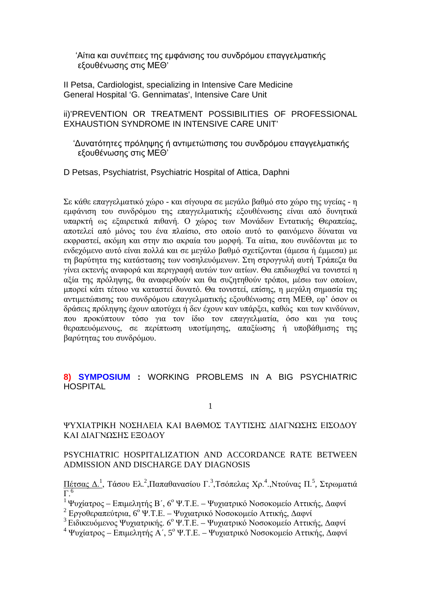'Αίτια και συνέπειες της εμφάνισης του συνδρόμου επαγγελματικής εξουθένωσης στις ΜΕΘ'

II Petsa, Cardiologist, specializing in Intensive Care Medicine General Hospital 'G. Gennimatas', Intensive Care Unit

ii)'PREVENTION OR TREATMENT POSSIBILITIES OF PROFESSIONAL EXHAUSTION SYNDROME IN INTENSIVE CARE UNIT'

 'Δυνατότητες πρόληψης ή αντιμετώπισης του συνδρόμου επαγγελματικής εξουθένωσης στις ΜΕΘ'

D Petsas, Psychiatrist, Psychiatric Hospital of Attica, Daphni

Σε κάθε επαγγελματικό χώρο - και σίγουρα σε μεγάλο βαθμό στο χώρο της υγείας - η εμφάνιση του συνδρόμου της επαγγελματικής εξουθένωσης είναι από δυνητικά υπαρκτή ως εξαιρετικά πιθανή. Ο χώρος των Μονάδων Εντατικής Θεραπείας, αποτελεί από μόνος του ένα πλαίσιο, στο οποίο αυτό το φαινόμενο δύναται να εκφραστεί, ακόμη και στην πιο ακραία του μορφή. Τα αίτια, που συνδέονται με το ενδεχόμενο αυτό είναι πολλά και σε μεγάλο βαθμό σχετίζονται (άμεσα ή έμμεσα) με τη βαρύτητα της κατάστασης των νοσηλευόμενων. Στη στρογγυλή αυτή Τράπεζα θα γίνει εκτενής αναφορά και περιγραφή αυτών των αιτίων. Θα επιδιωχθεί να τονιστεί η αξία της πρόληψης, θα αναφερθούν και θα συζητηθούν τρόποι, μέσω των οποίων, μπορεί κάτι τέτοιο να καταστεί δυνατό. Θα τονιστεί, επίσης, η μεγάλη σημασία της αντιμετώπισης του συνδρόμου επαγγελματικής εξουθένωσης στη ΜΕΘ, εφ' όσον οι δράσεις πρόληψης έχουν αποτύχει ή δεν έχουν καν υπάρξει, καθώς και των κινδύνων, που προκύπτουν τόσο για τον ίδιο τον επαγγελματία, όσο και για τους θεραπευόμενους, σε περίπτωση υποτίμησης, απαξίωσης ή υποβάθμισης της βαρύτητας του συνδρόμου.

**8) SYMPOSIUM :** WORKING PROBLEMS IN A BIG PSYCHIATRIC HOSPITAL

1

### ΨΥΧΙΑΤΡΙΚΗ ΝΟΣΗΛΕΙΑ ΚΑΙ ΒΑΘΜΟΣ ΤΑΥΤΙΣΗΣ ΔΙΑΓΝΩΣΗΣ ΕΙΣΟΔΟΥ ΚΑΙ ΔΙΑΓΝΩΣΗΣ ΕΞΟΔΟΥ

### PSYCHIATRIC HOSPITALIZATION AND ACCORDANCE RATE BETWEEN ADMISSION AND DISCHARGE DAY DIAGNOSIS

<u>Πέτσας Δ.<sup>1</sup>,</u> Τάσου Ελ.<sup>2</sup>,Παπαθανασίου Γ.<sup>3</sup>,Τσόπελας Χρ.<sup>4</sup>.,Ντούνας Π.<sup>5</sup>, Στρωματιά  $\overline{\Gamma}$ <sup>6</sup>

<sup>1</sup> Ψυχίατρος – Επιμελητής Β΄, 6<sup>ο</sup> Ψ.Τ.Ε. – Ψυχιατρικό Νοσοκομείο Αττικής, Δαφνί

<sup>2</sup> Εργοθεραπεύτρια, 6<sup>ο</sup> Ψ.Τ.Ε. – Ψυχιατρικό Νοσοκομείο Αττικής, Δαφνί

<sup>3</sup> Ειδικευόμενος Ψυχιατρικής. 6<sup>ο</sup> Ψ.Τ.Ε. – Ψυχιατρικό Νοσοκομείο Αττικής, Δαφνί

<sup>4</sup> Ψυχίατρος – Επιμελητής Α΄, 5<sup>ο</sup> Ψ.Τ.Ε. – Ψυχιατρικό Νοσοκομείο Αττικής, Δαφνί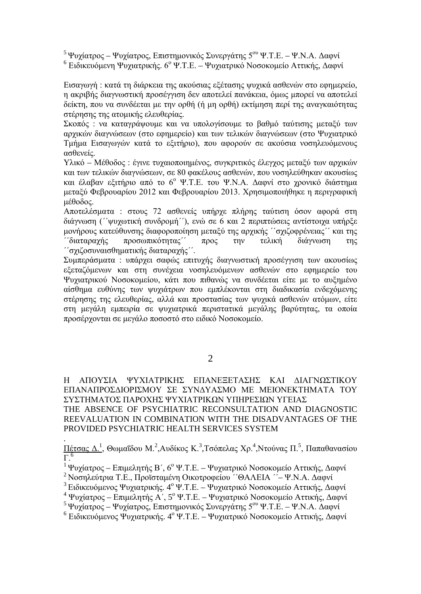<sup>5</sup> Ψυχίατρος – Ψυχίατρος, Επιστημονικός Συνεργάτης 5<sup>ου</sup> Ψ.Τ.Ε. – Ψ.Ν.Α. Δαφνί <sup>6</sup> Ειδικευόμενη Ψυχιατρικής. 6<sup>ο</sup> Ψ.Τ.Ε. – Ψυχιατρικό Νοσοκομείο Αττικής, Δαφνί

Εισαγωγή : κατά τη διάρκεια της ακούσιας εξέτασης ψυχικά ασθενών στο εφημερείο, η ακριβής διαγνωστική προσέγγιση δεν αποτελεί πανάκεια, όμως μπορεί να αποτελεί δείκτη, που να συνδέεται με την ορθή (ή μη ορθή) εκτίμηση περί της αναγκαιότητας στέρησης της ατομικής ελευθερίας.

Σκοπός : να καταγράψουμε και να υπολογίσουμε το βαθμό ταύτισης μεταξύ των αρχικών διαγνώσεων (στο εφημερείο) και των τελικών διαγνώσεων (στο Ψυχιατρικό Τμήμα Εισαγωγών κατά το εξιτήριο), που αφορούν σε ακούσια νοσηλευόμενους ασθενείς.

Υλικό – Μέθοδος : έγινε τυχαιοποιημένος, συγκριτικός έλεγχος μεταξύ των αρχικών και των τελικών διαγνώσεων, σε 80 φακέλους ασθενών, που νοσηλεύθηκαν ακουσίως και έλαβαν εξιτήριο από το 6<sup>ο</sup> Ψ.Τ.Ε. του Ψ.Ν.Α. Δαφνί στο χρονικό διάστημα μεταξύ Φεβρουαρίου 2012 και Φεβρουαρίου 2013. Χρησιμοποιήθηκε η περιγραφική μέθοδος.

Αποτελέσματα : στους 72 ασθενείς υπήρχε πλήρης ταύτιση όσον αφορά στη διάγνωση (΄΄ψυχωτική συνδρομή΄΄), ενώ σε 6 και 2 περιπτώσεις αντίστοιχα υπήρξε μονήρους κατεύθυνσης διαφοροποίηση μεταξύ της αρχικής ΄΄σχιζοφρένειας΄΄ και της ΄΄διαταραχής προσωπικότητας΄΄ προς την τελική διάγνωση της ΄΄σχιζοσυναισθηματικής διαταραχής΄΄.

Συμπεράσματα : υπάρχει σαφώς επιτυχής διαγνωστική προσέγγιση των ακουσίως εξεταζόμενων και στη συνέχεια νοσηλευόμενων ασθενών στο εφημερείο του Ψυχιατρικού Νοσοκομείου, κάτι που πιθανώς να συνδέεται είτε με το αυξημένο αίσθημα ευθύνης των ψυχιάτρων που εμπλέκονται στη διαδικασία ενδεχόμενης στέρησης της ελευθερίας, αλλά και προστασίας των ψυχικά ασθενών ατόμων, είτε στη μεγάλη εμπειρία σε ψυχιατρικά περιστατικά μεγάλης βαρύτητας, τα οποία προσέρχονται σε μεγάλο ποσοστό στο ειδικό Νοσοκομείο.

Η ΑΠΟΥΣΙΑ ΨΥΧΙΑΤΡΙΚΗΣ ΕΠΑΝΕΞΕΤΑΣΗΣ ΚΑΙ ΔΙΑΓΝΩΣΤΙΚΟΥ ΕΠΑΝΑΠΡΟΣΔΙΟΡΙΣΜΟΥ ΣΕ ΣΥΝΔΥΑΣΜΟ ΜΕ ΜΕΙΟΝΕΚΤΗΜΑΤΑ ΤΟΥ ΣΥΣΤΗΜΑΤΟΣ ΠΑΡΟΧΗΣ ΨΥΧΙΑΤΡΙΚΩΝ ΥΠΗΡΕΣΙΩΝ ΥΓΕΙΑΣ

THE ABSENCE OF PSYCHIATRIC RECONSULTATION AND DIAGNOSTIC REEVALUATION IN COMBINATION WITH THE DISADVANTAGES OF THE PROVIDED PSYCHIATRIC HEALTH SERVICES SYSTEM

.  $\Pi$ έτσας Δ.<sup>1</sup>, Θωμαΐδου Μ.<sup>2</sup>,Αυδίκος Κ.<sup>3</sup>,Τσόπελας Χρ.<sup>4</sup>,Ντούνας Π.<sup>5</sup>, Παπαθανασίου  $Γ<sup>6</sup>$ 

<sup>1</sup> Ψυχίατρος – Επιμελητής Β΄, 6<sup>ο</sup> Ψ.Τ.Ε. – Ψυχιατρικό Νοσοκομείο Αττικής, Δαφνί <sup>2</sup> Νοσηλεύτρια Τ.Ε., Προϊσταμένη Οικοτροφείου *''*ΘΑΛΕΙΑ ''- Ψ.Ν.Α. Δαφνί

<sup>3</sup> Ειδικευόμενος Ψυχιατρικής. 4<sup>ο</sup> Ψ.Τ.Ε. – Ψυχιατρικό Νοσοκομείο Αττικής, Δαφνί

- $4 \Psi$ υγίατρος Επιμέλητής Α΄, 5<sup>ο</sup> Ψ.Τ.Ε. Ψυγιατρικό Νοσοκομείο Αττικής, Δαφνί
- 5 Ψυχίατρος Ψυχίατρος, Επιστημονικός Συνεργάτης 5<sup>ου</sup> Ψ.Τ.Ε. Ψ.Ν.Α. Δαφνί

<sup>6</sup> Ειδικευόμενος Ψυχιατρικής. 4<sup>ο Ψ</sup>.Τ.Ε. – Ψυχιατρικό Νοσοκομείο Αττικής, Δαφνί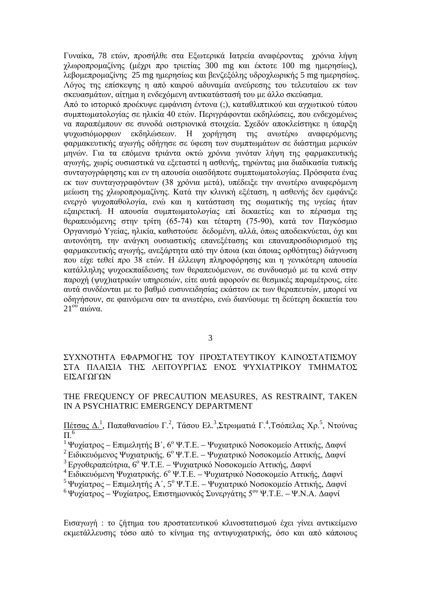Γυναίκα, 78 ετών, προσήλθε στα Εξωτερικά Ιατρεία αναφέροντας χρόνια λήψη χλωροπρομαζίνης (μέχρι προ τριετίας 300 mg και έκτοτε 100 mg ημερησίως), λεβομεπρομαζίνης 25 mg ημερησίως και βενζεξόλης υδροχλωρικής 5 mg ημερησίως. Λόγος της επίσκεψης η από καιρού αδυναμία ανεύρεσης του τελευταίου εκ των σκευασμάτων, αίτημα η ενδεχόμενη αντικατάστασή του με άλλο σκεύασμα.

Από το ιστορικό προέκυψε εμφάνιση έντονα (;), καταθλιπτικού και αγχωτικού τύπου συμπτωματολογίας σε ηλικία 40 ετών. Περιγράφονται εκδηλώσεις, που ενδεχομένως να παραπέμπουν σε συνοδά οιστριονικά στοιχεία. Σχεδόν αποκλείστηκε η ύπαρξη ψυχωσιόμορφων εκδηλώσεων. Η χορήγηση της ανωτέρω αναφερόμενης φαρμακευτικής αγωγής οδήγησε σε ύφεση των συμπτωμάτων σε διάστημα μερικών μηνών. Για τα επόμενα τριάντα οκτώ χρόνια γινόταν λήψη της φαρμακευτικής αγωγής, χωρίς ουσιαστικά να εξεταστεί η ασθενής, τηρώντας μια διαδικασία τυπικής συνταγογράφησης και εν τη απουσία οιασδήποτε συμπτωματολογίας. Πρόσφατα ένας εκ των συνταγογραφόντων (38 χρόνια μετά), υπέδειξε την ανωτέρω αναφερόμενη μείωση της χλωροπρομαζίνης. Κατά την κλινική εξέταση, η ασθενής δεν εμφάνιζε ενεργό ψυχοπαθολογία, ενώ και η κατάσταση της σωματικής της υγείας ήταν εξαιρετική. Η απουσία συμπτωματολογίας επί δεκαετίες και το πέρασμα της θεραπευόμενης στην τρίτη (65-74) και τέταρτη (75-90), κατά τον Παγκόσμιο Οργανισμό Υγείας, ηλικία, καθιστούσε δεδομένη, αλλά, όπως αποδεικνύεται, όχι και αυτονόητη, την ανάγκη ουσιαστικής επανεξέτασης και επαναπροσδιορισμού της φαρμακευτικής αγωγής, ανεξάρτητα από την όποια (και όποιας ορθότητας) διάγνωση που είχε τεθεί προ 38 ετών. Η έλλειψη πληροφόρησης και η γενικότερη απουσία κατάλληλης ψυχοεκπαίδευσης των θεραπευόμενων, σε συνδυασμό με τα κενά στην παροχή (ψυχ)ιατρικών υπηρεσιών, είτε αυτά αφορούν σε θεσμικές παραμέτρους, είτε αυτά συνδέονται με το βαθμό ευσυνειδησίας εκάστου εκ των θεραπευτών, μπορεί να οδηγήσουν, σε φαινόμενα σαν τα ανωτέρω, ενώ διανύουμε τη δεύτερη δεκαετία του 21<sup>ου</sup> αιώνα.

### ΣΥΧΝΟΤΗΤΑ ΕΦΑΡΜΟΓΗΣ ΤΟΥ ΠΡΟΣΤΑΤΕΥΤΙΚΟΥ ΚΛΙΝΟΣΤΑΤΙΣΜΟΥ ΣΤΑ ΠΛΑΙΣΙΑ ΤΗΣ ΛΕΙΤΟΥΡΓΙΑΣ ΕΝΟΣ ΨΥΧΙΑΤΡΙΚΟΥ ΤΜΗΜΑΤΟΣ ΕΙΣΑΓΩΓΩΝ

### THE FREQUENCY OF PRECAUTION MEASURES, AS RESTRAINT, TAKEN IN A PSYCHIATRIC EMERGENCY DEPARTMENT

<u>Πέτσας Δ.<sup>1</sup>,</u> Παπαθανασίου Γ.<sup>2</sup>, Τάσου Ελ.<sup>3</sup>,Στρωματιά Γ.<sup>4</sup>,Τσόπελας Χρ.<sup>5</sup>, Ντούνας  $\Pi$ .<sup>6</sup>

<sup>1</sup> Ψυχίατρος – Επιμελητής Β΄, 6<sup>ο</sup> Ψ.Τ.Ε. – Ψυχιατρικό Νοσοκομείο Αττικής, Δαφνί

<sup>2</sup> Ειδικευόμενος Ψυγιατρικής, 6<sup>ο</sup> Ψ.Τ.Ε. – Ψυγιατρικό Νοσοκομείο Αττικής, Δαφνί

<sup>3</sup> Εργοθεραπεύτρια, 6<sup>°</sup> Ψ.Τ.Ε. – Ψυγιατρικό Νοσοκομείο Αττικής, Δαφνί

- <sup>4</sup>Ειδικευόμενη Ψυχιατρικής. 6ο Ψ.Τ.Ε. Ψυχιατρικό Νοσοκομείο Αττικής, Δαφνί
- <sup>5</sup>Ψυχίατρος Επιμελητής Α΄, 5<sup>ο</sup> Ψ.Τ.Ε. Ψυχιατρικό Νοσοκομείο Αττικής, Δαφνί

<sup>6</sup>Ψυχίατρος – Ψυχίατρος, Επιστημονικός Συνεργάτης 5ου Ψ.Τ.Ε. – Ψ.Ν.Α. Δαφνί

Εισαγωγή : το ζήτημα του προστατευτικού κλινοστατισμού έχει γίνει αντικείμενο εκμετάλλευσης τόσο από το κίνημα της αντιψυχιατρικής, όσο και από κάποιους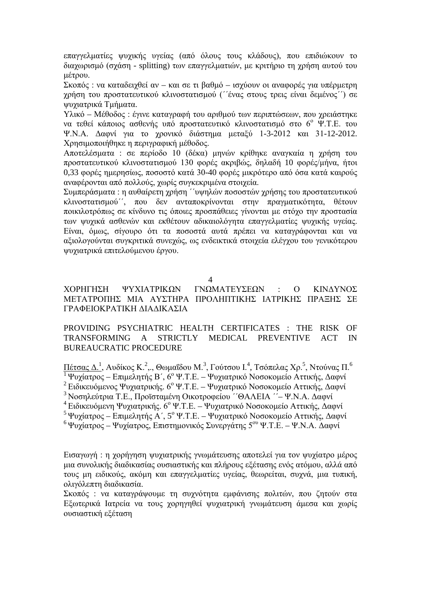επαγγελματίες ψυχικής υγείας (από όλους τους κλάδους), που επιδιώκουν το διαχωρισμό (σχάση - splitting) των επαγγελματιών, με κριτήριο τη χρήση αυτού του μέτρου.

Σκοπός : να καταδειχθεί αν – και σε τι βαθμό – ισχύουν οι αναφορές για υπέρμετρη χρήση του προστατευτικού κλινοστατισμού (΄΄ένας στους τρεις είναι δεμένος΄΄) σε ψυχιατρικά Τμήματα.

Υλικό – Μέθοδος : έγινε καταγραφή του αριθμού των περιπτώσεων, που χρειάστηκε να τεθεί κάποιος ασθενής υπό προστατευτικό κλινοστατισμό στο 6<sup>°</sup> Ψ.Τ.Ε. του Ψ.Ν.Α. Δαφνί για το χρονικό διάστημα μεταξύ 1-3-2012 και 31-12-2012. Χρησιμοποιήθηκε η περιγραφική μέθοδος.

Αποτελέσματα : σε περίοδο 10 (δέκα) μηνών κρίθηκε αναγκαία η χρήση του προστατευτικού κλινοστατισμού 130 φορές ακριβώς, δηλαδή 10 φορές/μήνα, ήτοι 0,33 φορές ημερησίως, ποσοστό κατά 30-40 φορές μικρότερο από όσα κατά καιρούς αναφέρονται από πολλούς, χωρίς συγκεκριμένα στοιχεία.

Συμπεράσματα : η αυθαίρετη χρήση ΄΄υψηλών ποσοστών χρήσης του προστατευτικού κλινοστατισμού΄΄, που δεν ανταποκρίνονται στην πραγματικότητα, θέτουν ποικιλοτρόπως σε κίνδυνο τις όποιες προσπάθειες γίνονται με στόχο την προστασία των ψυχικά ασθενών και εκθέτουν αδικαιολόγητα επαγγελματίες ψυχικής υγείας. Είναι, όμως, σίγουρο ότι τα ποσοστά αυτά πρέπει να καταγράφονται και να αξιολογούνται συγκριτικά συνεχώς, ως ενδεικτικά στοιχεία ελέγχου του γενικότερου ψυχιατρικά επιτελούμενου έργου.

4

### ΧΟΡΗΓΗΣH ΨΥΧΙΑΤΡΙΚΩΝ ΓΝΩΜΑΤΕΥΣΕΩΝ : Ο ΚΙΝΔΥΝΟΣ ΜΕΤΑΤΡΟΠΗΣ ΜΙΑ ΑΥΣΤΗΡΑ ΠΡΟΛΗΠΤΙΚΗΣ ΙΑΤΡΙΚΗΣ ΠΡΑΞΗΣ ΣΕ ΓΡΑΦΕΙOΚΡΑΤΙΚΗ ΔΙΑΔΙΚΑΣΙΑ

### PROVIDING PSYCHIATRIC HEALTH CERTIFICATES : THE RISK OF TRANSFORMING A STRICTLY MEDICAL PREVENTIVE ACT IN BUREAUCRATIC PROCEDURE

 $\Pi$ έτσας Δ. $^1$ , Αυδίκος Κ. $^2$ ,., Θωμαΐδου Μ. $^3$ , Γούτσου Ι. $^4$ , Τσόπελας Χρ. $^5$ , Ντούνας Π. $^6$  $\frac{1}{1}$  Ψυχίατρος – Επιμελητής Β΄, 6<sup>ο</sup> Ψ.Τ.Ε. – Ψυχιατρικό Νοσοκομείο Αττικής, Δαφνί <sup>2</sup> Ειδικευόμενος Ψυχιατρικής. 6<sup>ο</sup> Ψ.Τ.Ε. – Ψυχιατρικό Νοσοκομείο Αττικής, Δαφνί <sup>3</sup>Νοσηλεύτρια Τ.Ε., Προϊσταμένη Οικοτροφείου ΄΄ΘΑΛΕΙΑ ΄΄– Ψ.Ν.Α. Δαφνί <sup>4</sup> Ειδικευόμενη Ψυγιατρικής. 6<sup>ο</sup> Ψ.Τ.Ε. – Ψυγιατρικό Νοσοκομείο Αττικής, Δαφνί <sup>5</sup>Ψυχίατρος – Επιμελητής Α΄, 5<sup>ο</sup> Ψ.Τ.Ε. – Ψυχιατρικό Νοσοκομείο Αττικής, Δαφνί <sup>6</sup> Ψυχίατρος – Ψυχίατρος, Επιστημονικός Συνεργάτης 5<sup>ου</sup> Ψ.Τ.Ε. – Ψ.Ν.Α. Δαφνί

Εισαγωγή : η χορήγηση ψυχιατρικής γνωμάτευσης αποτελεί για τον ψυχίατρο μέρος μια συνολικής διαδικασίας ουσιαστικής και πλήρους εξέτασης ενός ατόμου, αλλά από τους μη ειδικούς, ακόμη και επαγγελματίες υγείας, θεωρείται, συχνά, μια τυπική, ολιγόλεπτη διαδικασία.

Σκοπός : να καταγράψουμε τη συχνότητα εμφάνισης πολιτών, που ζητούν στα Εξωτερικά Ιατρεία να τους χορηγηθεί ψυχιατρική γνωμάτευση άμεσα και χωρίς ουσιαστική εξέταση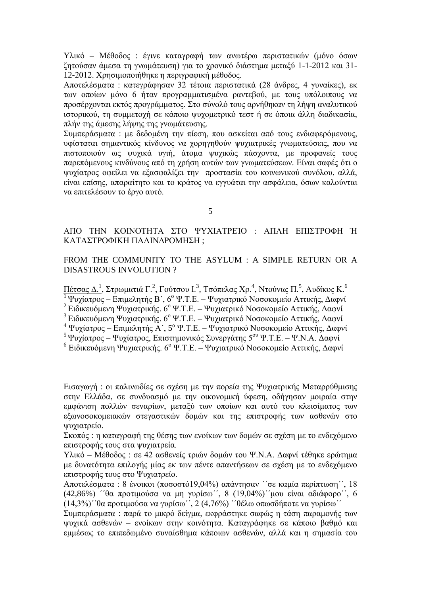Υλικό – Μέθοδος : έγινε καταγραφή των ανωτέρω περιστατικών (μόνο όσων ζητούσαν άμεσα τη γνωμάτευση) για το χρονικό διάστημα μεταξύ 1-1-2012 και 31- 12-2012. Χρησιμοποιήθηκε η περιγραφική μέθοδος.

Αποτελέσματα : κατεγράφησαν 32 τέτοια περιστατικά (28 άνδρες, 4 γυναίκες), εκ των οποίων μόνο 6 ήταν προγραμματισμένα ραντεβού, με τους υπόλοιπους να προσέρχονται εκτός προγράμματος. Στο σύνολό τους αρνήθηκαν τη λήψη αναλυτικού ιστορικού, τη συμμετοχή σε κάποιο ψυχομετρικό τεστ ή σε όποια άλλη διαδικασία, πλήν της άμεσης λήψης της γνωμάτευσης.

Συμπεράσματα : με δεδομένη την πίεση, που ασκείται από τους ενδιαφερόμενους, υφίσταται σημαντικός κίνδυνος να χορηγηθούν ψυχιατρικές γνωματεύσεις, που να πιστοποιούν ως ψυχικά υγιή, άτομα ψυχικώς πάσχοντα, με προφανείς τους παρεπόμενους κινδύνους από τη χρήση αυτών των γνωματεύσεων. Είναι σαφές ότι ο ψυχίατρος οφείλει να εξασφαλίζει την προστασία του κοινωνικού συνόλου, αλλά, είναι επίσης, απαραίτητο και το κράτος να εγγυάται την ασφάλεια, όσων καλούνται να επιτελέσουν το έργο αυτό.

5

### ΑΠΟ ΤΗΝ ΚΟΙΝΟΤΗΤΑ ΣΤΟ ΨΥΧΙΑΤΡΕΊΟ : ΑΠΛΗ ΕΠΙΣΤΡΟΦΗ Ή ΚΑΤΑΣΤΡΟΦΙΚΗ ΠΑΛΙΝΔΡΟΜΗΣΗ ;

FROM THE COMMUNITY TO THE ASYLUM : A SIMPLE RETURN OR A DISASTROUS INVOLUTION ?

 $\Pi$ έτσας Δ. $^1$ , Στρωματιά Γ.<sup>2</sup>, Γούτσου Ι.<sup>3</sup>, Τσόπελας Χρ.<sup>4</sup>, Ντούνας Π.<sup>5</sup>, Αυδίκος Κ.<sup>6</sup>

1 Ψυχίατρος – Επιμελητής Β΄, 6<sup>ο</sup> Ψ.Τ.Ε. – Ψυχιατρικό Νοσοκομείο Αττικής, Δαφνί

<sup>2</sup> Ειδικευόμενη Ψυχιατρικής. 6ο Ψ.Τ.Ε. – Ψυχιατρικό Νοσοκομείο Αττικής, Δαφνί

<sup>3</sup> Ειδικευόμενη Ψυχιατρικής. 6<sup>°</sup> Ψ.Τ.Ε. – Ψυχιατρικό Νοσοκομείο Αττικής, Δαφνί

 $4 \text{ }\Psi$ υγίατρος – Επιμελητής Α΄,  $5^{\circ} \Psi$ .Τ.Ε. – Ψυγιατρικό Νοσοκομείο Αττικής, Δαφνί

<sup>5</sup> Ψυχίατρος – Ψυχίατρος, Επιστημονικός Συνεργάτης 5<sup>ου</sup> Ψ.Τ.Ε. – Ψ.Ν.Α. Δαφνί

<sup>6</sup> Ειδικευόμενη Ψυχιατρικής. 6<sup>ο</sup> Ψ.Τ.Ε. – Ψυχιατρικό Νοσοκομείο Αττικής, Δαφνί

Εισαγωγή : οι παλινωδίες σε σχέση με την πορεία της Ψυχιατρικής Μεταρρύθμισης στην Ελλάδα, σε συνδυασμό με την οικονομική ύφεση, οδήγησαν μοιραία στην εμφάνιση πολλών σεναρίων, μεταξύ των οποίων και αυτό του κλεισίματος των εξωνοσοκομειακών στεγαστικών δομών και της επιστροφής των ασθενών στο ψυχιατρείο.

Σκοπός : η καταγραφή της θέσης των ενοίκων των δομών σε σχέση με το ενδεχόμενο επιστροφής τους στα ψυχιατρεία.

Υλικό – Μέθοδος : σε 42 ασθενείς τριών δομών του Ψ.Ν.Α. Δαφνί τέθηκε ερώτημα με δυνατότητα επιλογής μίας εκ των πέντε απαντήσεων σε σχέση με το ενδεχόμενο επιστροφής τους στο Ψυχιατρείο.

Αποτελέσματα : 8 ένοικοι (ποσοστό19,04%) απάντησαν ΄΄σε καμία περίπτωση΄΄, 18 (42,86%) ΄΄θα προτιμούσα να μη γυρίσω΄΄, 8 (19,04%)΄΄μου είναι αδιάφορο΄΄, 6 (14,3%)΄΄θα προτιμούσα να γυρίσω΄΄, 2 (4,76%) ΄΄θέλω οπωσδήποτε να γυρίσω΄΄

Συμπεράσματα : παρά το μικρό δείγμα, εκφράστηκε σαφώς η τάση παραμονής των ψυχικά ασθενών – ενοίκων στην κοινότητα. Καταγράφηκε σε κάποιο βαθμό και εμμέσως το επιπεδωμένο συναίσθημα κάποιων ασθενών, αλλά και η σημασία του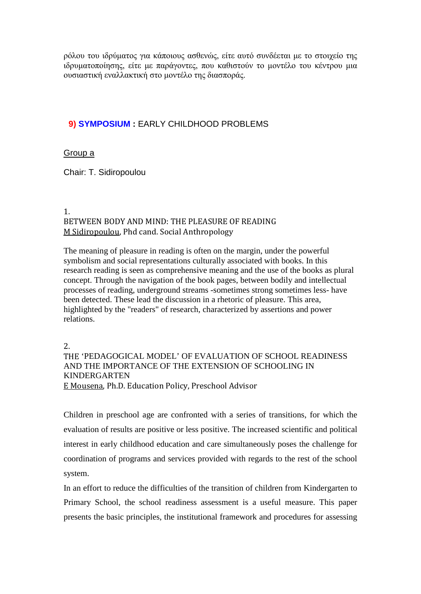ρόλου του ιδρύματος για κάποιους ασθενώς, είτε αυτό συνδέεται με το στοιχείο της ιδρυματοποίησης, είτε με παράγοντες, που καθιστούν το μοντέλο του κέντρου μια ουσιαστική εναλλακτική στο μοντέλο της διασποράς.

### **9) SYMPOSIUM :** EARLY CHILDHOOD PROBLEMS

### Group a

Chair: T. Sidiropoulou

### 1. BETWEEN BODY AND MIND: THE PLEASURE OF READING M Sidiropoulou, Phd cand. Social Anthropology

The meaning of pleasure in reading is often on the margin, under the powerful symbolism and social representations culturally associated with books. In this research reading is seen as comprehensive meaning and the use of the books as plural concept. Through the navigation of the book pages, between bodily and intellectual processes of reading, underground streams -sometimes strong sometimes less- have been detected. These lead the discussion in a rhetoric of pleasure. This area, highlighted by the "readers" of research, characterized by assertions and power relations.

2.

### THE 'PEDAGOGICAL MODEL' OF EVALUATION OF SCHOOL READINESS AND THE IMPORTANCE OF THE EXTENSION OF SCHOOLING IN KINDERGARTEN E Mousena, Ph.D. Education Policy, Preschool Advisor

Children in preschool age are confronted with a series of transitions, for which the evaluation of results are positive or less positive. The increased scientific and political interest in early childhood education and care simultaneously poses the challenge for coordination of programs and services provided with regards to the rest of the school system.

In an effort to reduce the difficulties of the transition of children from Kindergarten to Primary School, the school readiness assessment is a useful measure. This paper presents the basic principles, the institutional framework and procedures for assessing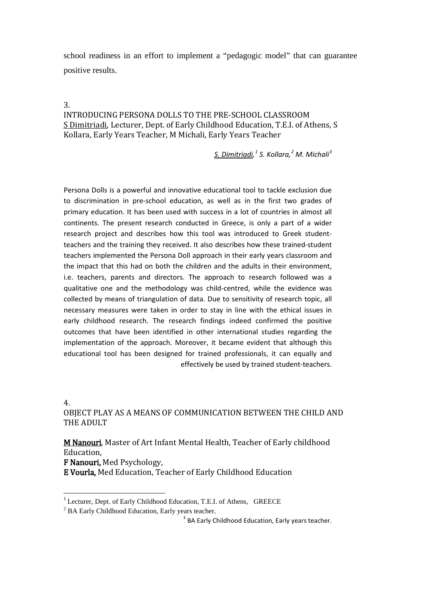school readiness in an effort to implement a "pedagogic model" that can guarantee positive results.

#### 3.

### INTRODUCING PERSONA DOLLS TO THE PRE-SCHOOL CLASSROOM S Dimitriadi, Lecturer, Dept. of Early Childhood Education, T.E.I. of Athens, S Kollara, Early Years Teacher, M Michali, Early Years Teacher

*<sup>3</sup> S. Kollara, M. Michali [1](#page-14-1) [2](#page-14-0) S. Dimitriadi[,](#page-14-2)*

Persona Dolls is a powerful and innovative educational tool to tackle exclusion due to discrimination in pre-school education, as well as in the first two grades of primary education. It has been used with success in a lot of countries in almost all continents. The present research conducted in Greece, is only a part of a wider research project and describes how this tool was introduced to Greek studentteachers and the training they received. It also describes how these trained-student teachers implemented the Persona Doll approach in their early years classroom and the impact that this had on both the children and the adults in their environment, i.e. teachers, parents and directors. The approach to research followed was a qualitative one and the methodology was child-centred, while the evidence was collected by means of triangulation of data. Due to sensitivity of research topic, all necessary measures were taken in order to stay in line with the ethical issues in early childhood research. The research findings indeed confirmed the positive outcomes that have been identified in other international studies regarding the implementation of the approach. Moreover, it became evident that although this educational tool has been designed for trained professionals, it can equally and effectively be used by trained student-teachers.

4.

### OBJECT PLAY AS A MEANS OF COMMUNICATION BETWEEN THE CHILD AND THE ADULT

M Nanouri, Master of Art Infant Mental Health, Teacher of Early childhood Education,

F Nanouri, Med Psychology,

E Vourla, Med Education, Teacher of Early Childhood Education

<span id="page-14-2"></span><sup>&</sup>lt;sup>1</sup> Lecturer, Dept. of Early Childhood Education, T.E.I. of Athens, GREECE

<span id="page-14-1"></span><span id="page-14-0"></span><sup>&</sup>lt;sup>2</sup> BA Early Childhood Education, Early years teacher.

<sup>&</sup>lt;sup>3</sup> BA Early Childhood Education, Early years teacher.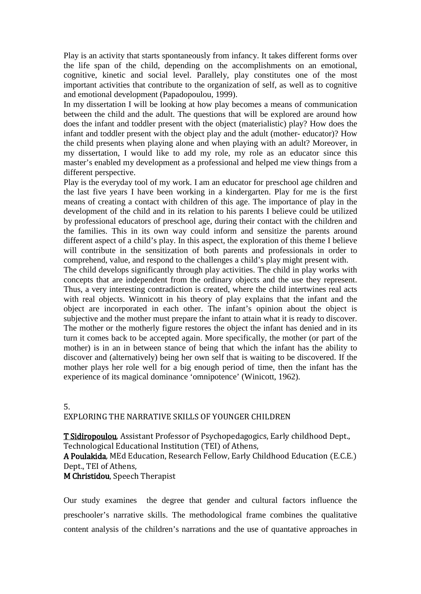Play is an activity that starts spontaneously from infancy. It takes different forms over the life span of the child, depending on the accomplishments on an emotional, cognitive, kinetic and social level. Parallely, play constitutes one of the most important activities that contribute to the organization of self, as well as to cognitive and emotional development (Papadopoulou, 1999).

In my dissertation I will be looking at how play becomes a means of communication between the child and the adult. The questions that will be explored are around how does the infant and toddler present with the object (materialistic) play? How does the infant and toddler present with the object play and the adult (mother- educator)? How the child presents when playing alone and when playing with an adult? Moreover, in my dissertation, I would like to add my role, my role as an educator since this master's enabled my development as a professional and helped me view things from a different perspective.

Play is the everyday tool of my work. I am an educator for preschool age children and the last five years I have been working in a kindergarten. Play for me is the first means of creating a contact with children of this age. The importance of play in the development of the child and in its relation to his parents I believe could be utilized by professional educators of preschool age, during their contact with the children and the families. This in its own way could inform and sensitize the parents around different aspect of a child's play. In this aspect, the exploration of this theme I believe will contribute in the sensitization of both parents and professionals in order to comprehend, value, and respond to the challenges a child's play might present with.

The child develops significantly through play activities. The child in play works with concepts that are independent from the ordinary objects and the use they represent. Thus, a very interesting contradiction is created, where the child intertwines real acts with real objects. Winnicott in his theory of play explains that the infant and the object are incorporated in each other. The infant's opinion about the object is subjective and the mother must prepare the infant to attain what it is ready to discover. The mother or the motherly figure restores the object the infant has denied and in its turn it comes back to be accepted again. More specifically, the mother (or part of the mother) is in an in between stance of being that which the infant has the ability to discover and (alternatively) being her own self that is waiting to be discovered. If the mother plays her role well for a big enough period of time, then the infant has the experience of its magical dominance 'omnipotence' (Winicott, 1962).

#### 5.

### EXPLORING THE NARRATIVE SKILLS OF YOUNGER CHILDREN

T Sidiropoulou, Assistant Professor of Psychopedagogics, Early childhood Dept., Technological Educational Institution (TEI) of Athens,

A Poulakida, MEd Education, Research Fellow, Early Childhood Education (E.C.E.) Dept., TEI of Athens,

### M Christidou, Speech Therapist

Our study examines the degree that gender and cultural factors influence the preschooler's narrative skills. The methodological frame combines the qualitative content analysis of the children's narrations and the use of quantative approaches in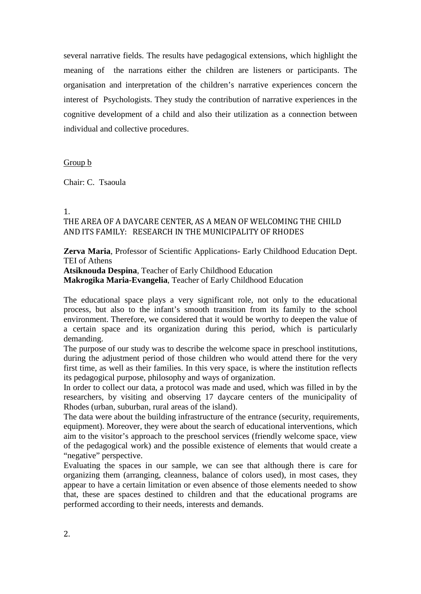several narrative fields. The results have pedagogical extensions, which highlight the meaning of the narrations either the children are listeners or participants. The organisation and interpretation of the children's narrative experiences concern the interest of Psychologists. They study the contribution of narrative experiences in the cognitive development of a child and also their utilization as a connection between individual and collective procedures.

#### Group b

Chair: C. Tsaoula

#### 1.

### THE AREA OF A DAYCARE CENTER, AS A MEAN OF WELCOMING THE CHILD AND ITS FAMILY: RESEARCH IN THE MUNICIPALITY OF RHODES

**Zerva Maria**, Professor of Scientific Applications- Early Childhood Education Dept. TEI of Athens

**Atsiknouda Despina**, Teacher of Early Childhood Education **Makrogika Maria-Evangelia**, Teacher of Early Childhood Education

The educational space plays a very significant role, not only to the educational process, but also to the infant's smooth transition from its family to the school environment. Therefore, we considered that it would be worthy to deepen the value of a certain space and its organization during this period, which is particularly demanding.

The purpose of our study was to describe the welcome space in preschool institutions, during the adjustment period of those children who would attend there for the very first time, as well as their families. In this very space, is where the institution reflects its pedagogical purpose, philosophy and ways of organization.

In order to collect our data, a protocol was made and used, which was filled in by the researchers, by visiting and observing 17 daycare centers of the municipality of Rhodes (urban, suburban, rural areas of the island).

The data were about the building infrastructure of the entrance (security, requirements, equipment). Moreover, they were about the search of educational interventions, which aim to the visitor's approach to the preschool services (friendly welcome space, view of the pedagogical work) and the possible existence of elements that would create a "negative" perspective.

Evaluating the spaces in our sample, we can see that although there is care for organizing them (arranging, cleanness, balance of colors used), in most cases, they appear to have a certain limitation or even absence of those elements needed to show that, these are spaces destined to children and that the educational programs are performed according to their needs, interests and demands.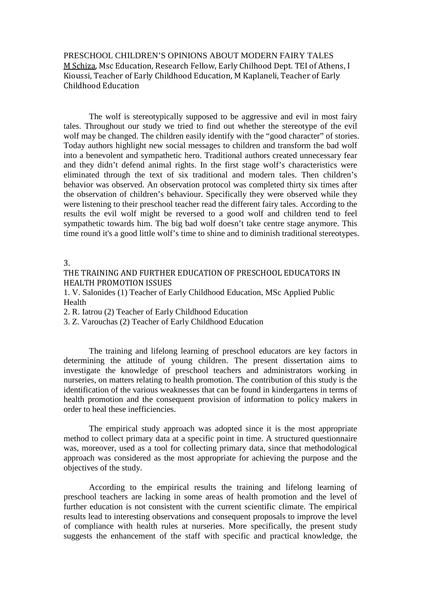PRESCHOOL CHILDREN'S OPINIONS ABOUT MODERN FAIRY TALES M Schiza, Msc Education, Research Fellow, Early Chilhood Dept. TEI of Athens, I Kioussi, Teacher of Early Childhood Education, M Kaplaneli, Teacher of Early Childhood Education

The wolf is stereotypically supposed to be aggressive and evil in most fairy tales. Throughout our study we tried to find out whether the stereotype of the evil wolf may be changed. The children easily identify with the "good character" of stories. Today authors highlight new social messages to children and transform the bad wolf into a benevolent and sympathetic hero. Traditional authors created unnecessary fear and they didn't defend animal rights. In the first stage wolf's characteristics were eliminated through the text of six traditional and modern tales. Then children's behavior was observed. An observation protocol was completed thirty six times after the observation of children's behaviour. Specifically they were observed while they were listening to their preschool teacher read the different fairy tales. According to the results the evil wolf might be reversed to a good wolf and children tend to feel sympathetic towards him. The big bad wolf doesn't take centre stage anymore. This time round it's a good little wolf's time to shine and to diminish traditional stereotypes.

3.

THE TRAINING AND FURTHER EDUCATION OF PRESCHOOL EDUCATORS IN HEALTH PROMOTION ISSUES

1. V. Salonides (1) Teacher of Early Childhood Education, MSc Applied Public Health

2. R. Iatrou (2) Teacher of Early Childhood Education

3. Z. Varouchas (2) Teacher of Early Childhood Education

The training and lifelong learning of preschool educators are key factors in determining the attitude of young children. The present dissertation aims to investigate the knowledge of preschool teachers and administrators working in nurseries, on matters relating to health promotion. The contribution of this study is the identification of the various weaknesses that can be found in kindergartens in terms of health promotion and the consequent provision of information to policy makers in order to heal these inefficiencies.

The empirical study approach was adopted since it is the most appropriate method to collect primary data at a specific point in time. A structured questionnaire was, moreover, used as a tool for collecting primary data, since that methodological approach was considered as the most appropriate for achieving the purpose and the objectives of the study.

According to the empirical results the training and lifelong learning of preschool teachers are lacking in some areas of health promotion and the level of further education is not consistent with the current scientific climate. The empirical results lead to interesting observations and consequent proposals to improve the level of compliance with health rules at nurseries. More specifically, the present study suggests the enhancement of the staff with specific and practical knowledge, the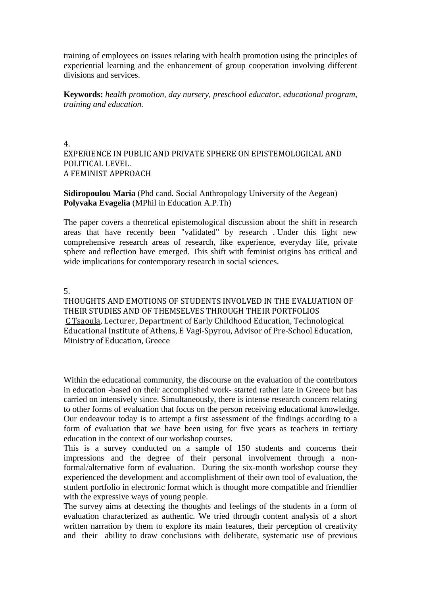training of employees on issues relating with health promotion using the principles of experiential learning and the enhancement of group cooperation involving different divisions and services.

**Keywords:** *health promotion, day nursery, preschool educator, educational program, training and education.*

### 4. EXPERIENCE IN PUBLIC AND PRIVATE SPHERE ON EPISTEMOLOGICAL AND POLITICAL LEVEL. A FEMINIST APPROACH

**Sidiropoulou Maria** (Phd cand. Social Anthropology University of the Aegean) **Polyvaka Evagelia** (MPhil in Education [A.P.Th\)](http://a.p.th/)

The paper covers a theoretical epistemological discussion about the shift in research areas that have recently been "validated" by research . Under this light new comprehensive research areas of research, like experience, everyday life, private sphere and reflection have emerged. This shift with feminist origins has critical and wide implications for contemporary research in social sciences.

5.

THOUGHTS AND EMOTIONS OF STUDENTS INVOLVED IN THE EVALUATION OF THEIR STUDIES AND OF THEMSELVES THROUGH THEIR PORTFOLIOS C Tsaoula, Lecturer, Department of Early Childhood Education, Technological Educational Institute of Athens, E Vagi-Spyrou, Advisor of Pre-School Education, Ministry of Education, Greece

Within the educational community, the discourse on the evaluation of the contributors in education -based on their accomplished work- started rather late in Greece but has carried on intensively since. Simultaneously, there is intense research concern relating to other forms of evaluation that focus on the person receiving educational knowledge. Our endeavour today is to attempt a first assessment of the findings according to a form of evaluation that we have been using for five years as teachers in tertiary education in the context of our workshop courses.

This is a survey conducted on a sample of 150 students and concerns their impressions and the degree of their personal involvement through a nonformal/alternative form of evaluation. During the six-month workshop course they experienced the development and accomplishment of their own tool of evaluation, the student portfolio in electronic format which is thought more compatible and friendlier with the expressive ways of young people.

The survey aims at detecting the thoughts and feelings of the students in a form of evaluation characterized as authentic. We tried through content analysis of a short written narration by them to explore its main features, their perception of creativity and their ability to draw conclusions with deliberate, systematic use of previous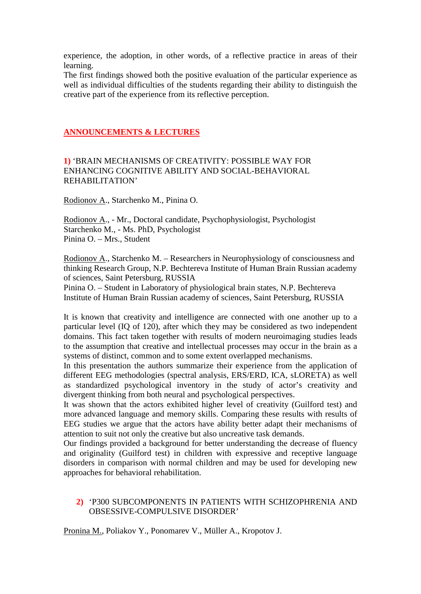experience, the adoption, in other words, of a reflective practice in areas of their learning.

The first findings showed both the positive evaluation of the particular experience as well as individual difficulties of the students regarding their ability to distinguish the creative part of the experience from its reflective perception.

### **ANNOUNCEMENTS & LECTURES**

### **1)** 'BRAIN MECHANISMS OF CREATIVITY: POSSIBLE WAY FOR ENHANCING COGNITIVE ABILITY AND SOCIAL-BEHAVIORAL REHABILITATION'

Rodionov A., Starchenko M., Pinina O.

Rodionov A., - Mr., Doctoral candidate, Psychophysiologist, Psychologist Starchenko M., - Ms. PhD, Psychologist Pinina O. – Mrs., Student

Rodionov A., Starchenko M. – Researchers in Neurophysiology of consciousness and thinking Research Group, N.P. Bechtereva Institute of Human Brain Russian academy of sciences, Saint Petersburg, RUSSIA

Pinina O. – Student in Laboratory of physiological brain states, N.P. Bechtereva Institute of Human Brain Russian academy of sciences, Saint Petersburg, RUSSIA

It is known that creativity and intelligence are connected with one another up to a particular level (IQ of 120), after which they may be considered as two independent domains. This fact taken together with results of modern neuroimaging studies leads to the assumption that creative and intellectual processes may occur in the brain as a systems of distinct, common and to some extent overlapped mechanisms.

In this presentation the authors summarize their experience from the application of different EEG methodologies (spectral analysis, ERS/ERD, ICA, sLORETA) as well as standardized psychological inventory in the study of actor's creativity and divergent thinking from both neural and psychological perspectives.

It was shown that the actors exhibited higher level of creativity (Guilford test) and more advanced language and memory skills. Comparing these results with results of EEG studies we argue that the actors have ability better adapt their mechanisms of attention to suit not only the creative but also uncreative task demands.

Our findings provided a background for better understanding the decrease of fluency and originality (Guilford test) in children with expressive and receptive language disorders in comparison with normal children and may be used for developing new approaches for behavioral rehabilitation.

### **2)** 'P300 SUBCOMPONENTS IN PATIENTS WITH SCHIZOPHRENIA AND OBSESSIVE-COMPULSIVE DISORDER'

Pronina M., Poliakov Y., Ponomarev V., Müller A., Kropotov J.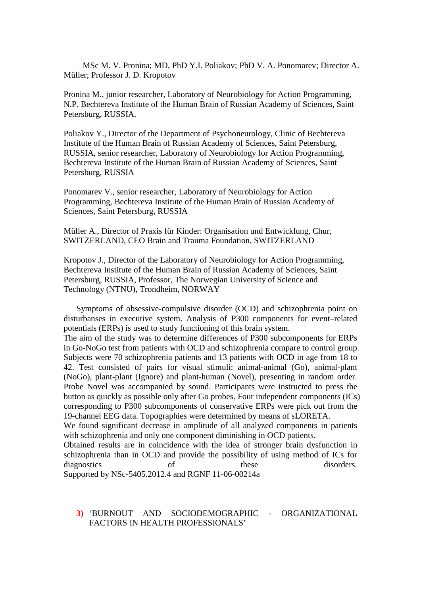MSc M. V. Pronina; MD, PhD Y.I. Poliakov; PhD V. A. Ponomarev; Director A. Müller; Professor J. D. Kropotov

Pronina M., junior researcher, Laboratory of Neurobiology for Action Programming, N.P. Bechtereva Institute of the Human Brain of Russian Academy of Sciences, Saint Petersburg, RUSSIA.

Poliakov Y., Director of the Department of Psychoneurology, Clinic of Bechtereva Institute of the Human Brain of Russian Academy of Sciences, Saint Petersburg, RUSSIA, senior researcher, Laboratory of Neurobiology for Action Programming, Bechtereva Institute of the Human Brain of Russian Academy of Sciences, Saint Petersburg, RUSSIA

Ponomarev V., senior researcher, Laboratory of Neurobiology for Action Programming, Bechtereva Institute of the Human Brain of Russian Academy of Sciences, Saint Petersburg, RUSSIA

Müller A., Director of Praxis für Kinder: Organisation und Entwicklung, Chur, SWITZERLAND, CEO Brain and Trauma Foundation, SWITZERLAND

Kropotov J., Director of the Laboratory of Neurobiology for Action Programming, Bechtereva Institute of the Human Brain of Russian Academy of Sciences, Saint Petersburg, RUSSIA, Professor, The Norwegian University of Science and Technology (NTNU), Trondheim, NORWAY

 Symptoms of obsessive-compulsive disorder (OCD) and schizophrenia point on disturbanses in executive system. Analysis of P300 components for event–related potentials (ERPs) is used to study functioning of this brain system.

The aim of the study was to determine differences of P300 subcomponents for ERPs in Go-NoGo test from patients with OCD and schizophrenia compare to control group. Subjects were 70 schizophrenia patients and 13 patients with OCD in age from 18 to 42. Test consisted of pairs for visual stimuli: animal-animal (Go), animal-plant (NoGo), plant-plant (Ignore) and plant-human (Novel), presenting in random order. Probe Novel was accompanied by sound. Participants were instructed to press the button as quickly as possible only after Go probes. Four independent components (ICs) corresponding to P300 subcomponents of conservative ERPs were pick out from the 19-channel EEG data. Topographies were determined by means of sLORETA.

We found significant decrease in amplitude of all analyzed components in patients with schizophrenia and only one component diminishing in OCD patients.

Obtained results are in coincidence with the idea of stronger brain dysfunction in schizophrenia than in OCD and provide the possibility of using method of ICs for diagnostics of these disorders. Supported by NSc-5405.2012.4 and RGNF 11-06-00214a

### **3)** 'BURNOUT AND SOCIODEMOGRAPHIC - ORGANIZATIONAL FACTORS IN HEALTH PROFESSIONALS'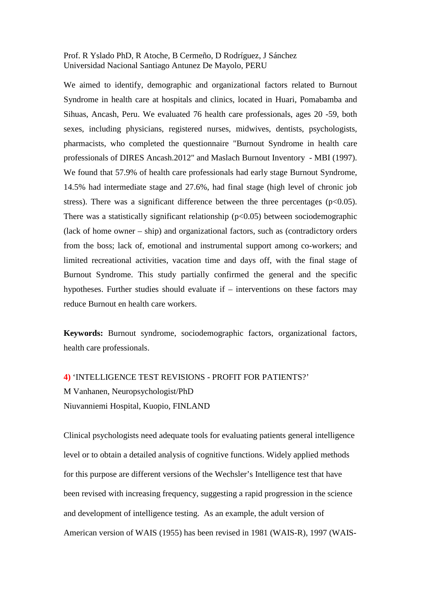Prof. R Yslado PhD, R Atoche, B Cermeño, D Rodríguez, J Sánchez Universidad Nacional Santiago Antunez De Mayolo, PERU

We aimed to identify, demographic and organizational factors related to Burnout Syndrome in health care at hospitals and clinics, located in Huari, Pomabamba and Sihuas, Ancash, Peru. We evaluated 76 health care professionals, ages 20 -59, both sexes, including physicians, registered nurses, midwives, dentists, psychologists, pharmacists, who completed the questionnaire "Burnout Syndrome in health care professionals of DIRES Ancash.2012" and Maslach Burnout Inventory - MBI (1997). We found that 57.9% of health care professionals had early stage Burnout Syndrome, 14.5% had intermediate stage and 27.6%, had final stage (high level of chronic job stress). There was a significant difference between the three percentages ( $p<0.05$ ). There was a statistically significant relationship  $(p<0.05)$  between sociodemographic (lack of home owner – ship) and organizational factors, such as (contradictory orders from the boss; lack of, emotional and instrumental support among co-workers; and limited recreational activities, vacation time and days off, with the final stage of Burnout Syndrome. This study partially confirmed the general and the specific hypotheses. Further studies should evaluate if – interventions on these factors may reduce Burnout en health care workers.

**Keywords:** Burnout syndrome, sociodemographic factors, organizational factors, health care professionals.

**4)** 'INTELLIGENCE TEST REVISIONS - PROFIT FOR PATIENTS?' M Vanhanen, Neuropsychologist/PhD Niuvanniemi Hospital, Kuopio, FINLAND

Clinical psychologists need adequate tools for evaluating patients general intelligence level or to obtain a detailed analysis of cognitive functions. Widely applied methods for this purpose are different versions of the Wechsler's Intelligence test that have been revised with increasing frequency, suggesting a rapid progression in the science and development of intelligence testing. As an example, the adult version of American version of WAIS (1955) has been revised in 1981 (WAIS-R), 1997 (WAIS-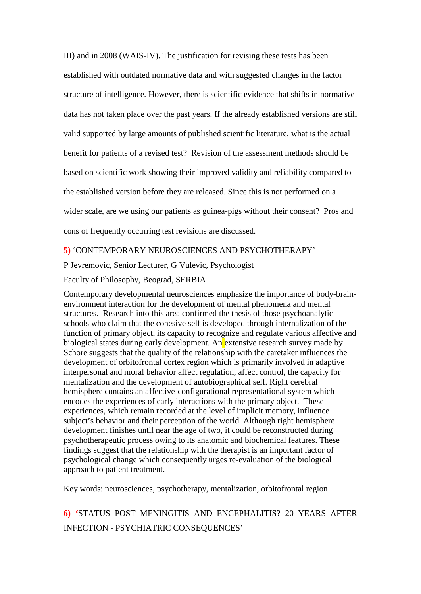III) and in 2008 (WAIS-IV). The justification for revising these tests has been established with outdated normative data and with suggested changes in the factor structure of intelligence. However, there is scientific evidence that shifts in normative data has not taken place over the past years. If the already established versions are still valid supported by large amounts of published scientific literature, what is the actual benefit for patients of a revised test? Revision of the assessment methods should be based on scientific work showing their improved validity and reliability compared to the established version before they are released. Since this is not performed on a wider scale, are we using our patients as guinea-pigs without their consent? Pros and cons of frequently occurring test revisions are discussed.

### **5)** 'CONTEMPORARY NEUROSCIENCES AND PSYCHOTHERAPY'

P Jevremovic, Senior Lecturer, G Vulevic, Psychologist

Faculty of Philosophy, Beograd, SERBIA

Contemporary developmental neurosciences emphasize the importance of body-brainenvironment interaction for the development of mental phenomena and mental structures. Research into this area confirmed the thesis of those psychoanalytic schools who claim that the cohesive self is developed through internalization of the function of primary object, its capacity to recognize and regulate various affective and biological states during early development. An extensive research survey made by Schore suggests that the quality of the relationship with the caretaker influences the development of orbitofrontal cortex region which is primarily involved in adaptive interpersonal and moral behavior affect regulation, affect control, the capacity for mentalization and the development of autobiographical self. Right cerebral hemisphere contains an affective-configurational representational system which encodes the experiences of early interactions with the primary object. These experiences, which remain recorded at the level of implicit memory, influence subject's behavior and their perception of the world. Although right hemisphere development finishes until near the age of two, it could be reconstructed during psychotherapeutic process owing to its anatomic and biochemical features. These findings suggest that the relationship with the therapist is an important factor of psychological change which consequently urges re-evaluation of the biological approach to patient treatment.

Key words: neurosciences, psychotherapy, mentalization, orbitofrontal region

# **6) '**STATUS POST MENINGITIS AND ENCEPHALITIS? 20 YEARS AFTER INFECTION - PSYCHIATRIC CONSEQUENCES'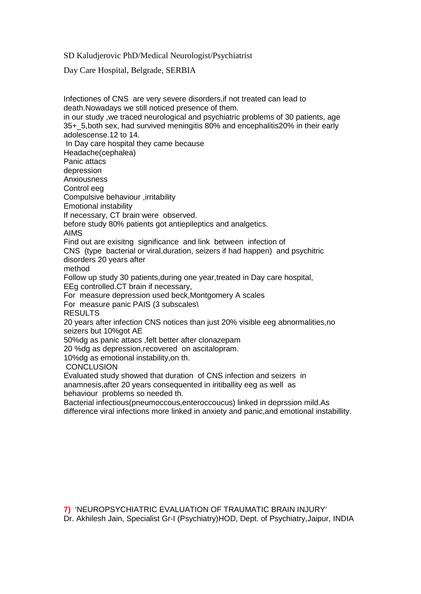SD Kaludjerovic PhD/Medical Neurologist/Psychiatrist

Day Care Hospital, Belgrade, SERBIA

Infectiones of CNS are very severe disorders,if not treated can lead to death.Nowadays we still noticed presence of them. in our study ,we traced neurological and psychiatric problems of 30 patients, age 35+\_5,both sex, had survived meningitis 80% and encephalitis20% in their early adolescense.12 to 14. In Day care hospital they came because Headache(cephalea) Panic attacs depression Anxiousness Control eeg Compulsive behaviour ,irritability Emotional instability If necessary, CT brain were observed. before study 80% patients got antiepileptics and analgetics. AIMS Find out are exisitng significance and link between infection of CNS (type bacterial or viral,duration, seizers if had happen) and psychitric disorders 20 years after method Follow up study 30 patients,during one year,treated in Day care hospital, EEg controlled.CT brain if necessary, For measure depression used beck,Montgomery A scales For measure panic PAIS (3 subscales\ RESULTS 20 years after infection CNS notices than just 20% visible eeg abnormalities,no seizers but 10%got AE 50%dg as panic attacs ,felt better after clonazepam 20 %dg as depression,recovered on ascitalopram. 10%dg as emotional instability,on th. **CONCLUSION** Evaluated study showed that duration of CNS infection and seizers in anamnesis,after 20 years consequented in iritiballity eeg as well as behaviour problems so needed th. Bacterial infectious(pneumoccous,enteroccoucus) linked in deprssion mild.As difference viral infections more linked in anxiety and panic,and emotional instabillity.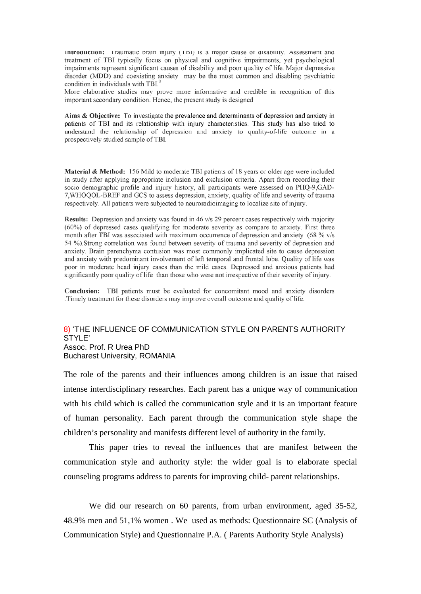Introduction: Traumatic brain injury (TBI) is a major cause of disability. Assessment and treatment of TBI typically focus on physical and cognitive impairments, yet psychological impairments represent significant causes of disability and poor quality of life. Major depressive disorder (MDD) and coexisting anxiety may be the most common and disabling psychiatric condition in individuals with TBI.<sup>3</sup>

More elaborative studies may prove more informative and credible in recognition of this important secondary condition. Hence, the present study is designed

Aims & Objective: To investigate the prevalence and determinants of depression and anxiety in patients of TBI and its relationship with injury characteristics. This study has also tried to understand the relationship of depression and anxiety to quality-of-life outcome in a prospectively studied sample of TBI.

Material & Method: 156 Mild to moderate TBI patients of 18 years or older age were included in study after applying appropriate inclusion and exclusion criteria. Apart from recording their socio demographic profile and injury history, all participants were assessed on PHQ-9,GAD-7, WHOQOL-BREF and GCS to assess depression, anxiety, quality of life and severity of trauma respectively. All patients were subjected to neuroradioimaging to localize site of injury.

Results: Depression and anxiety was found in 46 v/s 29 percent cases respectively with majority (60%) of depressed cases qualifying for moderate severity as compare to anxiety. First three month after TBI was associated with maximum occurrence of depression and anxiety (68 % v/s 54 %).Strong correlation was found between severity of trauma and severity of depression and anxiety. Brain parenchyma contusion was most commonly implicated site to cause depression and anxiety with predominant involvement of left temporal and frontal lobe. Quality of life was poor in moderate head injury cases than the mild cases. Depressed and anxious patients had significantly poor quality of life than those who were not irrespective of their severity of injury.

Conclusion: TBI patients must be evaluated for concomitant mood and anxiety disorders Timely treatment for these disorders may improve overall outcome and quality of life.

### 8) 'THE INFLUENCE OF COMMUNICATION STYLE ON PARENTS AUTHORITY STYLE' Assoc. Prof. R Urea PhD

Bucharest University, ROMANIA

The role of the parents and their influences among children is an issue that raised intense interdisciplinary researches. Each parent has a unique way of communication with his child which is called the communication style and it is an important feature of human personality. Each parent through the communication style shape the children's personality and manifests different level of authority in the family.

This paper tries to reveal the influences that are manifest between the communication style and authority style: the wider goal is to elaborate special counseling programs address to parents for improving child- parent relationships.

We did our research on 60 parents, from urban environment, aged 35-52, 48.9% men and 51,1% women . We used as methods: Questionnaire SC (Analysis of Communication Style) and Questionnaire P.A. ( Parents Authority Style Analysis)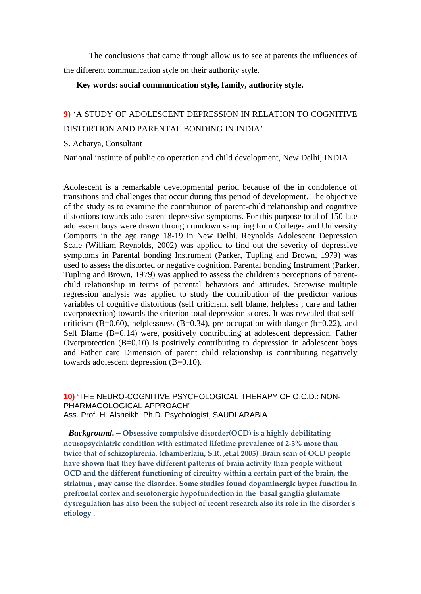The conclusions that came through allow us to see at parents the influences of the different communication style on their authority style.

#### **Key words: social communication style, family, authority style.**

# **9)** 'A STUDY OF ADOLESCENT DEPRESSION IN RELATION TO COGNITIVE DISTORTION AND PARENTAL BONDING IN INDIA'

#### S. Acharya, Consultant

National institute of public co operation and child development, New Delhi, INDIA

Adolescent is a remarkable developmental period because of the in condolence of transitions and challenges that occur during this period of development. The objective of the study as to examine the contribution of parent-child relationship and cognitive distortions towards adolescent depressive symptoms. For this purpose total of 150 late adolescent boys were drawn through rundown sampling form Colleges and University Comports in the age range 18-19 in New Delhi. Reynolds Adolescent Depression Scale (William Reynolds, 2002) was applied to find out the severity of depressive symptoms in Parental bonding Instrument (Parker, Tupling and Brown, 1979) was used to assess the distorted or negative cognition. Parental bonding Instrument (Parker, Tupling and Brown, 1979) was applied to assess the children's perceptions of parentchild relationship in terms of parental behaviors and attitudes. Stepwise multiple regression analysis was applied to study the contribution of the predictor various variables of cognitive distortions (self criticism, self blame, helpless , care and father overprotection) towards the criterion total depression scores. It was revealed that selfcriticism (B=0.60), helplessness (B=0.34), pre-occupation with danger ( $b=0.22$ ), and Self Blame (B=0.14) were, positively contributing at adolescent depression. Father Overprotection (B=0.10) is positively contributing to depression in adolescent boys and Father care Dimension of parent child relationship is contributing negatively towards adolescent depression (B=0.10).

#### **10)** 'THE NEURO-COGNITIVE PSYCHOLOGICAL THERAPY OF O.C.D.: NON-PHARMACOLOGICAL APPROACH' Ass. Prof. H. Alsheikh, Ph.D. Psychologist, SAUDI ARABIA

*Background***. – Obsessive compulsive disorder(OCD) is a highly debilitating neuropsychiatric condition with estimated lifetime prevalence of 2-3% more than twice that of schizophrenia. (chamberlain, S.R. ,et.al 2005) .Brain scan of OCD people have shown that they have different patterns of brain activity than people without OCD and the different functioning of circuitry within a certain part of the brain, the striatum , may cause the disorder. Some studies found dopaminergic hyper function in prefrontal cortex and serotonergic hypofundection in the basal ganglia glutamate dysregulation has also been the subject of recent research also its role in the disorder's etiology .**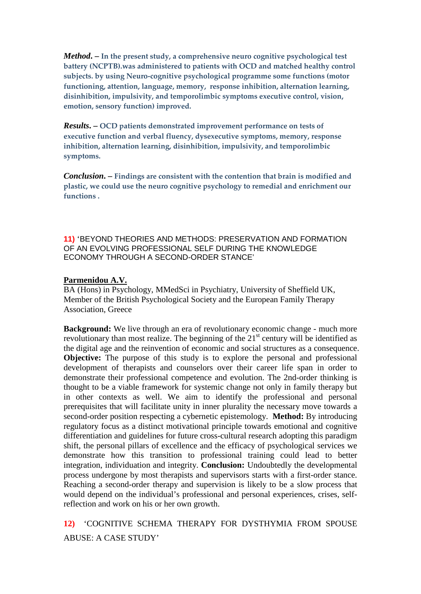*Method***. – In the present study, a comprehensive neuro cognitive psychological test battery (NCPTB).was administered to patients with OCD and matched healthy control subjects. by using Neuro-cognitive psychological programme some functions (motor functioning, attention, language, memory, response inhibition, alternation learning, disinhibition, impulsivity, and temporolimbic symptoms executive control, vision, emotion, sensory function) improved.**

*Results***. – OCD patients demonstrated improvement performance on tests of executive function and verbal fluency, dysexecutive symptoms, memory, response inhibition, alternation learning, disinhibition, impulsivity, and temporolimbic symptoms.**

*Conclusion***. – Findings are consistent with the contention that brain is modified and plastic, we could use the neuro cognitive psychology to remedial and enrichment our functions .**

**11)** 'BEYOND THEORIES AND METHODS: PRESERVATION AND FORMATION OF AN EVOLVING PROFESSIONAL SELF DURING THE KNOWLEDGE ECONOMY THROUGH A SECOND-ORDER STANCE'

#### **Parmenidou A.V.**

BA (Hons) in Psychology, MMedSci in Psychiatry, University of Sheffield UK, Member of the British Psychological Society and the European Family Therapy Association, Greece

**Background:** We live through an era of revolutionary economic change - much more revolutionary than most realize. The beginning of the  $21<sup>st</sup>$  century will be identified as the digital age and the reinvention of economic and social structures as a consequence. **Objective:** The purpose of this study is to explore the personal and professional development of therapists and counselors over their career life span in order to demonstrate their professional competence and evolution. The 2nd-order thinking is thought to be a viable framework for systemic change not only in family therapy but in other contexts as well. We aim to identify the professional and personal prerequisites that will facilitate unity in inner plurality the necessary move towards a second-order position respecting a cybernetic epistemology. **Method:** By introducing regulatory focus as a distinct motivational principle towards emotional and cognitive differentiation and guidelines for future cross-cultural research adopting this paradigm shift, the personal pillars of excellence and the efficacy of psychological services we demonstrate how this transition to professional training could lead to better integration, individuation and integrity. **Conclusion:** Undoubtedly the developmental process undergone by most therapists and supervisors starts with a first-order stance. Reaching a second-order therapy and supervision is likely to be a slow process that would depend on the individual's professional and personal experiences, crises, selfreflection and work on his or her own growth.

**12)** 'COGNITIVE SCHEMA THERAPY FOR DYSTHYMIA FROM SPOUSE ABUSE: A CASE STUDY'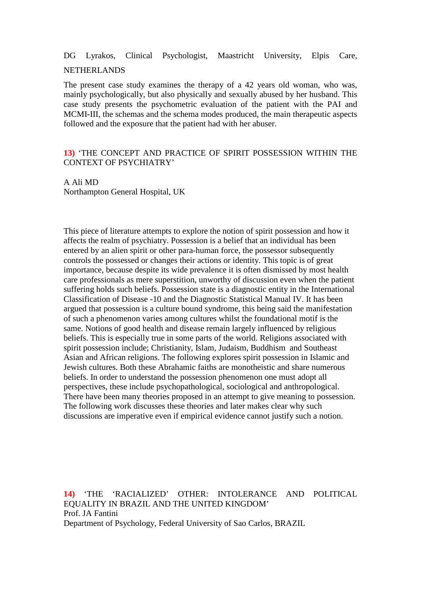# DG Lyrakos, Clinical Psychologist, Maastricht University, Elpis Care,

#### NETHERLANDS

The present case study examines the therapy of a 42 years old woman, who was, mainly psychologically, but also physically and sexually abused by her husband. This case study presents the psychometric evaluation of the patient with the PAI and MCMI-III, the schemas and the schema modes produced, the main therapeutic aspects followed and the exposure that the patient had with her abuser.

### **13)** 'THE CONCEPT AND PRACTICE OF SPIRIT POSSESSION WITHIN THE CONTEXT OF PSYCHIATRY'

A Ali MD Northampton General Hospital, UK

This piece of literature attempts to explore the notion of spirit possession and how it affects the realm of psychiatry. Possession is a belief that an individual has been entered by an alien spirit or other para-human force, the possessor subsequently controls the possessed or changes their actions or identity. This topic is of great importance, because despite its wide prevalence it is often dismissed by most health care professionals as mere superstition, unworthy of discussion even when the patient suffering holds such beliefs. Possession state is a diagnostic entity in the International Classification of Disease -10 and the Diagnostic Statistical Manual IV. It has been argued that possession is a culture bound syndrome, this being said the manifestation of such a phenomenon varies among cultures whilst the foundational motif is the same. Notions of good health and disease remain largely influenced by religious beliefs. This is especially true in some parts of the world. Religions associated with spirit possession include; Christianity, Islam, Judaism, Buddhism and Southeast Asian and African religions. The following explores spirit possession in Islamic and Jewish cultures. Both these Abrahamic faiths are monotheistic and share numerous beliefs. In order to understand the possession phenomenon one must adopt all perspectives, these include psychopathological, sociological and anthropological. There have been many theories proposed in an attempt to give meaning to possession. The following work discusses these theories and later makes clear why such discussions are imperative even if empirical evidence cannot justify such a notion.

**14)** 'THE 'RACIALIZED' OTHER: INTOLERANCE AND POLITICAL EQUALITY IN BRAZIL AND THE UNITED KINGDOM' Prof. JA Fantini Department of Psychology, Federal University of Sao Carlos, BRAZIL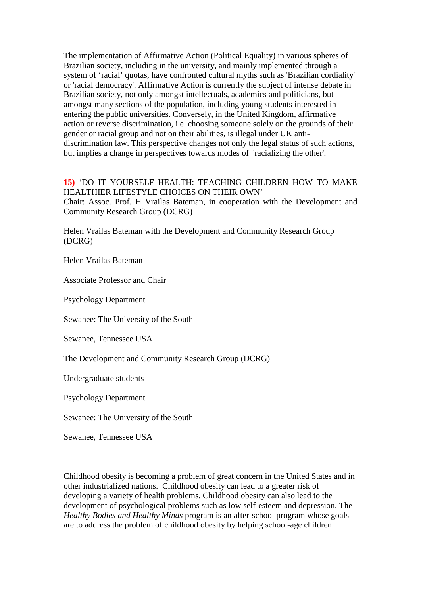The implementation of Affirmative Action (Political Equality) in various spheres of Brazilian society, including in the university, and mainly implemented through a system of 'racial' quotas, have confronted cultural myths such as 'Brazilian cordiality' or 'racial democracy'. Affirmative Action is currently the subject of intense debate in Brazilian society, not only amongst intellectuals, academics and politicians, but amongst many sections of the population, including young students interested in entering the public universities. Conversely, in the United Kingdom, affirmative action or reverse discrimination, i.e. choosing someone solely on the grounds of their gender or racial group and not on their abilities, is illegal under UK antidiscrimination law. This perspective changes not only the legal status of such actions, but implies a change in perspectives towards modes of 'racializing the other'.

### **15)** 'DO IT YOURSELF HEALTH: TEACHING CHILDREN HOW TO MAKE HEALTHIER LIFESTYLE CHOICES ON THEIR OWN'

Chair: Assoc. Prof. H Vrailas Bateman, in cooperation with the Development and Community Research Group (DCRG)

Helen Vrailas Bateman with the Development and Community Research Group (DCRG)

Helen Vrailas Bateman

Associate Professor and Chair

Psychology Department

Sewanee: The University of the South

Sewanee, Tennessee USA

The Development and Community Research Group (DCRG)

Undergraduate students

Psychology Department

Sewanee: The University of the South

Sewanee, Tennessee USA

Childhood obesity is becoming a problem of great concern in the United States and in other industrialized nations. Childhood obesity can lead to a greater risk of developing a variety of health problems. Childhood obesity can also lead to the development of psychological problems such as low self-esteem and depression. The *Healthy Bodies and Healthy Minds* program is an after-school program whose goals are to address the problem of childhood obesity by helping school-age children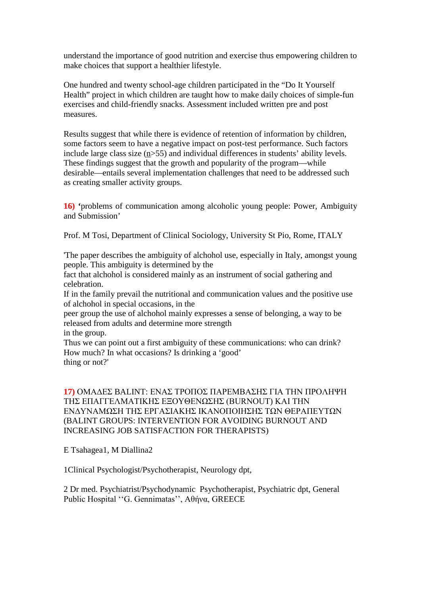understand the importance of good nutrition and exercise thus empowering children to make choices that support a healthier lifestyle.

One hundred and twenty school-age children participated in the "Do It Yourself Health" project in which children are taught how to make daily choices of simple-fun exercises and child-friendly snacks. Assessment included written pre and post measures.

Results suggest that while there is evidence of retention of information by children, some factors seem to have a negative impact on post-test performance. Such factors include large class size (n>55) and individual differences in students' ability levels. These findings suggest that the growth and popularity of the program—while desirable—entails several implementation challenges that need to be addressed such as creating smaller activity groups.

**16) '**problems of communication among alcoholic young people: Power, Ambiguity and Submission'

Prof. M Tosi, Department of Clinical Sociology, University St Pio, Rome, ITALY

'The paper describes the ambiguity of alchohol use, especially in Italy, amongst young people. This ambiguity is determined by the

fact that alchohol is considered mainly as an instrument of social gathering and celebration.

If in the family prevail the nutritional and communication values and the positive use of alchohol in special occasions, in the

peer group the use of alchohol mainly expresses a sense of belonging, a way to be released from adults and determine more strength

in the group.

Thus we can point out a first ambiguity of these communications: who can drink? How much? In what occasions? Is drinking a 'good' thing or not?'

### **17)** ΟΜΑΔΕΣ BALINT: ΕΝΑΣ ΤΡΟΠΟΣ ΠΑΡΕΜΒΑΣΗΣ ΓΙΑ ΤΗΝ ΠΡΟΛΗΨΗ ΤΗΣ ΕΠΑΓΓΕΛΜΑΤΙΚΗΣ ΕΞΟΥΘΕΝΩΣΗΣ (BURNOUT) ΚΑΙ ΤΗΝ ΕΝΔΥΝΑΜΩΣΗ ΤΗΣ ΕΡΓΑΣΙΑΚΗΣ ΙΚΑΝΟΠΟΙΗΣΗΣ ΤΩΝ ΘΕΡΑΠΕΥΤΩΝ (BALINT GROUPS: INTERVENTION FOR AVOIDING BURNOUT AND INCREASING JOB SATISFACTION FOR THERAPISTS)

E Tsahagea1, M Diallina2

1Clinical Psychologist/Psychotherapist, Neurology dpt,

2 Dr med. Psychiatrist/Psychodynamic Psychotherapist, Psychiatric dpt, General Public Hospital ''G. Gennimatas'', Αθήνα, GREECE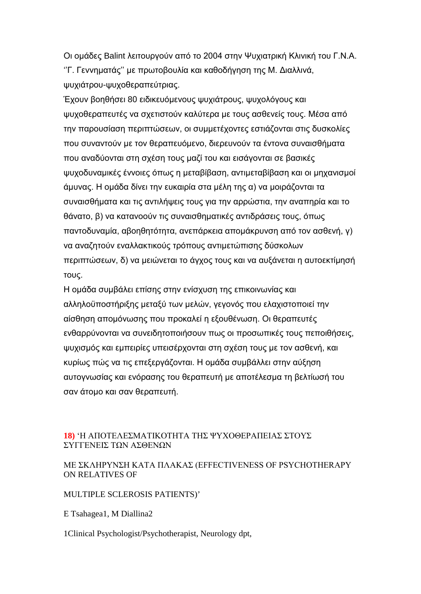Οι ομάδες Balint λειτουργούν από το 2004 στην Ψυχιατρική Κλινική του Γ.Ν.Α. ''Γ. Γεννηματάς'' με πρωτοβουλία και καθοδήγηση της Μ. Διαλλινά, ψυχιάτρου-ψυχοθεραπεύτριας.

Έχουν βοηθήσει 80 ειδικευόμενους ψυχιάτρους, ψυχολόγους και ψυχοθεραπευτές να σχετιστούν καλύτερα με τους ασθενείς τους. Μέσα από την παρουσίαση περιπτώσεων, οι συμμετέχοντες εστιάζονται στις δυσκολίες που συναντούν με τον θεραπευόμενο, διερευνούν τα έντονα συναισθήματα που αναδύονται στη σχέση τους μαζί του και εισάγονται σε βασικές ψυχοδυναμικές έννοιες όπως η μεταβίβαση, αντιμεταβίβαση και οι μηχανισμοί άμυνας. Η ομάδα δίνει την ευκαιρία στα μέλη της α) να μοιράζονται τα συναισθήματα και τις αντιλήψεις τους για την αρρώστια, την αναπηρία και το θάνατο, β) να κατανοούν τις συναισθηματικές αντιδράσεις τους, όπως παντοδυναμία, αβοηθητότητα, ανεπάρκεια απομάκρυνση από τον ασθενή, γ) να αναζητούν εναλλακτικούς τρόπους αντιμετώπισης δύσκολων περιπτώσεων, δ) να μειώνεται το άγχος τους και να αυξάνεται η αυτοεκτίμησή τους.

Η ομάδα συμβάλει επίσης στην ενίσχυση της επικοινωνίας και αλληλοϋποστήριξης μεταξύ των μελών, γεγονός που ελαχιστοποιεί την αίσθηση απομόνωσης που προκαλεί η εξουθένωση. Οι θεραπευτές ενθαρρύνονται να συνειδητοποιήσουν πως οι προσωπικές τους πεποιθήσεις, ψυχισμός και εμπειρίες υπεισέρχονται στη σχέση τους με τον ασθενή, και κυρίως πώς να τις επεξεργάζονται. Η ομάδα συμβάλλει στην αύξηση αυτογνωσίας και ενόρασης του θεραπευτή με αποτέλεσμα τη βελτίωσή του σαν άτομο και σαν θεραπευτή.

### **18)** 'Η ΑΠΟΤΕΛΕΣΜΑΤΙΚΟΤΗΤΑ ΤΗΣ ΨΥΧΟΘΕΡΑΠΕΙΑΣ ΣΤΟΥΣ ΣΥΓΓΕΝΕΙΣ ΤΩΝ ΑΣΘΕΝΩΝ

### ΜΕ ΣΚΛHΡΥΝΣΗ ΚΑΤA ΠΛAΚΑΣ (EFFECTIVENESS OF PSYCHOTHERAPY ON RELATIVES OF

### MULTIPLE SCLEROSIS PATIENTS)'

E Tsahagea1, M Diallina2

1Clinical Psychologist/Psychotherapist, Neurology dpt,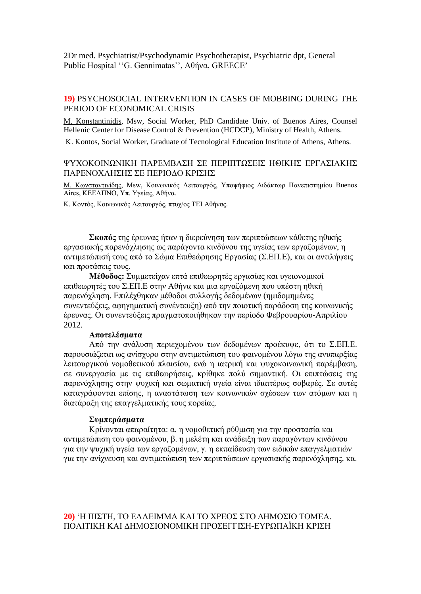2Dr med. Psychiatrist/Psychodynamic Psychotherapist, Psychiatric dpt, General Public Hospital ''G. Gennimatas'', Αθήνα, GREECE'

### **19)** PSYCHOSOCIAL INTERVENTION IN CASES OF MOBBING DURING THE PERIOD OF ECONOMICAL CRISIS

Μ. Konstantinidis, Msw, Social Worker, PhD Candidate Univ. of Buenos Aires, Counsel Hellenic Center for Disease Control & Prevention (HCDCP), Ministry of Health, Athens.

Κ. Κontos, Social Worker, Graduate of Tecnological Education Institute of Athens, Athens.

### ΨΥΧΟΚΟΙΝΩΝΙΚΗ ΠΑΡΕΜΒΑΣΗ ΣΕ ΠΕΡΙΠΤΩΣΕΙΣ ΗΘΙΚΗΣ ΕΡΓΑΣΙΑΚΗΣ ΠΑΡΕΝΟΧΛΗΣΗΣ ΣΕ ΠΕΡΙΟΔΟ ΚΡΙΣΗΣ

Μ. Κωνσταντινίδης, Msw, Κοινωνικός Λειτουργός, Υποψήφιος Διδάκτωρ Πανεπιστημίου Buenos Αires, ΚΕΕΛΠΝΟ, Υπ. Υγείας, Αθήνα.

Κ. Κοντός, Κοινωνικός Λειτουργός, πτυχ/ος ΤΕΙ Αθήνας.

**Σκοπός** της έρευνας ήταν η διερεύνηση των περιπτώσεων κάθετης ηθικής εργασιακής παρενόχλησης ως παράγοντα κινδύνου της υγείας των εργαζομένων, η αντιμετώπισή τους από το Σώμα Επιθεώρησης Εργασίας (Σ.ΕΠ.Ε), και οι αντιλήψεις και προτάσεις τους.

**Μέθοδος:** Συμμετείχαν επτά επιθεωρητές εργασίας και υγειονομικοί επιθεωρητές του Σ.ΕΠ.Ε στην Αθήνα και μια εργαζόμενη που υπέστη ηθική παρενόχληση. Επιλέχθηκαν μέθοδοι συλλογής δεδομένων (ημιδομημένες συνεντεύξεις, αφηγηματική συνέντευξη) από την ποιοτική παράδοση της κοινωνικής έρευνας. Οι συνεντεύξεις πραγματοποιήθηκαν την περίοδο Φεβρουαρίου-Απριλίου 2012.

#### **Αποτελέσματα**

Από την ανάλυση περιεχομένου των δεδομένων προέκυψε, ότι το Σ.ΕΠ.Ε. παρουσιάζεται ως ανίσχυρο στην αντιμετώπιση του φαινομένου λόγω της ανυπαρξίας λειτουργικού νομοθετικού πλαισίου, ενώ η ιατρική και ψυχοκοινωνική παρέμβαση, σε συνεργασία με τις επιθεωρήσεις, κρίθηκε πολύ σημαντική. Oι επιπτώσεις της παρενόχλησης στην ψυχική και σωματική υγεία είναι ιδιαιτέρως σοβαρές. Σε αυτές καταγράφονται επίσης, η αναστάτωση των κοινωνικών σχέσεων των ατόμων και η διατάραξη της επαγγελματικής τους πορείας.

#### **Συμπεράσματα**

Κρίνονται απαραίτητα: α. η νομοθετική ρύθμιση για την προστασία και αντιμετώπιση του φαινομένου, β. η μελέτη και ανάδειξη των παραγόντων κινδύνου για την ψυχική υγεία των εργαζομένων, γ. η εκπαίδευση των ειδικών επαγγελματιών για την ανίχνευση και αντιμετώπιση των περιπτώσεων εργασιακής παρενόχλησης, κα.

#### **20)** 'Η ΠΙΣΤΗ, ΤΟ ΕΛΛΕΙΜΜΑ ΚΑΙ ΤΟ ΧΡΕΟΣ ΣΤΟ ΔΗΜΟΣΙΟ ΤΟΜΕΑ. ΠΟΛΙΤΙΚΗ ΚΑΙ ΔΗΜΟΣΙΟΝΟΜΙΚΗ ΠΡΟΣΕΓΓΙΣΗ-ΕΥΡΩΠΑЇΚΗ ΚΡΙΣΗ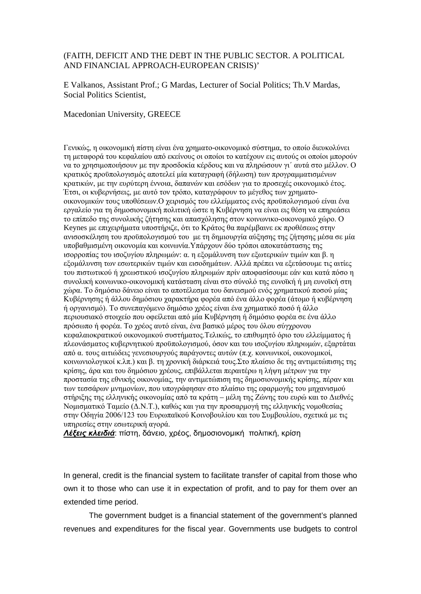### (FAITH, DEFICIT AND THE DEBT IN THE PUBLIC SECTOR. A POLITICAL AND FINANCIAL APPROACH-EUROPEAN CRISIS)'

E Valkanos, Assistant Prof.; G Mardas, Lecturer of Social Politics; Th.V Mardas, Social Politics Scientist,

#### Macedonian University, GREECE

Γενικώς, η οικονομική πίστη είναι ένα χρηματο-οικονομικό σύστημα, το οποίο διευκολύνει τη μεταφορά του κεφαλαίου από εκείνους οι οποίοι το κατέχουν εις αυτούς οι οποίοι μπορούν να το χρησιμοποιήσουν με την προσδοκία κέρδους και να πληρώσουν γι΄ αυτά στο μέλλον. Ο κρατικός προϋπολογισμός αποτελεί μία καταγραφή (δήλωση) των προγραμματισμένων κρατικών, με την ευρύτερη έννοια, δαπανών και εσόδων για το προσεχές οικονομικό έτος. Έτσι, οι κυβερνήσεις, με αυτό τον τρόπο, καταγράφουν το μέγεθος των χρηματοοικονομικών τους υποθέσεων.Ο χειρισμός του ελλείμματος ενός προϋπολογισμού είναι ένα εργαλείο για τη δημοσιονομική πολιτική ώστε η Κυβέρνηση να είναι εις θέση να επηρεάσει το επίπεδο της συνολικής ζήτησης και απασχόλησης στον κοινωνικο-οικονομικό χώρο. Ο Keynes με επιχειρήματα υποστήριζε, ότι το Κράτος θα παρέμβαινε εκ προθέσεως στην ανισοσκέληση του προϋπολογισμού του με τη δημιουργία αύξησης της ζήτησης μέσα σε μία υποβαθμισμένη οικονομία και κοινωνία.Υπάρχουν δύο τρόποι αποκατάστασης της ισορροπίας του ισοζυγίου πληρωμών: α. η εξομάλυνση των εξωτερικών τιμών και β. η εξομάλυνση των εσωτερικών τιμών και εισοδημάτων. Αλλά πρέπει να εξετάσουμε τις αιτίες του πιστωτικού ή χρεωστικού ισοζυγίου πληρωμών πρίν αποφασίσουμε εάν και κατά πόσο η συνολική κοινωνικο-οικονομική κατάσταση είναι στο σύνολό της ευνοϊκή ή μη ευνοϊκή στη χώρα. Το δημόσιο δάνειο είναι το αποτέλεσμα του δανεισμού ενός χρηματικού ποσού μίας Κυβέρνησης ή άλλου δημόσιου χαρακτήρα φορέα από ένα άλλο φορέα (άτομο ή κυβέρνηση ή οργανισμό). Το συνεπαγόμενο δημόσιο χρέος είναι ένα χρηματικό ποσό ή άλλο περιουσιακό στοιχείο που οφείλεται από μία Κυβέρνηση ή δημόσιο φορέα σε ένα άλλο πρόσωπο ή φορέα. Το χρέος αυτό είναι, ένα βασικό μέρος του όλου σύγχρονου κεφαλαιοκρατικού οικονομικού συστήματος.Τελικώς, το επιθυμητό όριο του ελλείμματος ή πλεονάσματος κυβερνητικού προϋπολογισμού, όσον και του ισοζυγίου πληρωμών, εξαρτάται από α. τους αιτιώδεις γενεσιουργούς παράγοντες αυτών (π.χ. κοινωνικοί, οικονομικοί, κοινωνιολογικοί κ.λπ.) και β. τη χρονική διάρκειά τους.Στο πλαίσιο δε της αντιμετώπισης της κρίσης, άρα και του δημόσιου χρέους, επιβάλλεται περαιτέρω η λήψη μέτρων για την προστασία της εθνικής οικονομίας, την αντιμετώπιση της δημοσιονομικής κρίσης, πέραν και των τεσσάρων μνημονίων, που υπογράφησαν στο πλαίσιο της εφαρμογής του μηχανισμού στήριξης της ελληνικής οικονομίας από τα κράτη – μέλη της Ζώνης του ευρώ και το Διεθνές Νομισματικό Ταμείο (Δ.Ν.Τ.), καθώς και για την προσαρμογή της ελληνικής νομοθεσίας στην Οδηγία 2006/123 του Ευρωπαϊκού Κοινοβουλίου και του Συμβουλίου, σχετικά με τις υπηρεσίες στην εσωτερική αγορά.

*Λέξεις κλειδιά*: πίστη, δάνειο, χρέος, δημοσιονομική πολιτική, κρίση

In general, credit is the financial system to facilitate transfer of capital from those who own it to those who can use it in expectation of profit, and to pay for them over an extended time period.

The government budget is a financial statement of the government's planned revenues and expenditures for the fiscal year. Governments use budgets to control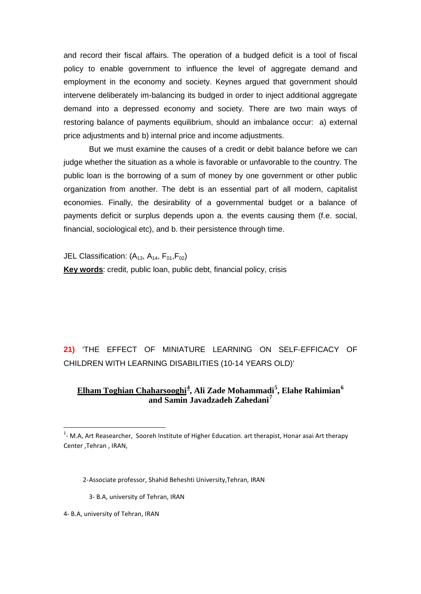and record their fiscal affairs. The operation of a budged deficit is a tool of fiscal policy to enable government to influence the level of aggregate demand and employment in the economy and society. Keynes argued that government should intervene deliberately im-balancing its budged in order to inject additional aggregate demand into a depressed economy and society. There are two main ways of restoring balance of payments equilibrium, should an imbalance occur: a) external price adjustments and b) internal price and income adjustments.

But we must examine the causes of a credit or debit balance before we can judge whether the situation as a whole is favorable or unfavorable to the country. The public loan is the borrowing of a sum of money by one government or other public organization from another. The debt is an essential part of all modern, capitalist economies. Finally, the desirability of a governmental budget or a balance of payments deficit or surplus depends upon a. the events causing them (f.e. social, financial, sociological etc), and b. their persistence through time.

JEL Classification:  $(A_{13}, A_{14}, F_{01}, F_{02})$ **Key words**: credit, public loan, public debt, financial policy, crisis

**21)** 'THE EFFECT OF MINIATURE LEARNING ON SELF-EFFICACY OF CHILDREN WITH LEARNING DISABILITIES (10-14 YEARS OLD)'

### **Elham Toghian Chaharsooghi[4](#page-33-0) , Ali Zade Mohammadi[5](#page-33-1) , Elahe Rahimian[6](#page-33-2) and Samin Javadzadeh Zahedani[7](#page-33-3)**

3- B.A, university of Tehran, IRAN

<span id="page-33-3"></span><span id="page-33-2"></span><span id="page-33-1"></span>4- B.A, university of Tehran, IRAN

<span id="page-33-0"></span> $\frac{1}{1}$  $1$ - M.A, Art Reasearcher, Sooreh Institute of Higher Education. art therapist, Honar asai Art therapy Center ,Tehran , IRAN,

 <sup>2-</sup>Associate professor, Shahid Beheshti University,Tehran, IRAN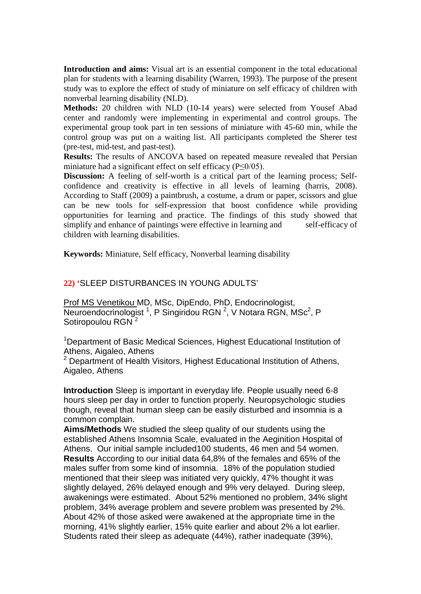**Introduction and aims:** Visual art is an essential component in the total educational plan for students with a learning disability (Warren, 1993). The purpose of the present study was to explore the effect of study of miniature on self efficacy of children with nonverbal learning disability (NLD).

**Methods:** 20 children with NLD (10-14 years) were selected from Yousef Abad center and randomly were implementing in experimental and control groups. The experimental group took part in ten sessions of miniature with 45-60 min, while the control group was put on a waiting list. All participants completed the Sherer test (pre-test, mid-test, and past-test).

**Results:** The results of ANCOVA based on repeated measure revealed that Persian miniature had a significant effect on self efficacy (P≤0/05).

**Discussion:** A feeling of self-worth is a critical part of the learning process; Selfconfidence and creativity is effective in all levels of learning (harris, 2008). According to Staff (2009) a paintbrush, a costume, a drum or paper, scissors and glue can be new tools for self-expression that boost confidence while providing opportunities for learning and practice. The findings of this study showed that simplify and enhance of paintings were effective in learning and self-efficacy of children with learning disabilities.

**Keywords:** Miniature, Self efficacy, Nonverbal learning disability

### **22) '**SLEEP DISTURBANCES IN YOUNG ADULTS'

Prof MS Venetikou MD, MSc, DipEndo, PhD, Endocrinologist, Neuroendocrinologist<sup>1</sup>, P Singiridou RGN <sup>2</sup>, V Notara RGN, MSc<sup>2</sup>, P Sotiropoulou RGN<sup>2</sup>

<sup>1</sup>Department of Basic Medical Sciences, Highest Educational Institution of Athens, Aigaleo, Athens

2 Department of Health Visitors, Highest Educational Institution of Athens, Aigaleo, Athens

**Introduction** Sleep is important in everyday life. People usually need 6-8 hours sleep per day in order to function properly. Neuropsychologic studies though, reveal that human sleep can be easily disturbed and insomnia is a common complain.

**Aims/Methods** We studied the sleep quality of our students using the established Athens Insomnia Scale, evaluated in the Aeginition Hospital of Athens. Our initial sample included100 students, 46 men and 54 women. **Results** According to our initial data 64,8% of the females and 65% of the males suffer from some kind of insomnia. 18% of the population studied mentioned that their sleep was initiated very quickly, 47% thought it was slightly delayed, 26% delayed enough and 9% very delayed. During sleep, awakenings were estimated. About 52% mentioned no problem, 34% slight problem, 34% average problem and severe problem was presented by 2%. About 42% of those asked were awakened at the appropriate time in the morning, 41% slightly earlier, 15% quite earlier and about 2% a lot earlier. Students rated their sleep as adequate (44%), rather inadequate (39%),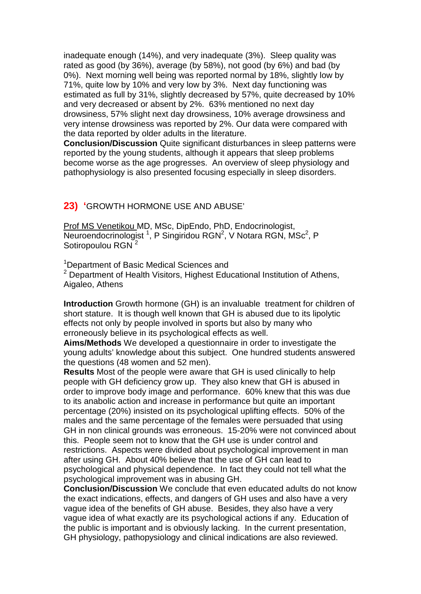inadequate enough (14%), and very inadequate (3%). Sleep quality was rated as good (by 36%), average (by 58%), not good (by 6%) and bad (by 0%). Next morning well being was reported normal by 18%, slightly low by 71%, quite low by 10% and very low by 3%. Next day functioning was estimated as full by 31%, slightly decreased by 57%, quite decreased by 10% and very decreased or absent by 2%. 63% mentioned no next day drowsiness, 57% slight next day drowsiness, 10% average drowsiness and very intense drowsiness was reported by 2%. Our data were compared with the data reported by older adults in the literature.

**Conclusion/Discussion** Quite significant disturbances in sleep patterns were reported by the young students, although it appears that sleep problems become worse as the age progresses. An overview of sleep physiology and pathophysiology is also presented focusing especially in sleep disorders.

### **23) '**GROWTH HORMONE USE AND ABUSE'

Prof MS Venetikou MD, MSc, DipEndo, PhD, Endocrinologist, Neuroendocrinologist<sup>1</sup>, P Singiridou RGN<sup>2</sup>, V Notara RGN, MSc<sup>2</sup>, P Sotiropoulou RGN<sup>2</sup>

<sup>1</sup>Department of Basic Medical Sciences and <sup>2</sup> Department of Health Visitors, Highest Educational Institution of Athens, Aigaleo, Athens

**Introduction** Growth hormone (GH) is an invaluable treatment for children of short stature. It is though well known that GH is abused due to its lipolytic effects not only by people involved in sports but also by many who erroneously believe in its psychological effects as well.

**Aims/Methods** We developed a questionnaire in order to investigate the young adults' knowledge about this subject. One hundred students answered the questions (48 women and 52 men).

**Results** Most of the people were aware that GH is used clinically to help people with GH deficiency grow up. They also knew that GH is abused in order to improve body image and performance. 60% knew that this was due to its anabolic action and increase in performance but quite an important percentage (20%) insisted on its psychological uplifting effects. 50% of the males and the same percentage of the females were persuaded that using GH in non clinical grounds was erroneous. 15-20% were not convinced about this. People seem not to know that the GH use is under control and restrictions. Aspects were divided about psychological improvement in man after using GH. About 40% believe that the use of GH can lead to psychological and physical dependence. In fact they could not tell what the psychological improvement was in abusing GH.

**Conclusion/Discussion** We conclude that even educated adults do not know the exact indications, effects, and dangers of GH uses and also have a very vague idea of the benefits of GH abuse. Besides, they also have a very vague idea of what exactly are its psychological actions if any. Education of the public is important and is obviously lacking. In the current presentation, GH physiology, pathopysiology and clinical indications are also reviewed.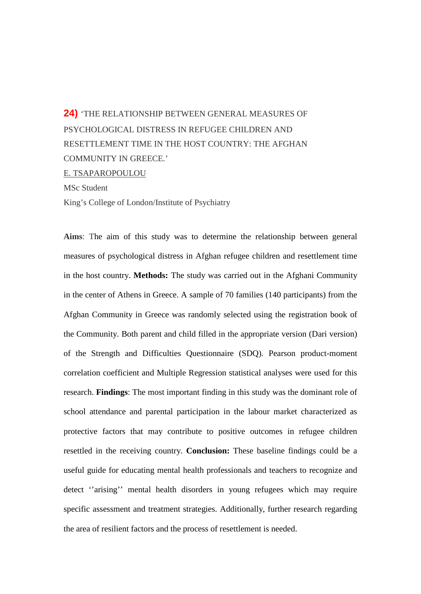# **24)** 'THE RELATIONSHIP BETWEEN GENERAL MEASURES OF PSYCHOLOGICAL DISTRESS IN REFUGEE CHILDREN AND RESETTLEMENT TIME IN THE HOST COUNTRY: THE AFGHAN COMMUNITY IN GREECE.' E. TSAPAROPOULOU

MSc Student

King's College of London/Institute of Psychiatry

**Aims**: The aim of this study was to determine the relationship between general measures of psychological distress in Afghan refugee children and resettlement time in the host country. **Methods:** The study was carried out in the Afghani Community in the center of Athens in Greece. A sample of 70 families (140 participants) from the Afghan Community in Greece was randomly selected using the registration book of the Community. Both parent and child filled in the appropriate version (Dari version) of the Strength and Difficulties Questionnaire (SDQ). Pearson product-moment correlation coefficient and Multiple Regression statistical analyses were used for this research. **Findings**: The most important finding in this study was the dominant role of school attendance and parental participation in the labour market characterized as protective factors that may contribute to positive outcomes in refugee children resettled in the receiving country. **Conclusion:** These baseline findings could be a useful guide for educating mental health professionals and teachers to recognize and detect ''arising'' mental health disorders in young refugees which may require specific assessment and treatment strategies. Additionally, further research regarding the area of resilient factors and the process of resettlement is needed.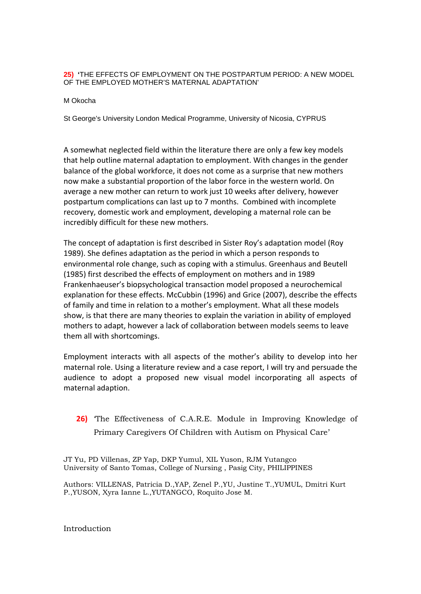#### **25) '**THE EFFECTS OF EMPLOYMENT ON THE POSTPARTUM PERIOD: A NEW MODEL OF THE EMPLOYED MOTHER'S MATERNAL ADAPTATION'

#### M Okocha

St George's University London Medical Programme, University of Nicosia, CYPRUS

A somewhat neglected field within the literature there are only a few key models that help outline maternal adaptation to employment. With changes in the gender balance of the global workforce, it does not come as a surprise that new mothers now make a substantial proportion of the labor force in the western world. On average a new mother can return to work just 10 weeks after delivery, however postpartum complications can last up to 7 months. Combined with incomplete recovery, domestic work and employment, developing a maternal role can be incredibly difficult for these new mothers.

The concept of adaptation is first described in Sister Roy's adaptation model (Roy 1989). She defines adaptation as the period in which a person responds to environmental role change, such as coping with a stimulus. Greenhaus and Beutell (1985) first described the effects of employment on mothers and in 1989 Frankenhaeuser's biopsychological transaction model proposed a neurochemical explanation for these effects. McCubbin (1996) and Grice (2007), describe the effects of family and time in relation to a mother's employment. What all these models show, is that there are many theories to explain the variation in ability of employed mothers to adapt, however a lack of collaboration between models seems to leave them all with shortcomings.

Employment interacts with all aspects of the mother's ability to develop into her maternal role. Using a literature review and a case report, I will try and persuade the audience to adopt a proposed new visual model incorporating all aspects of maternal adaption.

## **26)** 'The Effectiveness of C.A.R.E. Module in Improving Knowledge of Primary Caregivers Of Children with Autism on Physical Care'

JT Yu, PD Villenas, ZP Yap, DKP Yumul, XIL Yuson, RJM Yutangco University of Santo Tomas, College of Nursing , Pasig City, PHILIPPINES

Authors: VILLENAS, Patricia D.,YAP, Zenel P.,YU, Justine T.,YUMUL, Dmitri Kurt P.,YUSON, Xyra Ianne L.,YUTANGCO, Roquito Jose M.

Introduction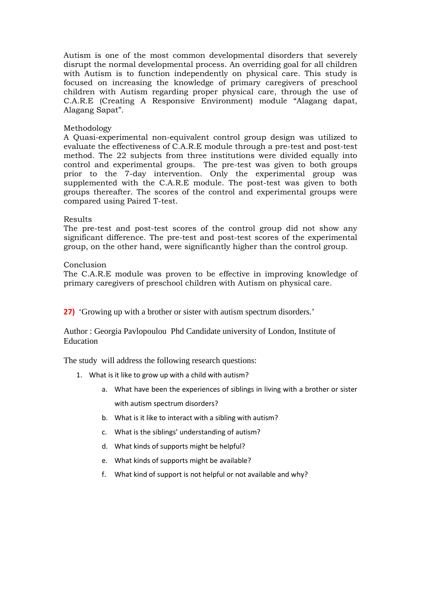Autism is one of the most common developmental disorders that severely disrupt the normal developmental process. An overriding goal for all children with Autism is to function independently on physical care. This study is focused on increasing the knowledge of primary caregivers of preschool children with Autism regarding proper physical care, through the use of C.A.R.E (Creating A Responsive Environment) module "Alagang dapat, Alagang Sapat".

#### Methodology

A Quasi-experimental non-equivalent control group design was utilized to evaluate the effectiveness of C.A.R.E module through a pre-test and post-test method. The 22 subjects from three institutions were divided equally into control and experimental groups. The pre-test was given to both groups prior to the 7-day intervention. Only the experimental group was supplemented with the C.A.R.E module. The post-test was given to both groups thereafter. The scores of the control and experimental groups were compared using Paired T-test.

#### Results

The pre-test and post-test scores of the control group did not show any significant difference. The pre-test and post-test scores of the experimental group, on the other hand, were significantly higher than the control group.

#### Conclusion

The C.A.R.E module was proven to be effective in improving knowledge of primary caregivers of preschool children with Autism on physical care.

**27)** 'Growing up with a brother or sister with autism spectrum disorders.'

Author : Georgia Pavlopoulou Phd Candidate university of London, Institute of Education

The study will address the following research questions:

- 1. What is it like to grow up with a child with autism?
	- a. What have been the experiences of siblings in living with a brother or sister with autism spectrum disorders?
	- b. What is it like to interact with a sibling with autism?
	- c. What is the siblings' understanding of autism?
	- d. What kinds of supports might be helpful?
	- e. What kinds of supports might be available?
	- f. What kind of support is not helpful or not available and why?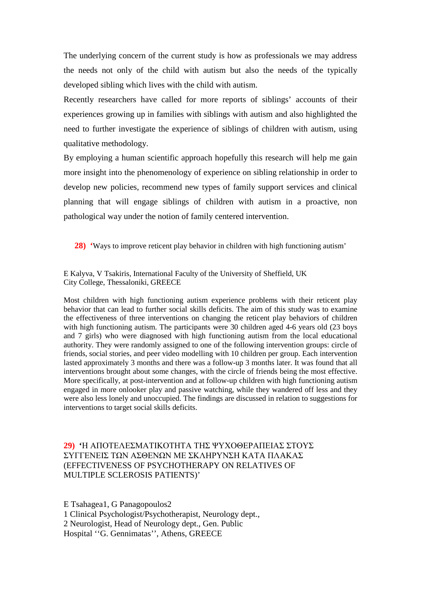The underlying concern of the current study is how as professionals we may address the needs not only of the child with autism but also the needs of the typically developed sibling which lives with the child with autism.

Recently researchers have called for more reports of siblings' accounts of their experiences growing up in families with siblings with autism and also highlighted the need to further investigate the experience of siblings of children with autism, using qualitative methodology.

By employing a human scientific approach hopefully this research will help me gain more insight into the phenomenology of experience on sibling relationship in order to develop new policies, recommend new types of family support services and clinical planning that will engage siblings of children with autism in a proactive, non pathological way under the notion of family centered intervention.

**28) '**Ways to improve reticent play behavior in children with high functioning autism'

E Kalyva, V Tsakiris, International Faculty of the University of Sheffield, UK City College, Thessaloniki, GREECE

Most children with high functioning autism experience problems with their reticent play behavior that can lead to further social skills deficits. The aim of this study was to examine the effectiveness of three interventions on changing the reticent play behaviors of children with high functioning autism. The participants were 30 children aged 4-6 years old (23 boys and 7 girls) who were diagnosed with high functioning autism from the local educational authority. They were randomly assigned to one of the following intervention groups: circle of friends, social stories, and peer video modelling with 10 children per group. Each intervention lasted approximately 3 months and there was a follow-up 3 months later. It was found that all interventions brought about some changes, with the circle of friends being the most effective. More specifically, at post-intervention and at follow-up children with high functioning autism engaged in more onlooker play and passive watching, while they wandered off less and they were also less lonely and unoccupied. The findings are discussed in relation to suggestions for interventions to target social skills deficits.

**29) '**Η ΑΠΟΤΕΛΕΣΜΑΤΙΚΟΤΗΤΑ ΤΗΣ ΨΥΧΟΘΕΡΑΠΕΙΑΣ ΣΤΟΥΣ ΣΥΓΓΕΝΕΙΣ ΤΩΝ ΑΣΘΕΝΩΝ ΜΕ ΣΚΛHΡΥΝΣΗ ΚΑΤA ΠΛAΚΑΣ (EFFECTIVENESS OF PSYCHOTHERAPY ON RELATIVES OF MULTIPLE SCLEROSIS PATIENTS)'

E Tsahagea1, G Panagopoulos2 1 Clinical Psychologist/Psychotherapist, Neurology dept., 2 Neurologist, Head of Neurology dept., Gen. Public Hospital ''G. Gennimatas'', Athens, GREECE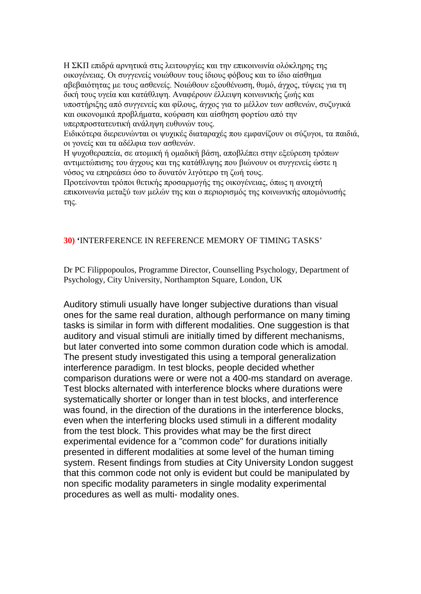Η ΣΚΠ επιδρά αρνητικά στις λειτουργίες και την επικοινωνία ολόκληρης της οικογένειας. Οι συγγενείς νοιώθουν τους ίδιους φόβους και το ίδιο αίσθημα αβεβαιότητας με τους ασθενείς. Νοιώθουν εξουθένωση, θυμό, άγχος, τύψεις για τη δική τους υγεία και κατάθλιψη. Αναφέρουν έλλειψη κοινωνικής ζωής και υποστήριξης από συγγενείς και φίλους, άγχος για το μέλλον των ασθενών, συζυγικά και οικονομικά προβλήματα, κούραση και αίσθηση φορτίου από την υπερπροστατευτική ανάληψη ευθυνών τους.

Ειδικότερα διερευνώνται οι ψυχικές διαταραχές που εμφανίζουν οι σύζυγοι, τα παιδιά, οι γονείς και τα αδέλφια των ασθενών.

Η ψυχοθεραπεία, σε ατομική ή ομαδική βάση, αποβλέπει στην εξεύρεση τρόπων αντιμετώπισης του άγχους και της κατάθλιψης που βιώνουν οι συγγενείς ώστε η νόσος να επηρεάσει όσο το δυνατόν λιγότερο τη ζωή τους.

Προτείνονται τρόποι θετικής προσαρμογής της οικογένειας, όπως η ανοιχτή επικοινωνία μεταξύ των μελών της και ο περιορισμός της κοινωνικής απομόνωσής της.

### **30) '**INTERFERENCE IN REFERENCE MEMORY OF TIMING TASKS'

Dr PC Filippopoulos, Programme Director, Counselling Psychology, Department of Psychology, City University, Northampton Square, London, UK

Auditory stimuli usually have longer subjective durations than visual ones for the same real duration, although performance on many timing tasks is similar in form with different modalities. One suggestion is that auditory and visual stimuli are initially timed by different mechanisms, but later converted into some common duration code which is amodal. The present study investigated this using a temporal generalization interference paradigm. In test blocks, people decided whether comparison durations were or were not a 400-ms standard on average. Test blocks alternated with interference blocks where durations were systematically shorter or longer than in test blocks, and interference was found, in the direction of the durations in the interference blocks, even when the interfering blocks used stimuli in a different modality from the test block. This provides what may be the first direct experimental evidence for a "common code" for durations initially presented in different modalities at some level of the human timing system. Resent findings from studies at City University London suggest that this common code not only is evident but could be manipulated by non specific modality parameters in single modality experimental procedures as well as multi- modality ones.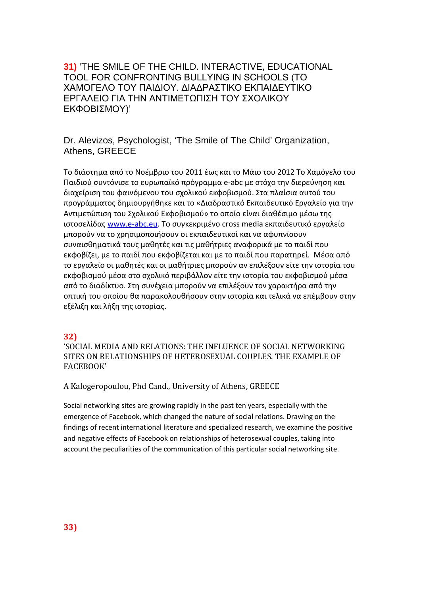**31)** 'THE SMILE OF THE CHILD. INTERACTIVE, EDUCATIONAL TOOL FOR CONFRONTING BULLYING IN SCHOOLS (ΤΟ ΧΑΜΟΓΕΛΟ ΤΟΥ ΠΑΙΔΙΟΥ. ΔΙΑΔΡΑΣΤΙΚΟ ΕΚΠΑΙΔΕΥΤΙΚΟ ΕΡΓΑΛΕΙΟ ΓΙΑ ΤΗΝ ΑΝΤΙΜΕΤΩΠΙΣΗ ΤΟΥ ΣΧΟΛΙΚΟΥ ΕΚΦΟΒΙΣΜΟΥ)'

Dr. Alevizos, Psychologist, 'The Smile of The Child' Organization, Athens, GREECE

Το διάστημα από το Νοέμβριο του 2011 έως και το Μάιο του 2012 Το Χαμόγελο του Παιδιού συντόνισε το ευρωπαϊκό πρόγραμμα e-abc με στόχο την διερεύνηση και διαχείριση του φαινόμενου του σχολικού εκφοβισμού. Στα πλαίσια αυτού του προγράμματος δημιουργήθηκε και το «Διαδραστικό Εκπαιδευτικό Εργαλείο για την Αντιμετώπιση του Σχολικού Εκφοβισμού» το οποίο είναι διαθέσιμο μέσω της ιστοσελίδας [www.e-abc.eu](http://www.e-abc.eu/). Το συγκεκριμένο cross media εκπαιδευτικό εργαλείο μπορούν να το χρησιμοποιήσουν οι εκπαιδευτικοί και να αφυπνίσουν συναισθηματικά τους μαθητές και τις μαθήτριες αναφορικά με το παιδί που εκφοβίζει, με το παιδί που εκφοβίζεται και με το παιδί που παρατηρεί. Μέσα από το εργαλείο οι μαθητές και οι μαθήτριες μπορούν αν επιλέξουν είτε την ιστορία του εκφοβισμού μέσα στο σχολικό περιβάλλον είτε την ιστορία του εκφοβισμού μέσα από το διαδίκτυο. Στη συνέχεια μπορούν να επιλέξουν τον χαρακτήρα από την οπτική του οποίου θα παρακολουθήσουν στην ιστορία και τελικά να επέμβουν στην εξέλιξη και λήξη της ιστορίας.

#### **32)**

'SOCIAL MEDIA AND RELATIONS: THE INFLUENCE OF SOCIAL NETWORKING SITES ON RELATIONSHIPS OF HETEROSEXUAL COUPLES. THE EXAMPLE OF FACEBOOK'

A Kalogeropoulou, Phd Cand., University of Athens, GREECE

Social networking sites are growing rapidly in the past ten years, especially with the emergence of Facebook, which changed the nature of social relations. Drawing on the findings of recent international literature and specialized research, we examine the positive and negative effects of Facebook on relationships of heterosexual couples, taking into account the peculiarities of the communication of this particular social networking site.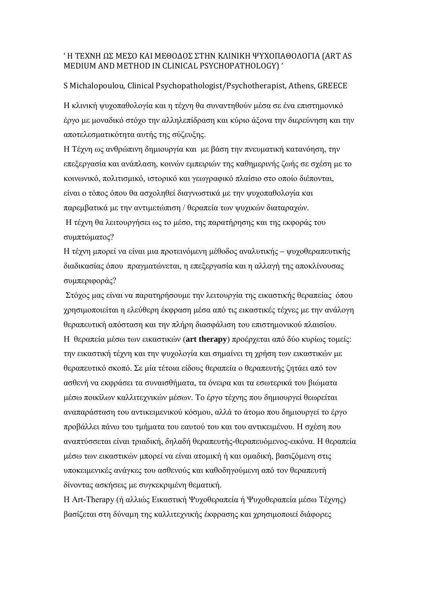### ' Η ΤΕΧΝΗ ΩΣ ΜΕΣΟ ΚΑΙ ΜΕΘΟΔΟΣ ΣΤΗΝ ΚΛΙΝΙΚΗ ΨΥΧΟΠΑΘΟΛΟΓΙΑ (ART AS MEDIUM AND METHOD IN CLINICAL PSYCHOPATHOLOGY) '

### S Michalopoulou, Clinical Psychopathologist/Psychotherapist, Athens, GREECE

Η κλινική ψυχοπαθολογία και η τέχνη θα συναντηθούν μέσα σε ένα επιστημονικό έργο με μοναδικό στόχο την αλληλεπίδραση και κύριο άξονα την διερεύνηση και την αποτελεσματικότητα αυτής της σύζευξης.

Η [Τέχνη](http://el.wikipedia.org/wiki/%CE%A4%CE%AD%CF%87%CE%BD%CE%B7) ως ανθρώπινη δημιουργία και με βάση την πνευματική κατανόηση, την επεξεργασία και ανάπλαση, κοινών εμπειριών της καθημερινής ζωής σε σχέση με το κοινωνικό, [πολιτισμικό](http://el.wikipedia.org/wiki/%CE%A0%CE%BF%CE%BB%CE%B9%CF%84%CE%B9%CF%83%CE%BC%CF%8C%CF%82), [ιστορικό](http://el.wikipedia.org/wiki/%CE%99%CF%83%CF%84%CE%BF%CF%81%CE%AF%CE%B1) και [γεωγραφικό](http://el.wikipedia.org/wiki/%CE%93%CE%B5%CF%89%CE%B3%CF%81%CE%B1%CF%86%CE%AF%CE%B1) πλαίσιο στο οποίο διέπονται, είναι ο τόπος όπου θα ασχοληθεί διαγνωστικά με την ψυχοπαθολογία και παρεμβατικά με την αντιμετώπιση / θεραπεία των ψυχικών διαταραχών. Η τέχνη θα λειτουργήσει ως το μέσο, της παρατήρησης και της εκφοράς του

συμπτώματος?

Η τέχνη μπορεί να είναι μια προτεινόμενη μέθοδος αναλυτικής – ψυχοθεραπευτικής διαδικασίας όπου πραγματώνεται, η επεξεργασία και η αλλαγή της αποκλίνουσας συμπεριφοράς?

Στόχος μας είναι να παρατηρήσουμε την λειτουργία της εικαστικής θεραπείας όπου χρησιμοποιείται η ελεύθερη έκφραση μέσα από τις εικαστικές τέχνες με την ανάλογη θεραπευτική απόσταση και την πλήρη διασφάλιση του επιστημονικού πλαισίου. Η θεραπεία μέσω των εικαστικών (**art therapy**) προέρχεται από δύο κυρίως τομείς: την εικαστική τέχνη και την ψυχολογία και σημαίνει τη χρήση των εικαστικών με θεραπευτικό σκοπό. Σε μία τέτοια είδους θεραπεία ο θεραπευτής ζητάει από τον ασθενή να εκφράσει τα συναισθήματα, τα όνειρα και τα εσωτερικά του βιώματα μέσω ποικίλων καλλιτεχνικών μέσων. Το έργο τέχνης που δημιουργεί θεωρείται αναπαράσταση του αντικειμενικού κόσμου, αλλά το άτομο που δημιουργεί το έργο προβάλλει πάνω του τμήματα του εαυτού του και του αντικειμένου. Η σχέση που αναπτύσσεται είναι τριαδική, δηλαδή θεραπευτής-θεραπευόμενος-εικόνα. Η θεραπεία μέσω των εικαστικών μπορεί να είναι ατομική ή και ομαδική, βασιζόμενη στις υποκειμενικές ανάγκες του ασθενούς και καθοδηγούμενη από τον θεραπευτή δίνοντας ασκήσεις με συγκεκριμένη θεματική.

Η Art-Therapy (ή αλλιώς Εικαστική Ψυχοθεραπεία ή Ψυχοθεραπεία μέσω Τέχνης) βασίζεται στη δύναμη της καλλιτεχνικής έκφρασης και χρησιμοποιεί διάφορες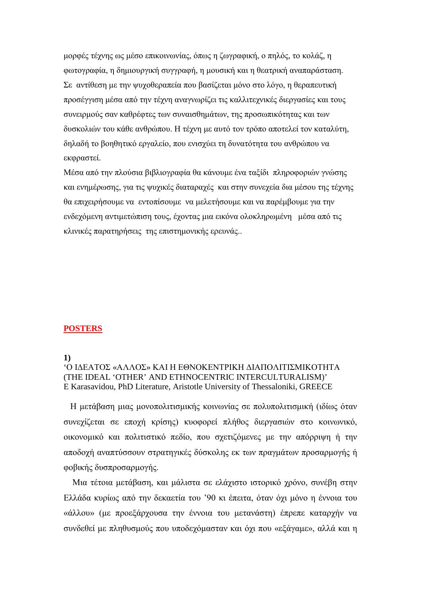μορφές τέχνης ως μέσο επικοινωνίας, όπως η ζωγραφική, ο πηλός, το κολάζ, η φωτογραφία, η δημιουργική συγγραφή, η μουσική και η θεατρική αναπαράσταση. Σε αντίθεση με την ψυχοθεραπεία που βασίζεται μόνο στο λόγο, η θεραπευτική προσέγγιση μέσα από την τέχνη αναγνωρίζει τις καλλιτεχνικές διεργασίες και τους συνειρμούς σαν καθρέφτες των συναισθημάτων, της προσωπικότητας και των δυσκολιών του κάθε ανθρώπου. Η τέχνη με αυτό τον τρόπο αποτελεί τον καταλύτη, δηλαδή το βοηθητικό εργαλείο, που ενισχύει τη δυνατότητα του ανθρώπου να εκφραστεί.

Μέσα από την πλούσια βιβλιογραφία θα κάνουμε ένα ταξίδι πληροφοριών γνώσης και ενημέρωσης, για τις ψυχικές διαταραχές και στην συνεχεία δια μέσου της τέχνης θα επιχειρήσουμε να εντοπίσουμε να μελετήσουμε και να παρέμβουμε για την ενδεχόμενη αντιμετώπιση τους, έχοντας μια εικόνα ολοκληρωμένη μέσα από τις κλινικές παρατηρήσεις της επιστημονικής ερευνάς..

### **POSTERS**

#### **1)**

### 'Ο ΙΔΕΑΤΟΣ «ΑΛΛΟΣ» ΚΑΙ Η ΕΘΝΟΚΕΝΤΡΙΚΗ ΔΙΑΠΟΛΙΤΙΣΜΙΚΟΤΗΤΑ (THE IDEAL 'OTHER' AND ETHNOCENTRIC INTERCULTURALISM)' E Karasavidou, PhD Literature, Aristotle University of Thessaloniki, GREECE

 Η μετάβαση μιας μονοπολιτισμικής κοινωνίας σε πολυπολιτισμική (ιδίως όταν συνεχίζεται σε εποχή κρίσης) κυοφορεί πλήθος διεργασιών στο κοινωνικό, οικονομικό και πολιτιστικό πεδίο, που σχετιζόμενες με την απόρριψη ή την αποδοχή αναπτύσσουν στρατηγικές δύσκολης εκ των πραγμάτων προσαρμογής ή φοβικής δυσπροσαρμογής.

 Μια τέτοια μετάβαση, και μάλιστα σε ελάχιστο ιστορικό χρόνο, συνέβη στην Ελλάδα κυρίως από την δεκαετία του '90 κι έπειτα, όταν όχι μόνο η έννοια του «άλλου» (με προεξάρχουσα την έννοια του μετανάστη) έπρεπε καταρχήν να συνδεθεί με πληθυσμούς που υποδεχόμασταν και όχι που «εξάγαμε», αλλά και η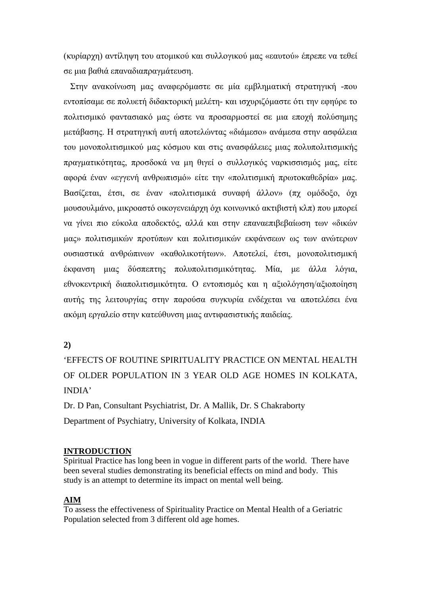(κυρίαρχη) αντίληψη του ατομικού και συλλογικού μας «εαυτού» έπρεπε να τεθεί σε μια βαθιά επαναδιαπραγμάτευση.

 Στην ανακοίνωση μας αναφερόμαστε σε μία εμβληματική στρατηγική -που εντοπίσαμε σε πολυετή διδακτορική μελέτη- και ισχυριζόμαστε ότι την εφηύρε το πολιτισμικό φαντασιακό μας ώστε να προσαρμοστεί σε μια εποχή πολύσημης μετάβασης. Η στρατηγική αυτή αποτελώντας «διάμεσο» ανάμεσα στην ασφάλεια του μονοπολιτισμικού μας κόσμου και στις ανασφάλειες μιας πολυπολιτισμικής πραγματικότητας, προσδοκά να μη θιγεί ο συλλογικός ναρκισσισμός μας, είτε αφορά έναν «εγγενή ανθρωπισμό» είτε την «πολιτισμική πρωτοκαθεδρία» μας. Βασίζεται, έτσι, σε έναν «πολιτισμικά συναφή άλλον» (πχ ομόδοξο, όχι μουσουλμάνο, μικροαστό οικογενειάρχη όχι κοινωνικό ακτιβιστή κλπ) που μπορεί να γίνει πιο εύκολα αποδεκτός, αλλά και στην επαναεπιβεβαίωση των «δικών μας» πολιτισμικών προτύπων και πολιτισμικών εκφάνσεων ως των ανώτερων ουσιαστικά ανθρώπινων «καθολικοτήτων». Αποτελεί, έτσι, μονοπολιτισμική έκφανση μιας δύσπεπτης πολυπολιτισμικότητας. Μία, με άλλα λόγια, εθνοκεντρική διαπολιτισμικότητα. Ο εντοπισμός και η αξιολόγηση/αξιοποίηση αυτής της λειτουργίας στην παρούσα συγκυρία ενδέχεται να αποτελέσει ένα ακόμη εργαλείο στην κατεύθυνση μιας αντιφασιστικής παιδείας.

**2)**

'EFFECTS OF ROUTINE SPIRITUALITY PRACTICE ON MENTAL HEALTH OF OLDER POPULATION IN 3 YEAR OLD AGE HOMES IN KOLKATA, INDIA'

Dr. D Pan, Consultant Psychiatrist, Dr. A Mallik, Dr. S Chakraborty Department of Psychiatry, University of Kolkata, INDIA

### **INTRODUCTION**

Spiritual Practice has long been in vogue in different parts of the world. There have been several studies demonstrating its beneficial effects on mind and body. This study is an attempt to determine its impact on mental well being.

### **AIM**

To assess the effectiveness of Spirituality Practice on Mental Health of a Geriatric Population selected from 3 different old age homes.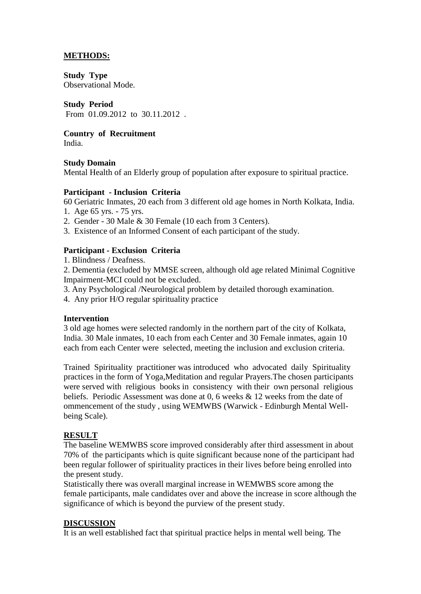### **METHODS:**

**Study Type** Observational Mode.

### **Study Period**

From 01.09.2012 to 30.11.2012 .

**Country of Recruitment** 

India.

### **Study Domain**

Mental Health of an Elderly group of population after exposure to spiritual practice.

### **Participant - Inclusion Criteria**

60 Geriatric Inmates, 20 each from 3 different old age homes in North Kolkata, India.

- 1. Age 65 yrs. 75 yrs.
- 2. Gender 30 Male & 30 Female (10 each from 3 Centers).
- 3. Existence of an Informed Consent of each participant of the study.

### **Participant - Exclusion Criteria**

1. Blindness / Deafness.

2. Dementia (excluded by MMSE screen, although old age related Minimal Cognitive Impairment-MCI could not be excluded.

- 3. Any Psychological /Neurological problem by detailed thorough examination.
- 4. Any prior H/O regular spirituality practice

### **Intervention**

3 old age homes were selected randomly in the northern part of the city of Kolkata, India. 30 Male inmates, 10 each from each Center and 30 Female inmates, again 10 each from each Center were selected, meeting the inclusion and exclusion criteria.

Trained Spirituality practitioner was introduced who advocated daily Spirituality practices in the form of Yoga,Meditation and regular Prayers.The chosen participants were served with religious books in consistency with their own personal religious beliefs. Periodic Assessment was done at 0, 6 weeks & 12 weeks from the date of ommencement of the study , using WEMWBS (Warwick - Edinburgh Mental Wellbeing Scale).

### **RESULT**

The baseline WEMWBS score improved considerably after third assessment in about 70% of the participants which is quite significant because none of the participant had been regular follower of spirituality practices in their lives before being enrolled into the present study.

Statistically there was overall marginal increase in WEMWBS score among the female participants, male candidates over and above the increase in score although the significance of which is beyond the purview of the present study.

### **DISCUSSION**

It is an well established fact that spiritual practice helps in mental well being. The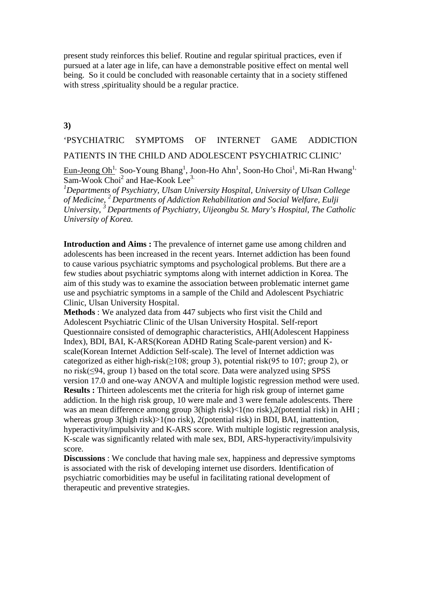present study reinforces this belief. Routine and regular spiritual practices, even if pursued at a later age in life, can have a demonstrable positive effect on mental well being. So it could be concluded with reasonable certainty that in a society stiffened with stress ,spirituality should be a regular practice.

#### **3)**

'PSYCHIATRIC SYMPTOMS OF INTERNET GAME ADDICTION PATIENTS IN THE CHILD AND ADOLESCENT PSYCHIATRIC CLINIC'

 $\underline{\mathrm{Eun\hbox{-}Jeong\thinspace Oh}^{1}}$ , Soo-Young Bhang $^1$ , Joon-Ho Ahn $^1$ , Soon-Ho Choi $^1$ , Mi-Ran Hwang $^1$  $\overline{\text{Sam-Wook Choi}^2}$  and Hae-Kook Lee<sup>3.</sup>

*1 Departments of Psychiatry, Ulsan University Hospital, University of Ulsan College of Medicine, 2 Departments of Addiction Rehabilitation and Social Welfare, Eulji University, 3 Departments of Psychiatry, Uijeongbu St. Mary's Hospital, The Catholic University of Korea.*

**Introduction and Aims :** The prevalence of internet game use among children and adolescents has been increased in the recent years. Internet addiction has been found to cause various psychiatric symptoms and psychological problems. But there are a few studies about psychiatric symptoms along with internet addiction in Korea. The aim of this study was to examine the association between problematic internet game use and psychiatric symptoms in a sample of the Child and Adolescent Psychiatric Clinic, Ulsan University Hospital.

**Methods** : We analyzed data from 447 subjects who first visit the Child and Adolescent Psychiatric Clinic of the Ulsan University Hospital. Self-report Questionnaire consisted of demographic characteristics, AHI(Adolescent Happiness Index), BDI, BAI, K-ARS(Korean ADHD Rating Scale-parent version) and Kscale(Korean Internet Addiction Self-scale). The level of Internet addiction was categorized as either high-risk( $\geq$ 108; group 3), potential risk(95 to 107; group 2), or no risk(≤94, group 1) based on the total score. Data were analyzed using SPSS version 17.0 and one-way ANOVA and multiple logistic regression method were used. **Results :** Thirteen adolescents met the criteria for high risk group of internet game addiction. In the high risk group, 10 were male and 3 were female adolescents. There was an mean difference among group 3(high risk)<1(no risk),2(potential risk) in AHI; whereas group 3(high risk)>1(no risk), 2(potential risk) in BDI, BAI, inattention, hyperactivity/impulsivity and K-ARS score. With multiple logistic regression analysis, K-scale was significantly related with male sex, BDI, ARS-hyperactivity/impulsivity score.

**Discussions** : We conclude that having male sex, happiness and depressive symptoms is associated with the risk of developing internet use disorders. Identification of psychiatric comorbidities may be useful in facilitating rational development of therapeutic and preventive strategies.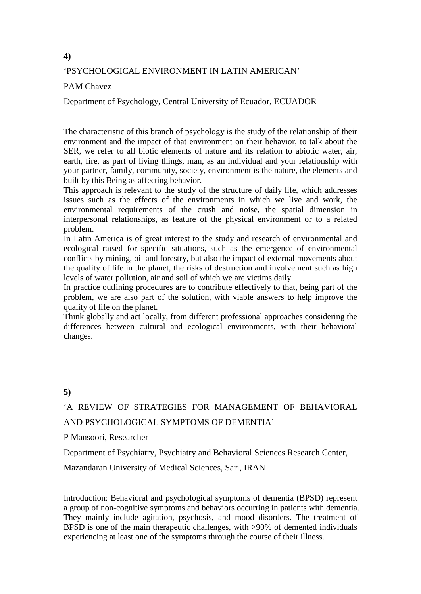### **4)**

### 'PSYCHOLOGICAL ENVIRONMENT IN LATIN AMERICAN'

### PAM Chavez

Department of Psychology, Central University of Ecuador, ECUADOR

The characteristic of this branch of psychology is the study of the relationship of their environment and the impact of that environment on their behavior, to talk about the SER, we refer to all biotic elements of nature and its relation to abiotic water, air, earth, fire, as part of living things, man, as an individual and your relationship with your partner, family, community, society, environment is the nature, the elements and built by this Being as affecting behavior.

This approach is relevant to the study of the structure of daily life, which addresses issues such as the effects of the environments in which we live and work, the environmental requirements of the crush and noise, the spatial dimension in interpersonal relationships, as feature of the physical environment or to a related problem.

In Latin America is of great interest to the study and research of environmental and ecological raised for specific situations, such as the emergence of environmental conflicts by mining, oil and forestry, but also the impact of external movements about the quality of life in the planet, the risks of destruction and involvement such as high levels of water pollution, air and soil of which we are victims daily.

In practice outlining procedures are to contribute effectively to that, being part of the problem, we are also part of the solution, with viable answers to help improve the quality of life on the planet.

Think globally and act locally, from different professional approaches considering the differences between cultural and ecological environments, with their behavioral changes.

### **5)**

# 'A REVIEW OF STRATEGIES FOR MANAGEMENT OF BEHAVIORAL AND PSYCHOLOGICAL SYMPTOMS OF DEMENTIA'

P Mansoori, Researcher

Department of Psychiatry, Psychiatry and Behavioral Sciences Research Center,

Mazandaran University of Medical Sciences, Sari, IRAN

Introduction: Behavioral and psychological symptoms of dementia (BPSD) represent a group of non-cognitive symptoms and behaviors occurring in patients with dementia. They mainly include agitation, psychosis, and mood disorders. The treatment of BPSD is one of the main therapeutic challenges, with >90% of demented individuals experiencing at least one of the symptoms through the course of their illness.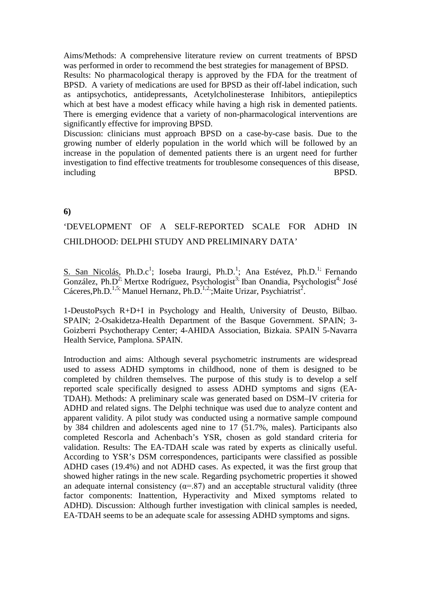Aims/Methods: A comprehensive literature review on current treatments of BPSD was performed in order to recommend the best strategies for management of BPSD.

Results: No pharmacological therapy is approved by the FDA for the treatment of BPSD. A variety of medications are used for BPSD as their off-label indication, such as antipsychotics, antidepressants, Acetylcholinesterase Inhibitors, antiepileptics which at best have a modest efficacy while having a high risk in demented patients. There is emerging evidence that a variety of non-pharmacological interventions are significantly effective for improving BPSD.

Discussion: clinicians must approach BPSD on a case-by-case basis. Due to the growing number of elderly population in the world which will be followed by an increase in the population of demented patients there is an urgent need for further investigation to find effective treatments for troublesome consequences of this disease, including BPSD.

### **6)**

# 'DEVELOPMENT OF A SELF-REPORTED SCALE FOR ADHD IN CHILDHOOD: DELPHI STUDY AND PRELIMINARY DATA'

S. San Nicolás, Ph.D.c<sup>1</sup>; Ioseba Iraurgi, Ph.D.<sup>1</sup>; Ana Estévez, Ph.D.<sup>1;</sup> Fernando González, Ph.D<sup>2;</sup> Mertxe Rodríguez, Psychologist<sup>3;</sup> Iban Onandia, Psychologist<sup>4;</sup> José Cáceres, Ph.D.<sup>1,5;</sup> Manuel Hernanz, Ph.D.<sup>1,2</sup>; Maite Urizar, Psychiatrist<sup>2</sup>.

1-DeustoPsych R+D+I in Psychology and Health, University of Deusto, Bilbao. SPAIN; 2-Osakidetza-Health Department of the Basque Government. SPAIN; 3- Goizberri Psychotherapy Center; 4-AHIDA Association, Bizkaia. SPAIN 5-Navarra Health Service, Pamplona. SPAIN.

Introduction and aims: Although several psychometric instruments are widespread used to assess ADHD symptoms in childhood, none of them is designed to be completed by children themselves. The purpose of this study is to develop a self reported scale specifically designed to assess ADHD symptoms and signs (EA-TDAH). Methods: A preliminary scale was generated based on DSM–IV criteria for ADHD and related signs. The Delphi technique was used due to analyze content and apparent validity. A pilot study was conducted using a normative sample compound by 384 children and adolescents aged nine to 17 (51.7%, males). Participants also completed Rescorla and Achenbach's YSR, chosen as gold standard criteria for validation. Results: The EA-TDAH scale was rated by experts as clinically useful. According to YSR's DSM correspondences, participants were classified as possible ADHD cases (19.4%) and not ADHD cases. As expected, it was the first group that showed higher ratings in the new scale. Regarding psychometric properties it showed an adequate internal consistency  $(\alpha = 0.87)$  and an acceptable structural validity (three factor components: Inattention, Hyperactivity and Mixed symptoms related to ADHD). Discussion: Although further investigation with clinical samples is needed, EA-TDAH seems to be an adequate scale for assessing ADHD symptoms and signs.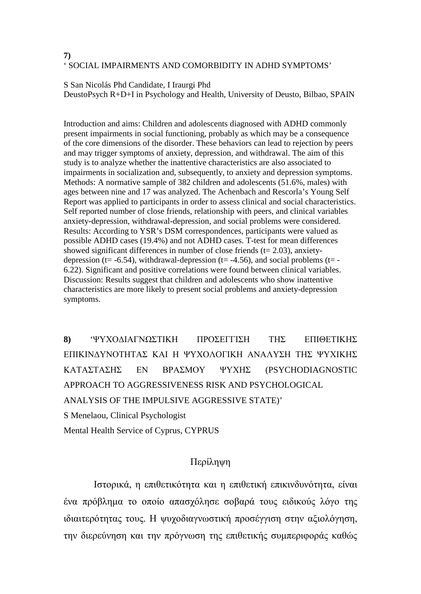### **7)** ' SOCIAL IMPAIRMENTS AND COMORBIDITY IN ADHD SYMPTOMS'

S San Nicolás Phd Candidate, I Iraurgi Phd DeustoPsych R+D+I in Psychology and Health, University of Deusto, Bilbao, SPAIN

Introduction and aims: Children and adolescents diagnosed with ADHD commonly present impairments in social functioning, probably as which may be a consequence of the core dimensions of the disorder. These behaviors can lead to rejection by peers and may trigger symptoms of anxiety, depression, and withdrawal. The aim of this study is to analyze whether the inattentive characteristics are also associated to impairments in socialization and, subsequently, to anxiety and depression symptoms. Methods: A normative sample of 382 children and adolescents (51.6%, males) with ages between nine and 17 was analyzed. The Achenbach and Rescorla's Young Self Report was applied to participants in order to assess clinical and social characteristics. Self reported number of close friends, relationship with peers, and clinical variables anxiety-depression, withdrawal-depression, and social problems were considered. Results: According to YSR's DSM correspondences, participants were valued as possible ADHD cases (19.4%) and not ADHD cases. T-test for mean differences showed significant differences in number of close friends ( $t = 2.03$ ), anxietydepression (t= -6.54), withdrawal-depression (t= -4.56), and social problems (t= -6.22). Significant and positive correlations were found between clinical variables. Discussion: Results suggest that children and adolescents who show inattentive characteristics are more likely to present social problems and anxiety-depression symptoms.

**8)** 'ΨΥΧΟΔΙΑΓΝΩΣΤΙΚΗ ΠΡΟΣΕΓΓΙΣΗ ΤΗΣ ΕΠΙΘΕΤΙΚΗΣ ΕΠΙΚΙΝΔΥΝΟΤΗΤΑΣ ΚΑΙ Η ΨΥΧΟΛΟΓΙΚΗ ΑΝΑΛΥΣΗ ΤΗΣ ΨΥΧΙΚΗΣ ΚΑΤΑΣΤΑΣΗΣ ΕΝ ΒΡΑΣΜΟΥ ΨΥΧΗΣ (PSYCHODIAGNOSTIC APPROACH TO AGGRESSIVENESS RISK AND PSYCHOLOGICAL ANALYSIS OF THE IMPULSIVE AGGRESSIVE STATE)'

S Menelaou, Clinical Psychologist

Mental Health Service of Cyprus, CYPRUS

# Περίληψη

Ιστορικά, η επιθετικότητα και η επιθετική επικινδυνότητα, είναι ένα πρόβλημα το οποίο απασχόλησε σοβαρά τους ειδικούς λόγο της ιδιαιτερότητας τους. Η ψυχοδιαγνωστική προσέγγιση στην αξιολόγηση, την διερεύνηση και την πρόγνωση της επιθετικής συμπεριφοράς καθώς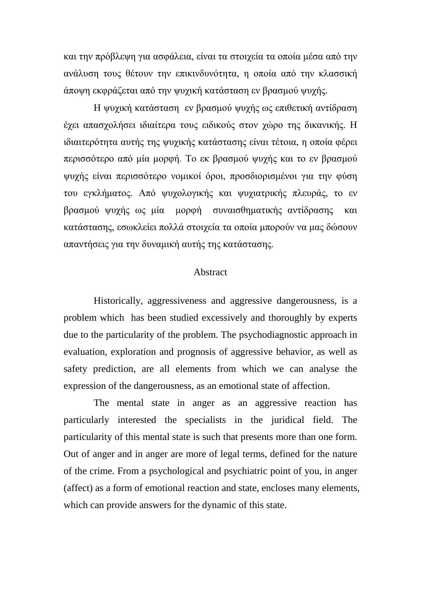και την πρόβλεψη για ασφάλεια, είναι τα στοιχεία τα οποία μέσα από την ανάλυση τους θέτουν την επικινδυνότητα, η οποία από την κλασσική άποψη εκφράζεται από την ψυχική κατάσταση εν βρασμού ψυχής.

Η ψυχική κατάσταση εν βρασμού ψυχής ως επιθετική αντίδραση έχει απασχολήσει ιδιαίτερα τους ειδικούς στον χώρο της δικανικής. Η ιδιαιτερότητα αυτής της ψυχικής κατάστασης είναι τέτοια, η οποία φέρει περισσότερο από μία μορφή. Το εκ βρασμού ψυχής και το εν βρασμού ψυχής είναι περισσότερο νομικοί όροι, προσδιορισμένοι για την φύση του εγκλήματος. Από ψυχολογικής και ψυχιατρικής πλευράς, το εν βρασμού ψυχής ως μία μορφή συναισθηματικής αντίδρασης και κατάστασης, εσωκλείει πολλά στοιχεία τα οποία μπορούν να μας δώσουν απαντήσεις για την δυναμική αυτής της κατάστασης.

### Abstract

Historically, aggressiveness and aggressive dangerousness, is a problem which has been studied excessively and thoroughly by experts due to the particularity of the problem. The psychodiagnostic approach in evaluation, exploration and prognosis of aggressive behavior, as well as safety prediction, are all elements from which we can analyse the expression of the dangerousness, as an emotional state of affection.

The mental state in anger as an aggressive reaction has particularly interested the specialists in the juridical field. The particularity of this mental state is such that presents more than one form. Out of anger and in anger are more of legal terms, defined for the nature of the crime. From a psychological and psychiatric point of you, in anger (affect) as a form of emotional reaction and state, encloses many elements, which can provide answers for the dynamic of this state.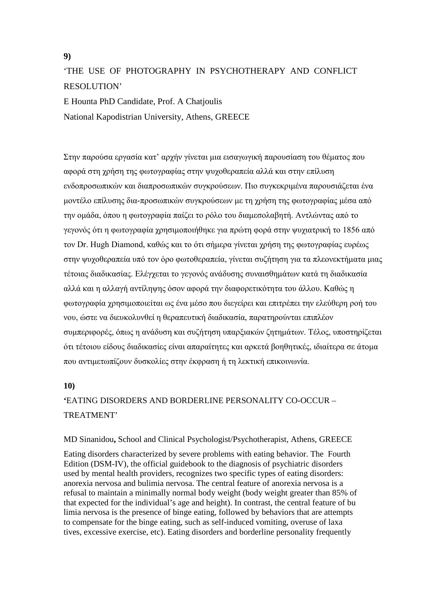**9)**

# 'THE USE OF PHOTOGRAPHY IN PSYCHOTHERAPY AND CONFLICT RESOLUTION'

E Hounta PhD Candidate, Prof. A Chatjoulis National Kapodistrian University, Athens, GREECE

Στην παρούσα εργασία κατ' αρχήν γίνεται μια εισαγωγική παρουσίαση του θέματος που αφορά στη χρήση της φωτογραφίας στην ψυχοθεραπεία αλλά και στην επίλυση ενδοπροσωπικών και διαπροσωπικών συγκρούσεων. Πιο συγκεκριμένα παρουσιάζεται ένα μοντέλο επίλυσης δια-προσωπικών συγκρούσεων με τη χρήση της φωτογραφίας μέσα από την ομάδα, όπου η φωτογραφία παίζει το ρόλο του διαμεσολαβητή. Αντλώντας από το γεγονός ότι η φωτογραφία χρησιμοποιήθηκε για πρώτη φορά στην ψυχιατρική το 1856 από τον Dr. Hugh Diamond, καθώς και το ότι σήμερα γίνεται χρήση της φωτογραφίας ευρέως στην ψυχοθεραπεία υπό τον όρο φωτοθεραπεία, γίνεται συζήτηση για τα πλεονεκτήματα μιας τέτοιας διαδικασίας. Ελέγχεται το γεγονός ανάδυσης συναισθημάτων κατά τη διαδικασία αλλά και η αλλαγή αντίληψης όσον αφορά την διαφορετικότητα του άλλου. Καθώς η φωτογραφία χρησιμοποιείται ως ένα μέσο που διεγείρει και επιτρέπει την ελεύθερη ροή του νου, ώστε να διευκολυνθεί η θεραπευτική διαδικασία, παρατηρούνται επιπλέον συμπεριφορές, όπως η ανάδυση και συζήτηση υπαρξιακών ζητημάτων. Τέλος, υποστηρίζεται ότι τέτοιου είδους διαδικασίες είναι απαραίτητες και αρκετά βοηθητικές, ιδιαίτερα σε άτομα που αντιμετωπίζουν δυσκολίες στην έκφραση ή τη λεκτική επικοινωνία.

### **10)**

# **'**EATING DISORDERS AND BORDERLINE PERSONALITY CO-OCCUR – TREATMENT'

### MD Sinanidou**,** School and Clinical Psychologist/Psychotherapist, Athens, GREECE

Eating disorders characterized by severe problems with eating behavior. The [Fourth](http://bpd.about.com/od/glossary/g/DSM.htm)  [Edition \(DSM-IV\),](http://bpd.about.com/od/glossary/g/DSM.htm) the official guidebook to the diagnosis of psychiatric disorders used by mental health providers, recognizes two specific types of eating disorders: [anorexia nervosa](http://bpd.about.com/od/glossary/g/AN.htm) and [bulimia nervosa.](http://bpd.about.com/od/glossary/g/BN.htm) The central feature of anorexia nervosa is a refusal to maintain a minimally normal body weight (body weight greater than 85% of that expected for the individual's age and height). In contrast, the central feature of bu limia nervosa is the presence of binge eating, followed by behaviors that are attempts to compensate for the binge eating, such as self-induced vomiting, overuse of laxa tives, excessive exercise, etc). Eating disorders and borderline personality frequently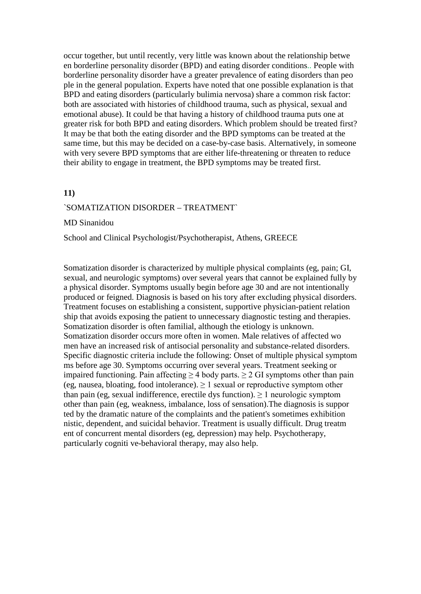occur together, but until recently, very little was known about the relationship betwe en borderline personality disorder (BPD) and eating disorder conditions.. People with borderline personality disorder have a greater prevalence of eating disorders than peo ple in the general population. Experts have noted that one possible explanation is that BPD and eating disorders (particularly bulimia nervosa) share a common risk factor: both are associated with histories of [childhood trauma,](http://bpd.about.com/od/causesofbpd/a/Abuse_ar.htm) such as physical, sexual and emotional abuse). It could be that having a history of childhood trauma puts one at greater risk for both BPD and eating disorders. Which problem should be treated first? It may be that both the eating disorder and the BPD symptoms can be treated at the same time, but this may be decided on a case-by-case basis. Alternatively, in someone with very severe BPD symptoms that are either life-threatening or threaten to reduce their ability to engage in treatment, the BPD symptoms may be treated first.

#### **11)**

#### `SOMATIZATION DISORDER – TREATMENT`

#### MD Sinanidou

School and Clinical Psychologist/Psychotherapist, Athens, GREECE

Somatization disorder is characterized by multiple physical complaints (eg, pain; GI, sexual, and neurologic symptoms) over several years that cannot be explained fully by a physical disorder. Symptoms usually begin before age 30 and are not intentionally produced or feigned. Diagnosis is based on his tory after excluding physical disorders. Treatment focuses on establishing a consistent, supportive physician-patient relation ship that avoids exposing the patient to unnecessary diagnostic testing and therapies. Somatization disorder is often familial, although the etiology is unknown. Somatization disorder occurs more often in women. Male relatives of affected wo men have an increased risk of antisocial personality and substance-related disorders. Specific diagnostic criteria include the following: Onset of multiple physical symptom ms before age 30. Symptoms occurring over several years. Treatment seeking or impaired functioning. Pain affecting  $\geq$  4 body parts.  $\geq$  2 GI symptoms other than pain (eg, nausea, bloating, food intolerance).  $\geq 1$  sexual or reproductive symptom other than pain (eg, sexual indifference, erectile dys function).  $\geq 1$  neurologic symptom other than pain (eg, weakness, imbalance, loss of sensation).The diagnosis is suppor ted by the dramatic nature of the complaints and the patient's sometimes exhibition nistic, dependent, and suicidal behavior. Treatment is usually difficult. Drug treatm ent of concurrent mental disorders (eg, depression) may help. Psychotherapy, particularly cogniti ve-behavioral therapy, may also help.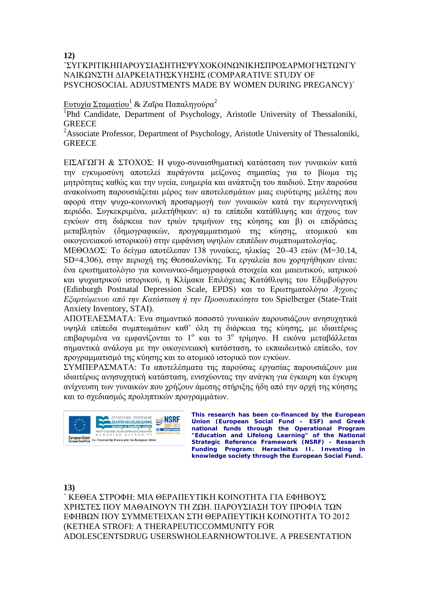**12)**

### `ΣΥΓΚΡΙΤΙΚΗΠΑΡΟΥΣΙΑΣΗΤΗΣΨΥΧΟΚΟΙΝΩΝΙΚΗΣΠΡΟΣΑΡΜΟΓΗΣΤΩΝΓΥ ΝΑΙΚΩΝΣΤΗ ΔΙΑΡΚΕΙΑΤΗΣΚΥΗΣΗΣ (COMPARATIVE STUDY OF PSYCHOSOCIAL ADJUSTMENTS MADE BY WOMEN DURING PREGANCY)`

### Ευτυχία Σταματίου<sup>1</sup> & Ζαΐρα Παπαληγούρα<sup>2</sup>

<sup>1</sup>Phd Candidate, Department of Psychology, Aristotle University of Thessaloniki, **GREECE** 

<sup>2</sup>Associate Professor, Department of Psychology, Aristotle University of Thessaloniki, **GREECE** 

ΕΙΣΑΓΩΓΗ & ΣΤΟΧΟΣ: Η ψυχο-συναισθηματική κατάσταση των γυναικών κατά την εγκυμοσύνη αποτελεί παράγοντα μείζονος σημασίας για το βίωμα της μητρότητας καθώς και την υγεία, ευημερία και ανάπτυξη του παιδιού. Στην παρούσα ανακοίνωση παρουσιάζεται μέρος των αποτελεσμάτων μιας ευρύτερης μελέτης που αφορά στην ψυχο-κοινωνική προσαρμογή των γυναικών κατά την περιγεννητική περιόδο. Συγκεκριμένα, μελετήθηκαν: α) τα επίπεδα κατάθλιψης και άγχους των εγκύων στη διάρκεια των τριών τριμήνων της κύησης και β) οι επιδράσεις μεταβλητών (δημογραφικών, προγραμματισμού της κύησης, ατομικού και οικογενειακού ιστορικού) στην εμφάνιση υψηλών επιπέδων συμπτωματολογίας.

ΜΕΘΟΔΟΣ: Το δείγμα αποτέλεσαν 138 γυναίκες, ηλικίας 20–43 ετών (Μ=30.14, SD=4.306), στην περιοχή της Θεσσαλονίκης. Τα εργαλεία που χορηγήθηκαν είναι: ένα ερωτηματολόγιο για κοινωνικο-δημογραφικά στοιχεία και μαιευτικού, ιατρικού και ψυχιατρικού ιστορικού, η Κλίμακα Επιλόχειας Κατάθλιψης του Εδιμβούργου (Edinburgh Postnatal Depression Scale, EPDS) και το Ερωτηματολόγιο *Άγχους Εξαρτώμενου από την Κατάσταση ή την Προσωπικότητα* του Spielberger (State-Trait Anxiety Inventory, STAI).

ΑΠΟΤΕΛΕΣΜΑΤΑ: Ένα σημαντικό ποσοστό γυναικών παρουσιάζουν ανησυχητικά υψηλά επίπεδα συμπτωμάτων καθ' όλη τη διάρκεια της κύησης, με ιδιαιτέρως επιβαρυμένα να εμφανίζονται το 1<sup>°</sup> και το 3<sup>°</sup> τρίμηνο. Η εικόνα μεταβάλλεται σημαντικά ανάλογα με την οικογενειακή κατάσταση, το εκπαιδευτικό επίπεδο, τον προγραμματισμό της κύησης και το ατομικό ιστορικό των εγκύων.

ΣΥΜΠΕΡΑΣΜΑΤΑ: Τα αποτελέσματα της παρούσας εργασίας παρουσιάζουν μια ιδιαιτέρως ανησυχητική κατάσταση, ενισχύοντας την ανάγκη για έγκαιρη και έγκυρη ανίχνευση των γυναικών που χρήζουν άμεσης στήριξης ήδη από την αρχή της κύησης και το σχεδιασμός προληπτικών προγραμμάτων.



**This research has been co-financed by the European Union (European Social Fund – ESF) and Greek national funds through the Operational Program "Education and Lifelong Learning" of the National Strategic Reference Framework (NSRF) - Research Funding Program: Heracleitus II. Investing in knowledge society through the European Social Fund.** 

**13)**

` ΚΕΘΕΑ ΣΤΡΟΦΗ: ΜΙΑ ΘΕΡΑΠΕΥΤΙΚΗ ΚΟΙΝΟΤΗΤΑ ΓΙΑ ΕΦΗΒΟΥΣ ΧΡΗΣΤΕΣ ΠΟΥ ΜΑΘΑΙΝΟΥΝ ΤΗ ΖΩΗ. ΠΑΡΟΥΣΙΑΣΗ ΤΟΥ ΠΡΟΦIΛ ΤΩΝ ΕΦΗΒΩΝ ΠΟΥ ΣΥΜΜΕΤΕΙΧΑΝ ΣΤΗ ΘΕΡΑΠΕΥΤΙΚΗ ΚΟΙΝΟΤΗΤΑ ΤΟ 2012 (KETHEA STROFI: A THERAPEUTICCOMMUNITY FOR ADOLESCENTSDRUG USERSWHOLEARNHOWTOLIVE. A PRESENTATION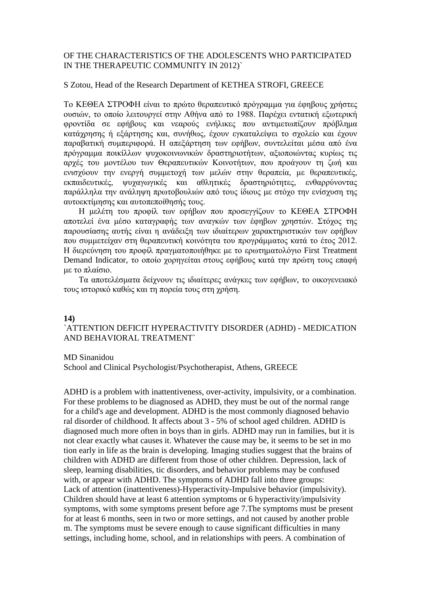### OF THE CHARACTERISTICS OF THE ADOLESCENTS WHO PARTICIPATED IN THE THERAPEUTIC COMMUNITY IN 2012)`

#### S Zotou, Head of the Research Department of KETHEA STROFI, GREECE

Το ΚΕΘΕΑ ΣΤΡΟΦΗ είναι το πρώτο θεραπευτικό πρόγραμμα για έφηβους χρήστες ουσιών, το οποίο λειτουργεί στην Αθήνα από το 1988. Παρέχει εντατική εξωτερική φροντίδα σε εφήβους και νεαρούς ενήλικες που αντιμετωπίζουν πρόβλημα κατάχρησης ή εξάρτησης και, συνήθως, έχουν εγκαταλείψει το σχολείο και έχουν παραβατική συμπεριφορά. Η απεξάρτηση των εφήβων, συντελείται μέσα από ένα πρόγραμμα ποικίλλων ψυχοκοινωνικών δραστηριοτήτων, αξιοποιώντας κυρίως τις αρχές του μοντέλου των Θεραπευτικών Κοινοτήτων, που προάγουν τη ζωή και ενισχύουν την ενεργή συμμετοχή των μελών στην θεραπεία, με θεραπευτικές, εκπαιδευτικές, ψυχαγωγικές και αθλητικές δραστηριότητες, ενθαρρύνοντας παράλληλα την ανάληψη πρωτοβουλιών από τους ίδιους με στόχο την ενίσχυση της αυτοεκτίμησης και αυτοπεποίθησής τους.

Η μελέτη του προφίλ των εφήβων που προσεγγίζουν το ΚΕΘΕΑ ΣΤΡΟΦΗ αποτελεί ένα μέσο καταγραφής των αναγκών των έφηβων χρηστών. Στόχος της παρουσίασης αυτής είναι η ανάδειξη των ιδιαίτερων χαρακτηριστικών των εφήβων που συμμετείχαν στη θεραπευτική κοινότητα του προγράμματος κατά το έτος 2012. Η διερεύνηση του προφίλ πραγματοποιήθηκε με το ερωτηματολόγιο First Treatment Demand Indicator, το οποίο χορηγείται στους εφήβους κατά την πρώτη τους επαφή με το πλαίσιο.

Τα αποτελέσματα δείχνουν τις ιδιαίτερες ανάγκες των εφήβων, το οικογενειακό τους ιστορικό καθώς και τη πορεία τους στη χρήση.

#### **14)**

### `ATTENTION DEFICIT HYPERACTIVITY DISORDER (ADHD) - MEDICATION AND BEHAVIORAL TREATMENT`

#### MD Sinanidou

School and Clinical Psychologist/Psychotherapist, Athens, GREECE

ADHD is a problem with inattentiveness, over-activity, impulsivity, or a combination. For these problems to be diagnosed as ADHD, they must be out of the normal range for a child's age and development. ADHD is the most commonly diagnosed behavio ral disorder of childhood. It affects about 3 - 5% of school aged children. ADHD is diagnosed much more often in boys than in girls. ADHD may run in families, but it is not clear exactly what causes it. Whatever the cause may be, it seems to be set in mo tion early in life as the brain is developing. Imaging studies suggest that the brains of children with ADHD are different from those of other children. Depression, lack of sleep, learning disabilities, tic disorders, and behavior problems may be confused with, or appear with ADHD. The symptoms of ADHD fall into three groups: Lack of attention (inattentiveness)-Hyperactivity-Impulsive behavior (impulsivity). Children should have at least 6 attention symptoms or 6 hyperactivity/impulsivity symptoms, with some symptoms present before age 7.The symptoms must be present for at least 6 months, seen in two or more settings, and not caused by another proble m. The symptoms must be severe enough to cause significant difficulties in many settings, including home, school, and in relationships with peers. A combination of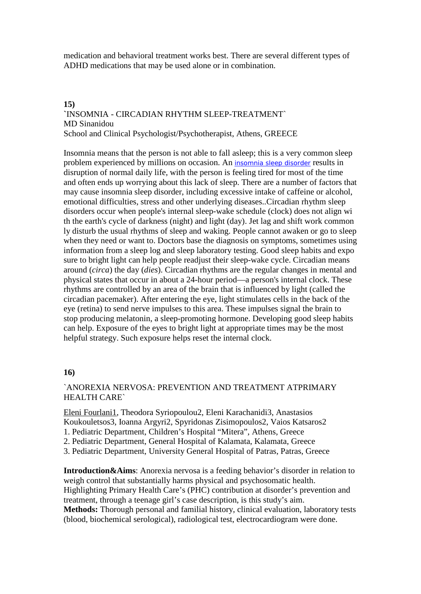medication and behavioral treatment works best. There are several different types of ADHD medications that may be used alone or in combination.

### **15)**

### **`**INSOMNIA - CIRCADIAN RHYTHM SLEEP-TREATMENT` MD Sinanidou School and Clinical Psychologist/Psychotherapist, Athens, GREECE

Insomnia means that the person is not able to fall asleep; this is a very common sleep problem experienced by millions on occasion. An [insomnia sleep disorder](http://www.isityourneed.com/health/insomnia/index.html) results in disruption of normal daily life, with the person is feeling tired for most of the time and often ends up worrying about this lack of sleep. There are a number of factors that may cause insomnia sleep disorder, including excessive intake of caffeine or alcohol, emotional difficulties, stress and other underlying diseases..Circadian rhythm sleep disorders occur when people's internal sleep-wake schedule (clock) does not align wi th the earth's cycle of darkness (night) and light (day). Jet lag and shift work common ly disturb the usual rhythms of sleep and waking. People cannot awaken or go to sleep when they need or want to. Doctors base the diagnosis on symptoms, sometimes using information from a sleep log and sleep laboratory testing. Good sleep habits and expo sure to bright light can help people readjust their sleep-wake cycle. Circadian means around (*circa*) the day (*dies*). Circadian rhythms are the regular changes in mental and physical states that occur in about a 24-hour period—a person's internal clock. These rhythms are controlled by an area of the brain that is influenced by light (called the circadian pacemaker). After entering the eye, light stimulates cells in the back of the eye (retina) to send nerve impulses to this area. These impulses signal the brain to stop producing melatonin, a sleep-promoting hormone. Developing good sleep habits can help. Exposure of the eyes to bright light at appropriate times may be the most helpful strategy. Such exposure helps reset the internal clock.

### **16)**

### `ANOREXIA NERVOSA: PREVENTION AND TREATMENT ATPRIMARY HEALTH CARE`

Eleni Fourlani1, Theodora Syriopoulou2, Eleni Karachanidi3, Anastasios Koukouletsos3, Ioanna Argyri2, Spyridonas Zisimopoulos2, Vaios Katsaros2

- 1. Pediatric Department, Children's Hospital "Mitera", Athens, Greece
- 2. Pediatric Department, General Hospital of Kalamata, Kalamata, Greece
- 3. Pediatric Department, University General Hospital of Patras, Patras, Greece

**Introduction&Aims**: Anorexia nervosa is a feeding behavior's disorder in relation to weigh control that substantially harms physical and psychosomatic health. Highlighting Primary Health Care's (PHC) contribution at disorder's prevention and treatment, through a teenage girl's case description, is this study's aim. **Methods:** Thorough personal and familial history, clinical evaluation, laboratory tests (blood, biochemical serological), radiological test, electrocardiogram were done.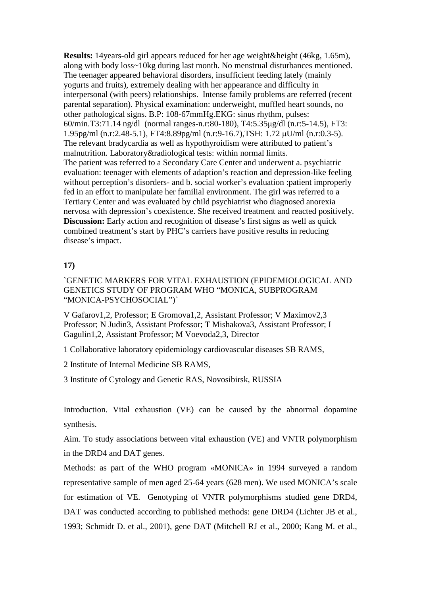**Results:** 14years-old girl appears reduced for her age weight&height (46kg, 1.65m), along with body loss~10kg during last month. No menstrual disturbances mentioned. The teenager appeared behavioral disorders, insufficient feeding lately (mainly yogurts and fruits), extremely dealing with her appearance and difficulty in interpersonal (with peers) relationships. Intense family problems are referred (recent parental separation). Physical examination: underweight, muffled heart sounds, no other pathological signs. B.P: 108-67mmHg.EKG: sinus rhythm, pulses: 60/min.Τ3:71.14 ng/dl (normal ranges-n.r:80-180), Τ4:5.35μg/dl (n.r:5-14.5), FΤ3: 1.95pg/ml (n.r:2.48-5.1), FT4:8.89pg/ml (n.r:9-16.7),TSH: 1.72 μU/ml (n.r:0.3-5). The relevant bradycardia as well as hypothyroidism were attributed to patient's malnutrition. Laboratory&radiological tests: within normal limits. The patient was referred to a Secondary Care Center and underwent a. psychiatric evaluation: teenager with elements of adaption's reaction and depression-like feeling without perception's disorders- and b. social worker's evaluation :patient improperly fed in an effort to manipulate her familial environment. The girl was referred to a Tertiary Center and was evaluated by child psychiatrist who diagnosed anorexia nervosa with depression's coexistence. She received treatment and reacted positively. **Discussion:** Early action and recognition of disease's first signs as well as quick combined treatment's start by PHC's carriers have positive results in reducing disease's impact.

#### **17)**

`GENETIC MARKERS FOR VITAL EXHAUSTION (EPIDEMIOLOGICAL AND GENETICS STUDY OF PROGRAM WHO "MONICA, SUBPROGRAM "MONICA-PSYCHOSOCIAL")`

V Gafarov1,2, Professor; E Gromova1,2, Assistant Professor; V Maximov2,3 Professor; N Judin3, Assistant Professor; T Mishakova3, Assistant Professor; I Gagulin1,2, Assistant Professor; M Voevoda2,3, Director

1 Collaborative laboratory epidemiology cardiovascular diseases SB RAMS,

2 Institute of Internal Medicine SB RAMS,

3 Institute of Cytology and Genetic RAS, Novosibirsk, RUSSIA

Introduction. Vital exhaustion (VE) can be caused by the abnormal dopamine synthesis.

Aim. To study associations between vital exhaustion (VE) and VNTR polymorphism in the DRD4 and DAT genes.

Methods: as part of the WHO program «MONICA» in 1994 surveyed a random representative sample of men aged 25-64 years (628 men). We used MONICA's scale for estimation of VE. Genotyping of VNTR polymorphisms studied gene DRD4, DAT was conducted according to published methods: gene DRD4 (Lichter JB et al., 1993; Schmidt D. et al., 2001), gene DAT (Mitchell RJ et al., 2000; Kang M. et al.,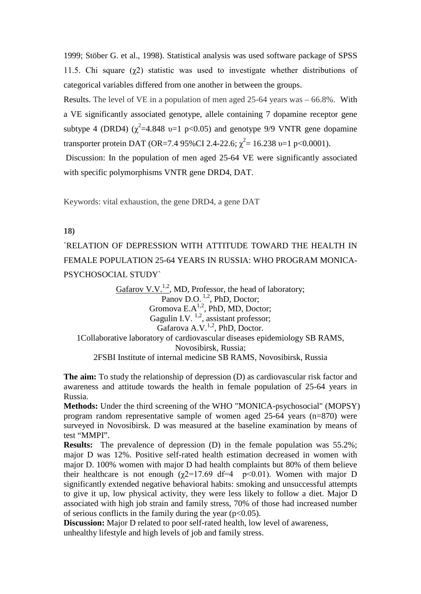1999; Stöber G. et al., 1998). Statistical analysis was used software package of SPSS 11.5. Chi square  $(\gamma 2)$  statistic was used to investigate whether distributions of categorical variables differed from one another in between the groups.

Results. The level of VE in a population of men aged 25-64 years was – 66.8%. With a VE significantly associated genotype, allele containing 7 dopamine receptor gene subtype 4 (DRD4)  $(\chi^2=4.848 \text{ v}=1 \text{ p}<0.05)$  and genotype 9/9 VNTR gene dopamine transporter protein DAT (OR=7.4 95%CI 2.4-22.6;  $\chi^2$  = 16.238 v=1 p<0.0001).

Discussion: In the population of men aged 25-64 VE were significantly associated with specific polymorphisms VNTR gene DRD4, DAT.

Keywords: vital exhaustion, the gene DRD4, a gene DAT

#### **18)**

`RELATION OF DEPRESSION WITH ATTITUDE TOWARD THE HEALTH IN FEMALE POPULATION 25-64 YEARS IN RUSSIA: WHO PROGRAM MONICA-PSYCHOSOCIAL STUDY`

Gafarov V.V.<sup>1,2</sup>, MD, Professor, the head of laboratory; Panov D.O.<sup>1,2</sup>, PhD, Doctor; Gromova  $E.A^{1,2}$ , PhD, MD, Doctor; Gagulin I.V.  $^{1,2}$ , assistant professor; Gafarova A.V.<sup>1,2</sup>, PhD, Doctor. 1Collaborative laboratory of cardiovascular diseases epidemiology SB RAMS, Novosibirsk, Russia; 2FSBI Institute of internal medicine SB RAMS, Novosibirsk, Russia

**The aim:** To study the relationship of depression (D) as cardiovascular risk factor and awareness and attitude towards the health in female population of 25-64 years in Russia.

**Methods:** Under the third screening of the WHO "MONICA-psychosocial" (MOPSY) program random representative sample of women aged 25-64 years (n=870) were surveyed in Novosibirsk. D was measured at the baseline examination by means of test "MMPI".

**Results:** The prevalence of depression (D) in the female population was 55.2%; major D was 12%. Positive self-rated health estimation decreased in women with major D. 100% women with major D had health complaints but 80% of them believe their healthcare is not enough ( $\chi$ 2=17.69 df=4 p<0.01). Women with major D significantly extended negative behavioral habits: smoking and unsuccessful attempts to give it up, low physical activity, they were less likely to follow a diet. Major D associated with high job strain and family stress, 70% of those had increased number of serious conflicts in the family during the year ( $p<0.05$ ).

**Discussion:** Major D related to poor self-rated health, low level of awareness, unhealthy lifestyle and high levels of job and family stress.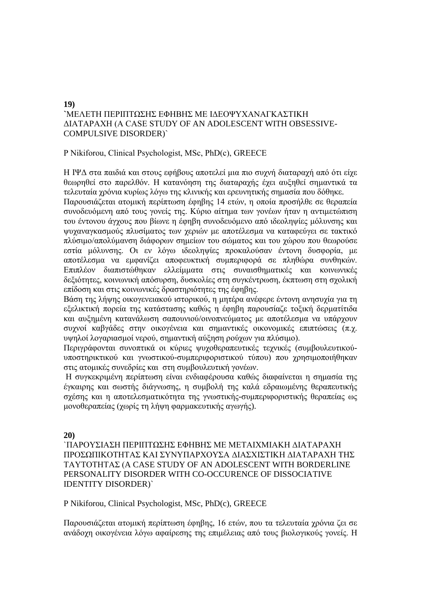### **19) `**ΜΕΛΕΤΗ ΠΕΡΙΠΤΩΣΗΣ EΦΗΒΗΣ ΜΕ ΙΔΕΟΨΥΧΑΝΑΓΚΑΣΤΙΚΗ ΔΙΑΤΑΡΑΧΗ (Α CASE STUDY OF AN ADOLESCENT WITH OBSESSIVE-COMPULSIVE DISORDER)`

### P Nikiforou, Clinical Psychologist, ΜSc, PhD(c), GREECE

Η ΙΨΔ στα παιδιά και στους εφήβους αποτελεί μια πιο συχνή διαταραχή από ότι είχε θεωρηθεί στο παρελθόν. Η κατανόηση της διαταραχής έχει αυξηθεί σημαντικά τα τελευταία χρόνια κυρίως λόγω της κλινικής και ερευνητικής σημασία που δόθηκε.

Παρουσιάζεται ατομική περίπτωση έφηβης 14 ετών, η οποία προσήλθε σε θεραπεία συνοδευόμενη από τους γονείς της. Κύριο αίτημα των γονέων ήταν η αντιμετώπιση του έντονου άγχους που βίωνε η έφηβη συνοδευόμενο από ιδεοληψίες μόλυνσης και ψυχαναγκασμούς πλυσίματος των χεριών με αποτέλεσμα να καταφεύγει σε τακτικό πλύσιμο/απολύμανση διάφορων σημείων του σώματος και του χώρου που θεωρούσε εστία μόλυνσης. Οι εν λόγω ιδεοληψίες προκαλούσαν έντονη δυσφορία, με αποτέλεσμα να εμφανίζει αποφευκτική συμπεριφορά σε πληθώρα συνθηκών. Επιπλέον διαπιστώθηκαν ελλείμματα στις συναισθηματικές και κοινωνικές δεξιότητες, κοινωνική απόσυρση, δυσκολίες στη συγκέντρωση, έκπτωση στη σχολική επίδοση και στις κοινωνικές δραστηριότητες της έφηβης.

Βάση της λήψης οικογενειακού ιστορικού, η μητέρα ανέφερε έντονη ανησυχία για τη εξελικτική πορεία της κατάστασης καθώς η έφηβη παρουσίαζε τοξική δερματίτιδα και αυξημένη κατανάλωση σαπουνιού/οινοπνεύματος με αποτέλεσμα να υπάρχουν συχνοί καβγάδες στην οικογένεια και σημαντικές οικονομικές επιπτώσεις (π.χ. υψηλοί λογαριασμοί νερού, σημαντική αύξηση ρούχων για πλύσιμο).

Περιγράφονται συνοπτικά οι κύριες ψυχοθεραπευτικές τεχνικές (συμβουλευτικούυποστηρικτικού και γνωστικού-συμπεριφοριστικού τύπου) που χρησιμοποιήθηκαν στις ατομικές συνεδρίες και στη συμβουλευτική γονέων.

Η συγκεκριμένη περίπτωση είναι ενδιαφέρουσα καθώς διαφαίνεται η σημασία της έγκαιρης και σωστής διάγνωσης, η συμβολή της καλά εδραιωμένης θεραπευτικής σχέσης και η αποτελεσματικότητα της γνωστικής-συμπεριφοριστικής θεραπείας ως μονοθεραπείας (χωρίς τη λήψη φαρμακευτικής αγωγής).

**20)**

### `ΠΑΡΟΥΣΙΑΣΗ ΠΕΡΙΠΤΩΣΗΣ EΦΗΒΗΣ ΜΕ ΜΕΤΑΙΧΜΙΑΚΗ ΔΙΑΤΑΡΑΧΗ ΠΡΟΣΩΠΙΚΟΤΗΤΑΣ ΚΑΙ ΣΥΝΥΠΑΡΧΟΥΣΑ ΔΙΑΣΧΙΣΤΙΚΗ ΔΙΑΤΑΡAΧΗ ΤΗΣ ΤΑΥΤΟΤΗΤΑΣ (A CASE STUDY OF AN ADOLESCENT WITH BORDERLINE PERSONALITY DISORDER WITH CO-OCCURENCE OF DISSOCIATIVE IDENTITY DISORDER)`

### P Nikiforou, Clinical Psychologist, ΜSc, PhD(c), GREECE

Παρουσιάζεται ατομική περίπτωση έφηβης, 16 ετών, που τα τελευταία χρόνια ζει σε ανάδοχη οικογένεια λόγω αφαίρεσης της επιμέλειας από τους βιολογικούς γονείς. Η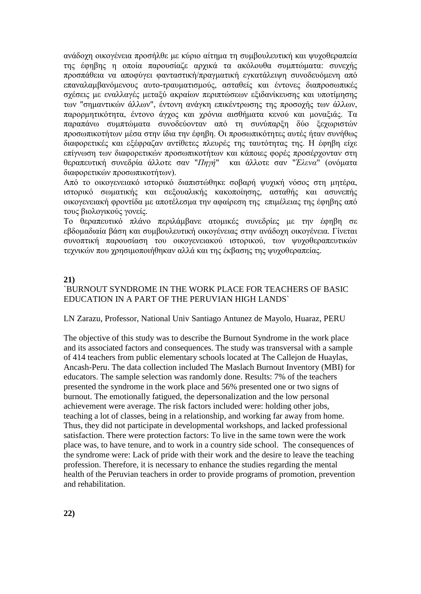ανάδοχη οικογένεια προσήλθε με κύριο αίτημα τη συμβουλευτική και ψυχοθεραπεία της έφηβης η οποία παρουσίαζε αρχικά τα ακόλουθα συμπτώματα: συνεχής προσπάθεια να αποφύγει φανταστική/πραγματική εγκατάλειψη συνοδευόμενη από επαναλαμβανόμενους αυτο-τραυματισμούς, ασταθείς και έντονες διαπροσωπικές σχέσεις με εναλλαγές μεταξύ ακραίων περιπτώσεων εξιδανίκευσης και υποτίμησης των "σημαντικών άλλων", έντονη ανάγκη επικέντρωσης της προσοχής των άλλων, παρορμητικότητα, έντονο άγχος και χρόνια αισθήματα κενού και μοναξιάς. Τα παραπάνω συμπτώματα συνοδεύονταν από τη συνύπαρξη δύο ξεχωριστών προσωπικοτήτων μέσα στην ίδια την έφηβη. Οι προσωπικότητες αυτές ήταν συνήθως διαφορετικές και εξέφραζαν αντίθετες πλευρές της ταυτότητας της. Η έφηβη είχε επίγνωση των διαφορετικών προσωπικοτήτων και κάποιες φορές προσέρχονταν στη θεραπευτική συνεδρία άλλοτε σαν "*Πηγή*" και άλλοτε σαν "*Έλενα*" (ονόματα διαφορετικών προσωπικοτήτων).

Από το οικογενειακό ιστορικό διαπιστώθηκε σοβαρή ψυχική νόσος στη μητέρα, ιστορικό σωματικής και σεξουαλικής κακοποίησης, ασταθής και ασυνεπής οικογενειακή φροντίδα με αποτέλεσμα την αφαίρεση της επιμέλειας της έφηβης από τους βιολογικούς γονείς.

Το θεραπευτικό πλάνο περιλάμβανε ατομικές συνεδρίες με την έφηβη σε εβδομαδιαία βάση και συμβουλευτική οικογένειας στην ανάδοχη οικογένεια. Γίνεται συνοπτική παρουσίαση του οικογενειακού ιστορικού, των ψυχοθεραπευτικών τεχνικών που χρησιμοποιήθηκαν αλλά και της έκβασης της ψυχοθεραπείας.

#### **21)**

### `BURNOUT SYNDROME IN THE WORK PLACE FOR TEACHERS OF BASIC EDUCATION IN A PART OF THE PERUVIAN HIGH LANDS`

#### LN Zarazu, Professor, National Univ Santiago Antunez de Mayolo, Huaraz, PERU

The objective of this study was to describe the Burnout Syndrome in the work place and its associated factors and consequences. The study was transversal with a sample of 414 teachers from public elementary schools located at The Callejon de Huaylas, Ancash-Peru. The data collection included The Maslach Burnout Inventory (MBI) for educators. The sample selection was randomly done. Results: 7% of the teachers presented the syndrome in the work place and 56% presented one or two signs of burnout. The emotionally fatigued, the depersonalization and the low personal achievement were average. The risk factors included were: holding other jobs, teaching a lot of classes, being in a relationship, and working far away from home. Thus, they did not participate in developmental workshops, and lacked professional satisfaction. There were protection factors: To live in the same town were the work place was, to have tenure, and to work in a country side school. The consequences of the syndrome were: Lack of pride with their work and the desire to leave the teaching profession. Therefore, it is necessary to enhance the studies regarding the mental health of the Peruvian teachers in order to provide programs of promotion, prevention and rehabilitation.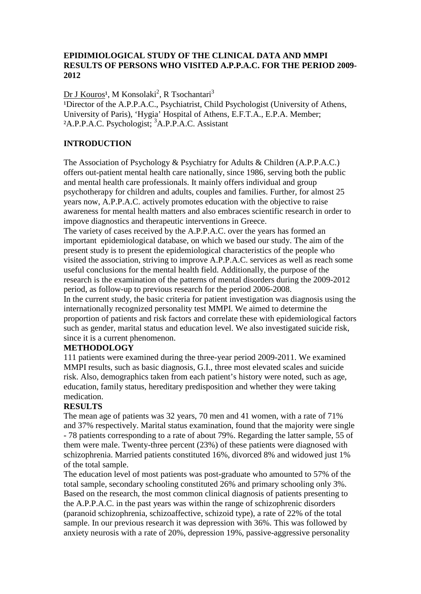### **EPIDIMIOLOGICAL STUDY OF THE CLINICAL DATA AND MMPI RESULTS OF PERSONS WHO VISITED A.P.P.A.C. FOR THE PERIOD 2009- 2012**

<u>Dr J Kouros<sup>1</sup>,</u> M Konsolaki<sup>2</sup>, R Tsochantari<sup>3</sup> <sup>1</sup>Director of the A.P.P.A.C., Psychiatrist, Child Psychologist (University of Athens, University of Paris), 'Hygia' Hospital of Athens, E.F.T.A., E.P.A. Member; <sup>2</sup>A.P.P.A.C. Psychologist; <sup>3</sup>A.P.P.A.C. Assistant

### **INTRODUCTION**

The Association of Psychology & Psychiatry for Adults & Children (A.P.P.A.C.) offers out-patient mental health care nationally, since 1986, serving both the public and mental health care professionals. It mainly offers individual and group psychotherapy for children and adults, couples and families. Further, for almost 25 years now, A.P.P.A.C. actively promotes education with the objective to raise awareness for mental health matters and also embraces scientific research in order to impove diagnostics and therapeutic interventions in Greece.

The variety of cases received by the A.P.P.A.C. over the years has formed an important epidemiological database, on which we based our study. The aim of the present study is to present the epidemiological characteristics of the people who visited the association, striving to improve A.P.P.A.C. services as well as reach some useful conclusions for the mental health field. Additionally, the purpose of the research is the examination of the patterns of mental disorders during the 2009-2012 period, as follow-up to previous research for the period 2006-2008.

In the current study, the basic criteria for patient investigation was diagnosis using the internationally recognized personality test MMPI. We aimed to determine the proportion of patients and risk factors and correlate these with epidemiological factors such as gender, marital status and education level. We also investigated suicide risk, since it is a current phenomenon.

### **METHODOLOGY**

111 patients were examined during the three-year period 2009-2011. We examined MMPI results, such as basic diagnosis, G.I., three most elevated scales and suicide risk. Also, demographics taken from each patient's history were noted, such as age, education, family status, hereditary predisposition and whether they were taking medication.

### **RESULTS**

The mean age of patients was 32 years, 70 men and 41 women, with a rate of 71% and 37% respectively. Marital status examination, found that the majority were single - 78 patients corresponding to a rate of about 79%. Regarding the latter sample, 55 of them were male. Twenty-three percent (23%) of these patients were diagnosed with schizophrenia. Married patients constituted 16%, divorced 8% and widowed just 1% of the total sample.

The education level of most patients was post-graduate who amounted to 57% of the total sample, secondary schooling constituted 26% and primary schooling only 3%. Based on the research, the most common clinical diagnosis of patients presenting to the A.P.P.A.C. in the past years was within the range of schizophrenic disorders (paranoid schizophrenia, schizoaffective, schizoid type), a rate of 22% of the total sample. In our previous research it was depression with 36%. This was followed by anxiety neurosis with a rate of 20%, depression 19%, passive-aggressive personality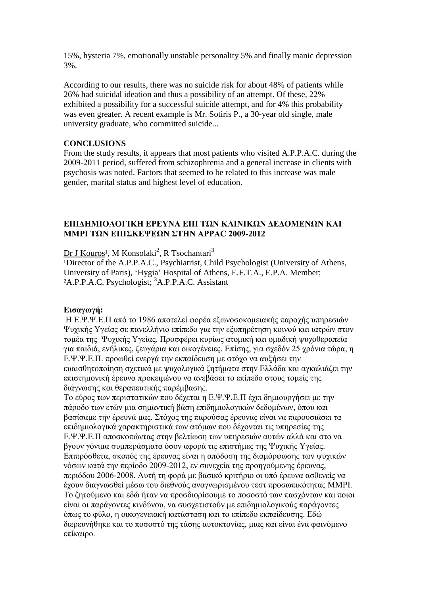15%, hysteria 7%, emotionally unstable personality 5% and finally manic depression 3%.

According to our results, there was no suicide risk for about 48% of patients while 26% had suicidal ideation and thus a possibility of an attempt. Of these, 22% exhibited a possibility for a successful suicide attempt, and for 4% this probability was even greater. A recent example is Mr. Sotiris P., a 30-year old single, male university graduate, who committed suicide...

### **CONCLUSIONS**

From the study results, it appears that most patients who visited A.P.P.A.C. during the 2009-2011 period, suffered from schizophrenia and a general increase in clients with psychosis was noted. Factors that seemed to be related to this increase was male gender, marital status and highest level of education.

#### **ΕΠΙΔΗΜΙΟΛΟΓΙΚΗ ΕΡΕΥΝΑ ΕΠΙ ΤΩΝ ΚΛΙΝΙΚΩΝ ΔΕΔΟΜΕΝΩΝ ΚΑΙ MMPI ΤΩΝ ΕΠΙΣΚΕΨΕΩΝ ΣΤΗΝ APPAC 2009-2012**

<u>Dr J Kouros</u><sup>1</sup>, M Konsolaki<sup>2</sup>, R Tsochantari<sup>3</sup>

<sup>1</sup>Director of the A.P.P.A.C., Psychiatrist, Child Psychologist (University of Athens, University of Paris), 'Hygia' Hospital of Athens, E.F.T.A., E.P.A. Member; <sup>2</sup>A.P.P.A.C. Psychologist; <sup>3</sup>A.P.P.A.C. Assistant

#### **Εισαγωγή:**

Η Ε.Ψ.Ψ.Ε.Π από το 1986 αποτελεί φορέα εξωνοσοκομειακής παροχής υπηρεσιών Ψυχικής Υγείας σε πανελλήνιο επίπεδο για την εξυπηρέτηση κοινού και ιατρών στον τομέα της Ψυχικής Υγείας. Προσφέρει κυρίως ατομική και ομαδική ψυχοθεραπεία για παιδιά, ενήλικες, ζευγάρια και οικογένειες. Επίσης, για σχεδόν 25 χρόνια τώρα, η Ε.Ψ.Ψ.Ε.Π. προωθεί ενεργά την εκπαίδευση με στόχο να αυξήσει την ευαισθητοποίηση σχετικά με ψυχολογικά ζητήματα στην Ελλάδα και αγκαλιάζει την επιστημονική έρευνα προκειμένου να ανεβάσει το επίπεδο στους τομείς της διάγνωσης και θεραπευτικής παρέμβασης.

Το εύρος των περιστατικών που δέχεται η Ε.Ψ.Ψ.Ε.Π έχει δημιουργήσει με την πάροδο των ετών μια σημαντική βάση επιδημιολογικών δεδομένων, όπου και βασίσαμε την έρευνά μας. Στόχος της παρούσας έρευνας είναι να παρουσιάσει τα επιδημιολογικά χαρακτηριστικά των ατόμων που δέχονται τις υπηρεσίες της Ε.Ψ.Ψ.Ε.Π αποσκοπώντας στην βελτίωση των υπηρεσιών αυτών αλλά και στο να βγουν γόνιμα συμπεράσματα όσον αφορά τις επιστήμες της Ψυχικής Υγείας. Επιπρόσθετα, σκοπός της έρευνας είναι η απόδοση της διαμόρφωσης των ψυχικών νόσων κατά την περίοδο 2009-2012, εν συνεχεία της προηγούμενης έρευνας, περιόδου 2006-2008. Αυτή τη φορά με βασικό κριτήριο οι υπό έρευνα ασθενείς να έχουν διαγνωσθεί μέσω του διεθνούς αναγνωρισμένου τεστ προσωπικότητας MMPI. Το ζητούμενο και εδώ ήταν να προσδιορίσουμε το ποσοστό των πασχόντων και ποιοι είναι οι παράγοντες κινδύνου, να συσχετιστούν με επιδημιολογικούς παράγοντες όπως το φύλο, η οικογενειακή κατάσταση και το επίπεδο εκπαίδευσης. Εδώ διερευνήθηκε και το ποσοστό της τάσης αυτοκτονίας, μιας και είναι ένα φαινόμενο επίκαιρο.